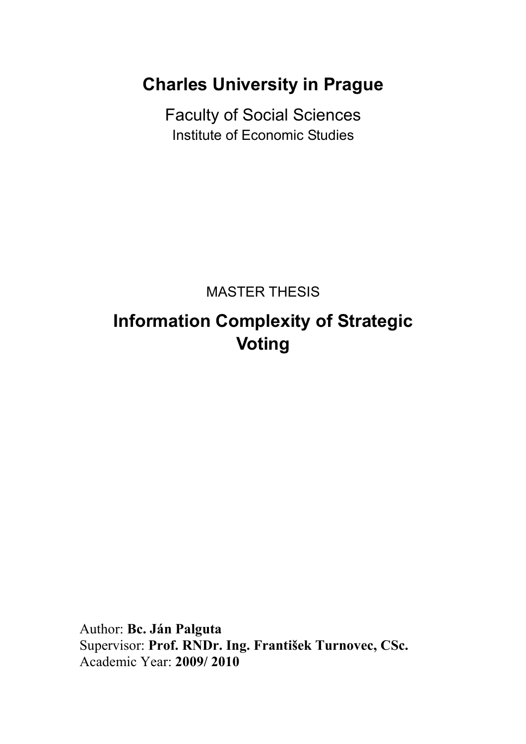**Charles University in Prague** 

Faculty of Social Sciences Institute of Economic Studies

MASTER THESIS

## **Information Complexity of Strategic Voting**

Author: **Bc. Ján Palguta** Supervisor: **Prof. RNDr. Ing. František Turnovec, CSc.** Academic Year: **2009/ 2010**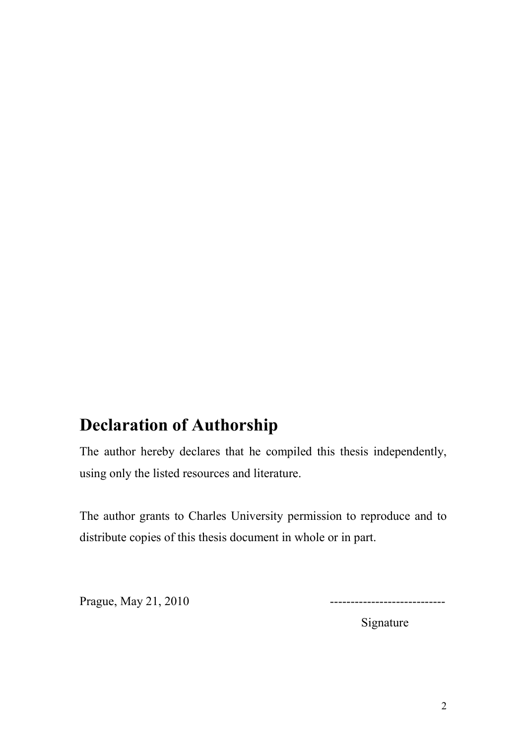## **Declaration of Authorship**

The author hereby declares that he compiled this thesis independently, using only the listed resources and literature.

The author grants to Charles University permission to reproduce and to distribute copies of this thesis document in whole or in part.

Prague, May 21, 2010 ----------------------------

Signature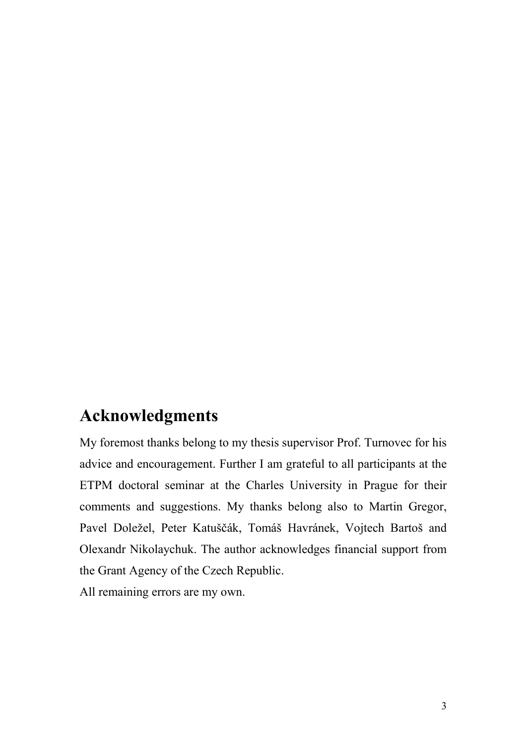## **Acknowledgments**

My foremost thanks belong to my thesis supervisor Prof. Turnovec for his advice and encouragement. Further I am grateful to all participants at the ETPM doctoral seminar at the Charles University in Prague for their comments and suggestions. My thanks belong also to Martin Gregor, Pavel Doležel, Peter Katuščák, Tomáš Havránek, Vojtech Bartoš and Olexandr Nikolaychuk. The author acknowledges financial support from the Grant Agency of the Czech Republic.

All remaining errors are my own.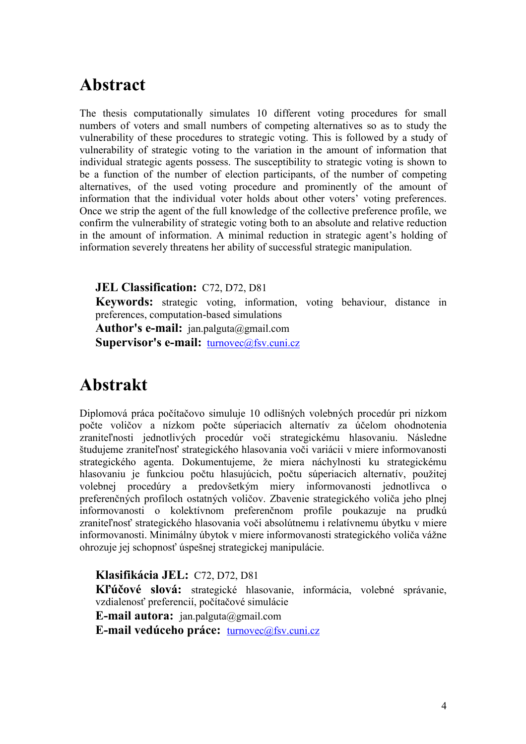## **Abstract**

The thesis computationally simulates 10 different voting procedures for small numbers of voters and small numbers of competing alternatives so as to study the vulnerability of these procedures to strategic voting. This is followed by a study of vulnerability of strategic voting to the variation in the amount of information that individual strategic agents possess. The susceptibility to strategic voting is shown to be a function of the number of election participants, of the number of competing alternatives, of the used voting procedure and prominently of the amount of information that the individual voter holds about other voters' voting preferences. Once we strip the agent of the full knowledge of the collective preference profile, we confirm the vulnerability of strategic voting both to an absolute and relative reduction in the amount of information. A minimal reduction in strategic agent's holding of information severely threatens her ability of successful strategic manipulation.

### **JEL Classification:** C72, D72, D81

**Keywords:** strategic voting, information, voting behaviour, distance in preferences, computation-based simulations

**Author's e-mail:** jan.palguta@gmail.com

Supervisor's e-mail: [turnovec@fsv.cuni.cz](mailto:turnovec@fsv.cuni.cz)

## **Abstrakt**

Diplomová práca počítačovo simuluje 10 odlišných volebných procedúr pri nízkom počte voličov a nízkom počte súperiacich alternatív za účelom ohodnotenia zraniteľnosti jednotlivých procedúr voči strategickému hlasovaniu. Následne študujeme zraniteľnosť strategického hlasovania voči variácii v miere informovanosti strategického agenta. Dokumentujeme, že miera náchylnosti ku strategickému hlasovaniu je funkciou počtu hlasujúcich, počtu súperiacich alternatív, použitej volebnej procedúry a predovšetkým miery informovanosti jednotlivca o preferenčných profiloch ostatných voličov. Zbavenie strategického voliča jeho plnej informovanosti o kolektívnom preferenčnom profile poukazuje na prudkú zraniteľnosť strategického hlasovania voči absolútnemu i relatívnemu úbytku v miere informovanosti. Minimálny úbytok v miere informovanosti strategického voliča vážne ohrozuje jej schopnosť úspešnej strategickej manipulácie.

**Klasifikácia JEL:** C72, D72, D81 **Kľúčové slová:** strategické hlasovanie, informácia, volebné správanie, vzdialenosť preferencií, počítačové simulácie **E-mail autora:** jan.palguta@gmail.com **E-mail vedúceho práce:** [turnovec@fsv.cuni.cz](mailto:turnovec@fsv.cuni.cz)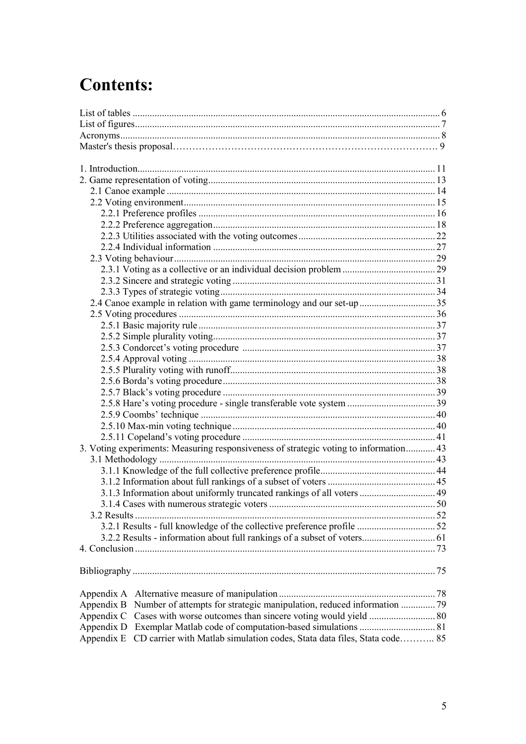# **Contents:**

| 2.4 Canoe example in relation with game terminology and our set-up  35                 |  |
|----------------------------------------------------------------------------------------|--|
|                                                                                        |  |
|                                                                                        |  |
|                                                                                        |  |
|                                                                                        |  |
|                                                                                        |  |
|                                                                                        |  |
|                                                                                        |  |
|                                                                                        |  |
|                                                                                        |  |
|                                                                                        |  |
|                                                                                        |  |
|                                                                                        |  |
| 3. Voting experiments: Measuring responsiveness of strategic voting to information 43  |  |
|                                                                                        |  |
|                                                                                        |  |
|                                                                                        |  |
| 3.1.3 Information about uniformly truncated rankings of all voters  49                 |  |
|                                                                                        |  |
| 3.2 Results.                                                                           |  |
|                                                                                        |  |
| 3.2.2 Results - information about full rankings of a subset of voters 61               |  |
|                                                                                        |  |
|                                                                                        |  |
|                                                                                        |  |
|                                                                                        |  |
| Appendix B Number of attempts for strategic manipulation, reduced information  79      |  |
|                                                                                        |  |
|                                                                                        |  |
| CD carrier with Matlab simulation codes, Stata data files, Stata code 85<br>Appendix E |  |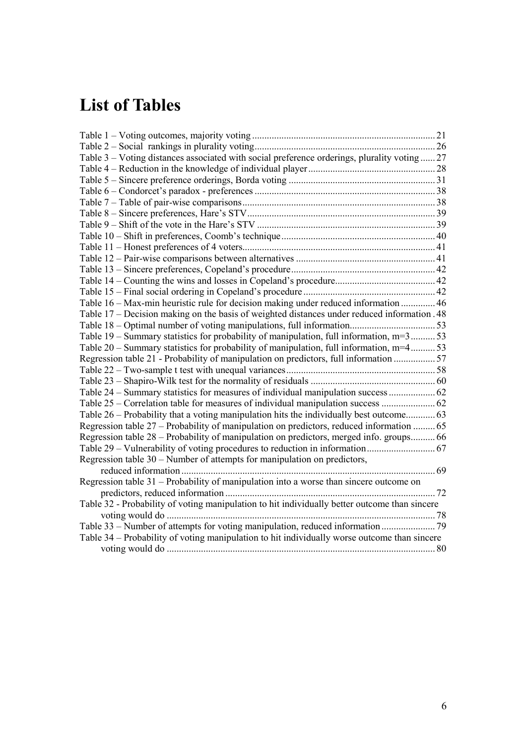# **List of Tables**

| Table 3 – Voting distances associated with social preference orderings, plurality voting  27  |  |
|-----------------------------------------------------------------------------------------------|--|
|                                                                                               |  |
|                                                                                               |  |
|                                                                                               |  |
|                                                                                               |  |
|                                                                                               |  |
|                                                                                               |  |
|                                                                                               |  |
|                                                                                               |  |
|                                                                                               |  |
|                                                                                               |  |
|                                                                                               |  |
|                                                                                               |  |
| Table 16 – Max-min heuristic rule for decision making under reduced information  46           |  |
| Table 17 – Decision making on the basis of weighted distances under reduced information. 48   |  |
|                                                                                               |  |
| Table 19 – Summary statistics for probability of manipulation, full information, $m=3$ 53     |  |
| Table 20 – Summary statistics for probability of manipulation, full information, m=453        |  |
| Regression table 21 - Probability of manipulation on predictors, full information  57         |  |
|                                                                                               |  |
|                                                                                               |  |
| Table 24 – Summary statistics for measures of individual manipulation success  62             |  |
|                                                                                               |  |
|                                                                                               |  |
| Regression table 27 – Probability of manipulation on predictors, reduced information  65      |  |
| Regression table 28 – Probability of manipulation on predictors, merged info. groups 66       |  |
|                                                                                               |  |
| Regression table 30 – Number of attempts for manipulation on predictors,                      |  |
|                                                                                               |  |
| Regression table 31 - Probability of manipulation into a worse than sincere outcome on        |  |
|                                                                                               |  |
| Table 32 - Probability of voting manipulation to hit individually better outcome than sincere |  |
|                                                                                               |  |
|                                                                                               |  |
| Table 34 – Probability of voting manipulation to hit individually worse outcome than sincere  |  |
|                                                                                               |  |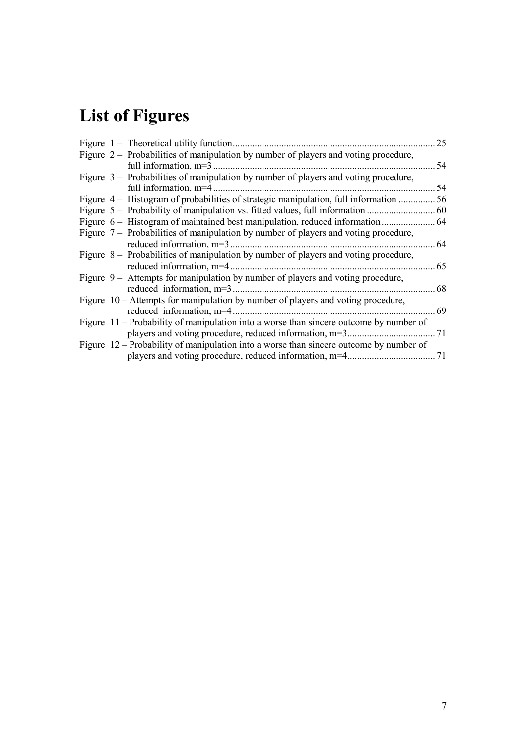# <span id="page-6-0"></span>**List of Figures**

|  | Figure $1$ – Theoretical utility function.                                             | 25  |
|--|----------------------------------------------------------------------------------------|-----|
|  | Figure 2 – Probabilities of manipulation by number of players and voting procedure,    |     |
|  | full information, $m=3$                                                                | 54  |
|  | Figure 3 – Probabilities of manipulation by number of players and voting procedure,    |     |
|  | full information, m=4.                                                                 | 54  |
|  | Figure 4 – Histogram of probabilities of strategic manipulation, full information      | 56  |
|  | Figure 5 – Probability of manipulation vs. fitted values, full information             | 60  |
|  | Figure 6 – Histogram of maintained best manipulation, reduced information              | -64 |
|  | Figure 7 – Probabilities of manipulation by number of players and voting procedure,    |     |
|  | reduced information, $m=3$ .                                                           | 64  |
|  | Figure 8 – Probabilities of manipulation by number of players and voting procedure,    |     |
|  | reduced information, m=4.                                                              | 65  |
|  | Figure $9 -$ Attempts for manipulation by number of players and voting procedure,      |     |
|  | reduced information, $m=3$                                                             | 68  |
|  | Figure 10 – Attempts for manipulation by number of players and voting procedure,       |     |
|  | reduced information, m=4.                                                              | 69  |
|  | Figure 11 – Probability of manipulation into a worse than sincere outcome by number of |     |
|  |                                                                                        |     |
|  | Figure 12 – Probability of manipulation into a worse than sincere outcome by number of |     |
|  |                                                                                        |     |
|  |                                                                                        |     |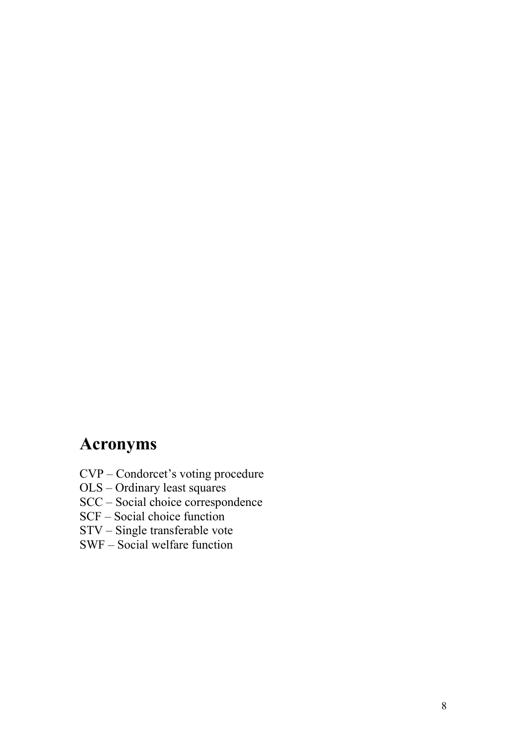# <span id="page-7-0"></span>**Acronyms**

- CVP Condorcet's voting procedure
- OLS Ordinary least squares
- SCC Social choice correspondence
- SCF Social choice function
- STV Single transferable vote
- SWF Social welfare function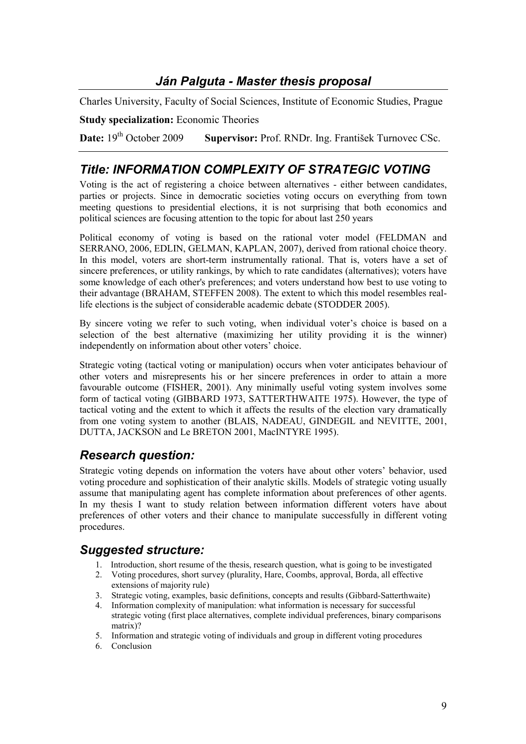## *Ján Palguta - Master thesis proposal*

Charles University, Faculty of Social Sciences, Institute of Economic Studies, Prague

**Study specialization:** Economic Theories

**Date:** 19<sup>th</sup> October 2009 **Supervisor:** Prof. RNDr. Ing. František Turnovec CSc.

## *Title: INFORMATION COMPLEXITY OF STRATEGIC VOTING*

Voting is the act of registering a choice between alternatives - either between candidates, parties or projects. Since in democratic societies voting occurs on everything from town meeting questions to presidential elections, it is not surprising that both economics and political sciences are focusing attention to the topic for about last 250 years

Political economy of voting is based on the rational voter model (FELDMAN and SERRANO, 2006, EDLIN, GELMAN, KAPLAN, 2007), derived from rational choice theory. In this model, voters are short-term instrumentally rational. That is, voters have a set of sincere preferences, or utility rankings, by which to rate candidates (alternatives); voters have some knowledge of each other's preferences; and voters understand how best to use voting to their advantage (BRAHAM, STEFFEN 2008). The extent to which this model resembles reallife elections is the subject of considerable academic debate (STODDER 2005).

By sincere voting we refer to such voting, when individual voter's choice is based on a selection of the best alternative (maximizing her utility providing it is the winner) independently on information about other voters' choice.

Strategic voting (tactical voting or manipulation) occurs when voter anticipates behaviour of other voters and misrepresents his or her sincere preferences in order to attain a more favourable outcome (FISHER, 2001). Any minimally useful voting system involves some form of tactical voting (GIBBARD 1973, SATTERTHWAITE 1975). However, the type of tactical voting and the extent to which it affects the results of the election vary dramatically from one voting system to another (BLAIS, NADEAU, GINDEGIL and NEVITTE, 2001, DUTTA, JACKSON and Le BRETON 2001, MacINTYRE 1995).

## *Research question:*

Strategic voting depends on information the voters have about other voters' behavior, used voting procedure and sophistication of their analytic skills. Models of strategic voting usually assume that manipulating agent has complete information about preferences of other agents. In my thesis I want to study relation between information different voters have about preferences of other voters and their chance to manipulate successfully in different voting procedures.

## *Suggested structure:*

- 1. Introduction, short resume of the thesis, research question, what is going to be investigated
- 2. Voting procedures, short survey (plurality, Hare, Coombs, approval, Borda, all effective extensions of majority rule)
- 3. Strategic voting, examples, basic definitions, concepts and results (Gibbard-Satterthwaite)<br>4. Information complexity of manipulation: what information is necessary for successful
- Information complexity of manipulation: what information is necessary for successful strategic voting (first place alternatives, complete individual preferences, binary comparisons matrix)?
- 5. Information and strategic voting of individuals and group in different voting procedures
- 6. Conclusion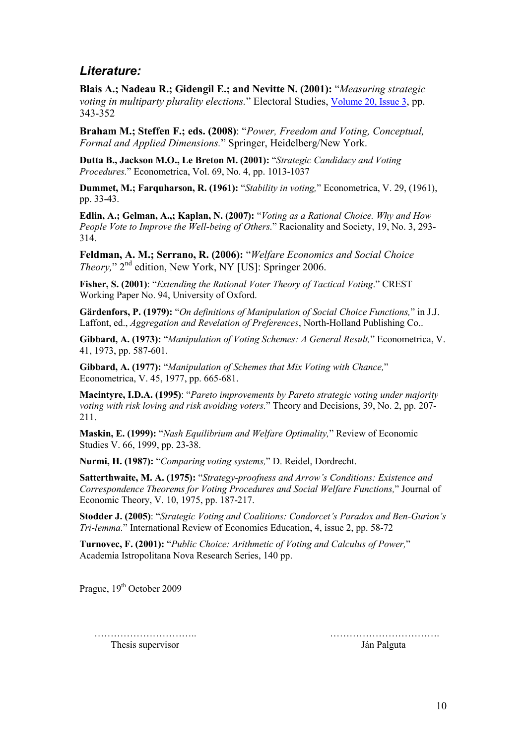## *Literature:*

**Blais A[.](http://www.sciencedirect.com/science?_ob=ArticleURL&_udi=B6V9P-4378T1R-1&_user=10&_rdoc=1&_fmt=&_orig=search&_sort=d&view=c&_acct=C000050221&_version=1&_urlVersion=0&_userid=10&md5=827dea4b68a493b686be0435574f27eb#m4.cor*); Nadeau R.; Gidengil E.; and Nevitte N. (2001):** "*Measuring strategic voting in multiparty plurality elections.*" Electoral Studies, [Volume 20, Issue 3](http://www.sciencedirect.com/science?_ob=PublicationURL&_tockey=%23TOC%235904%232001%23999799996%23252619%23FLA%23&_cdi=5904&_pubType=J&_auth=y&_acct=C000050221&_version=1&_urlVersion=0&_userid=10&md5=84461633b7c4fd0a0bca1f18ae4a352d), pp. 343-352

**Braham M.; Steffen F.; eds. (2008)**: "*Power, Freedom and Voting, Conceptual, Formal and Applied Dimensions.*" Springer, Heidelberg/New York.

**Dutta B., Jackson M.O., Le Breton M. (2001):** "*Strategic Candidacy and Voting Procedures.*" Econometrica, Vol. 69, No. 4, pp. 1013-1037

**Dummet, M.; Farquharson, R. (1961):** "*Stability in voting,*" Econometrica, V. 29, (1961), pp. 33-43.

**Edlin, A.; Gelman, A.,; Kaplan, N. (2007):** "*Voting as a Rational Choice. Why and How People Vote to Improve the Well-being of Others.*" Racionality and Society, 19, No. 3, 293- 314.

**Feldman, A. M.; Serrano, R. (2006):** "*Welfare Economics and Social Choice Theory*," 2<sup>nd</sup> edition, New York, NY [US]: Springer 2006.

**Fisher, S. (2001)**: "*Extending the Rational Voter Theory of Tactical Voting*." CREST Working Paper No. 94, University of Oxford.

**Gärdenfors, P. (1979):** "*On definitions of Manipulation of Social Choice Functions,*" in J.J. Laffont, ed., *Aggregation and Revelation of Preferences*, North-Holland Publishing Co..

**Gibbard, A. (1973):** "*Manipulation of Voting Schemes: A General Result,*" Econometrica, V. 41, 1973, pp. 587-601.

**Gibbard, A. (1977):** "*Manipulation of Schemes that Mix Voting with Chance,*" Econometrica, V. 45, 1977, pp. 665-681.

**Macintyre, I.D.A. (1995)**: "*Pareto improvements by Pareto strategic voting under majority voting with risk loving and risk avoiding voters.*" Theory and Decisions, 39, No. 2, pp. 207- 211.

**Maskin, E. (1999):** "*Nash Equilibrium and Welfare Optimality,*" Review of Economic Studies V. 66, 1999, pp. 23-38.

**Nurmi, H. (1987):** "*Comparing voting systems,*" D. Reidel, Dordrecht.

**Satterthwaite, M. A. (1975):** "*Strategy-proofness and Arrow's Conditions: Existence and Correspondence Theorems for Voting Procedures and Social Welfare Functions,*" Journal of Economic Theory, V. 10, 1975, pp. 187-217.

**Stodder J. (2005)**: "*Strategic Voting and Coalitions: Condorcet's Paradox and Ben-Gurion's Tri-lemma.*" International Review of Economics Education, 4, issue 2, pp. 58-72

**Turnovec, F. (2001):** "*Public Choice: Arithmetic of Voting and Calculus of Power,*" Academia Istropolitana Nova Research Series, 140 pp.

Prague, 19<sup>th</sup> October 2009

 ………………………….. ……………………………. Thesis supervisor Ján Palguta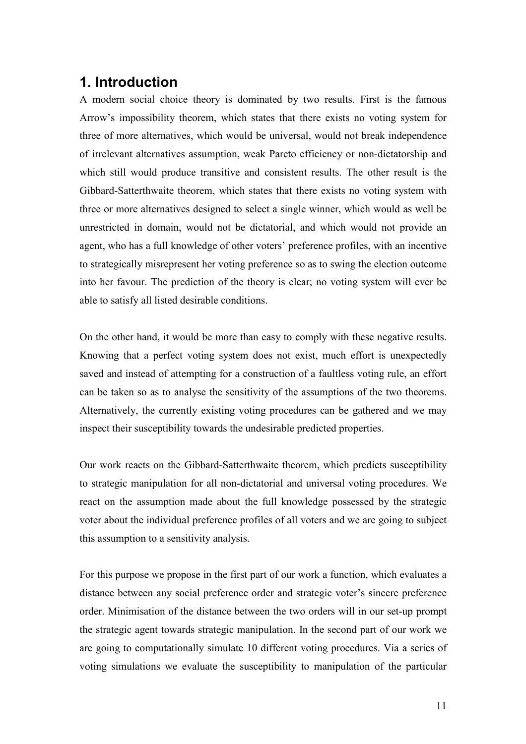## <span id="page-10-0"></span>**1. Introduction**

A modern social choice theory is dominated by two results. First is the famous Arrow's impossibility theorem, which states that there exists no voting system for three of more alternatives, which would be universal, would not break independence of irrelevant alternatives assumption, weak Pareto efficiency or non-dictatorship and which still would produce transitive and consistent results. The other result is the Gibbard-Satterthwaite theorem, which states that there exists no voting system with three or more alternatives designed to select a single winner, which would as well be unrestricted in domain, would not be dictatorial, and which would not provide an agent, who has a full knowledge of other voters' preference profiles, with an incentive to strategically misrepresent her voting preference so as to swing the election outcome into her favour. The prediction of the theory is clear; no voting system will ever be able to satisfy all listed desirable conditions.

On the other hand, it would be more than easy to comply with these negative results. Knowing that a perfect voting system does not exist, much effort is unexpectedly saved and instead of attempting for a construction of a faultless voting rule, an effort can be taken so as to analyse the sensitivity of the assumptions of the two theorems. Alternatively, the currently existing voting procedures can be gathered and we may inspect their susceptibility towards the undesirable predicted properties.

Our work reacts on the Gibbard-Satterthwaite theorem, which predicts susceptibility to strategic manipulation for all non-dictatorial and universal voting procedures. We react on the assumption made about the full knowledge possessed by the strategic voter about the individual preference profiles of all voters and we are going to subject this assumption to a sensitivity analysis.

For this purpose we propose in the first part of our work a function, which evaluates a distance between any social preference order and strategic voter's sincere preference order. Minimisation of the distance between the two orders will in our set-up prompt the strategic agent towards strategic manipulation. In the second part of our work we are going to computationally simulate 10 different voting procedures. Via a series of voting simulations we evaluate the susceptibility to manipulation of the particular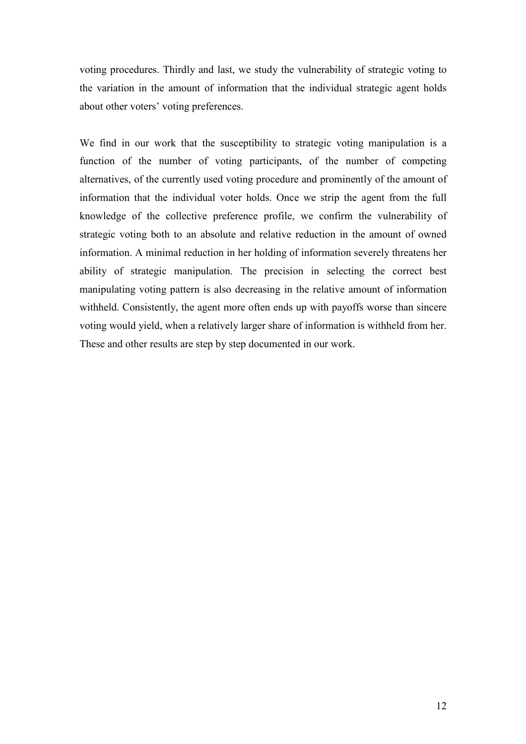voting procedures. Thirdly and last, we study the vulnerability of strategic voting to the variation in the amount of information that the individual strategic agent holds about other voters' voting preferences.

We find in our work that the susceptibility to strategic voting manipulation is a function of the number of voting participants, of the number of competing alternatives, of the currently used voting procedure and prominently of the amount of information that the individual voter holds. Once we strip the agent from the full knowledge of the collective preference profile, we confirm the vulnerability of strategic voting both to an absolute and relative reduction in the amount of owned information. A minimal reduction in her holding of information severely threatens her ability of strategic manipulation. The precision in selecting the correct best manipulating voting pattern is also decreasing in the relative amount of information withheld. Consistently, the agent more often ends up with payoffs worse than sincere voting would yield, when a relatively larger share of information is withheld from her. These and other results are step by step documented in our work.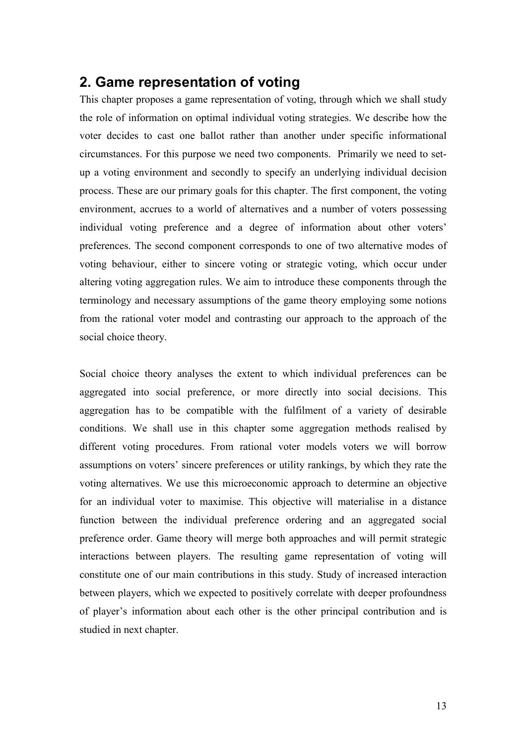## <span id="page-12-0"></span>**2. Game representation of voting**

This chapter proposes a game representation of voting, through which we shall study the role of information on optimal individual voting strategies. We describe how the voter decides to cast one ballot rather than another under specific informational circumstances. For this purpose we need two components. Primarily we need to setup a voting environment and secondly to specify an underlying individual decision process. These are our primary goals for this chapter. The first component, the voting environment, accrues to a world of alternatives and a number of voters possessing individual voting preference and a degree of information about other voters' preferences. The second component corresponds to one of two alternative modes of voting behaviour, either to sincere voting or strategic voting, which occur under altering voting aggregation rules. We aim to introduce these components through the terminology and necessary assumptions of the game theory employing some notions from the rational voter model and contrasting our approach to the approach of the social choice theory.

Social choice theory analyses the extent to which individual preferences can be aggregated into social preference, or more directly into social decisions. This aggregation has to be compatible with the fulfilment of a variety of desirable conditions. We shall use in this chapter some aggregation methods realised by different voting procedures. From rational voter models voters we will borrow assumptions on voters' sincere preferences or utility rankings, by which they rate the voting alternatives. We use this microeconomic approach to determine an objective for an individual voter to maximise. This objective will materialise in a distance function between the individual preference ordering and an aggregated social preference order. Game theory will merge both approaches and will permit strategic interactions between players. The resulting game representation of voting will constitute one of our main contributions in this study. Study of increased interaction between players, which we expected to positively correlate with deeper profoundness of player's information about each other is the other principal contribution and is studied in next chapter.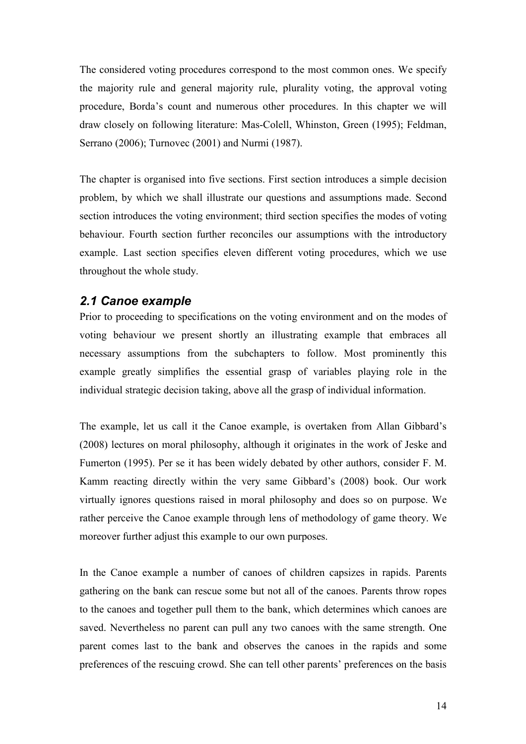<span id="page-13-0"></span>The considered voting procedures correspond to the most common ones. We specify the majority rule and general majority rule, plurality voting, the approval voting procedure, Borda's count and numerous other procedures. In this chapter we will draw closely on following literature: Mas-Colell, Whinston, Green (1995); Feldman, Serrano (2006); Turnovec (2001) and Nurmi (1987).

The chapter is organised into five sections. First section introduces a simple decision problem, by which we shall illustrate our questions and assumptions made. Second section introduces the voting environment; third section specifies the modes of voting behaviour. Fourth section further reconciles our assumptions with the introductory example. Last section specifies eleven different voting procedures, which we use throughout the whole study.

#### *2.1 Canoe example*

Prior to proceeding to specifications on the voting environment and on the modes of voting behaviour we present shortly an illustrating example that embraces all necessary assumptions from the subchapters to follow. Most prominently this example greatly simplifies the essential grasp of variables playing role in the individual strategic decision taking, above all the grasp of individual information.

The example, let us call it the Canoe example, is overtaken from Allan Gibbard's (2008) lectures on moral philosophy, although it originates in the work of Jeske and Fumerton (1995). Per se it has been widely debated by other authors, consider F. M. Kamm reacting directly within the very same Gibbard's (2008) book. Our work virtually ignores questions raised in moral philosophy and does so on purpose. We rather perceive the Canoe example through lens of methodology of game theory. We moreover further adjust this example to our own purposes.

In the Canoe example a number of canoes of children capsizes in rapids. Parents gathering on the bank can rescue some but not all of the canoes. Parents throw ropes to the canoes and together pull them to the bank, which determines which canoes are saved. Nevertheless no parent can pull any two canoes with the same strength. One parent comes last to the bank and observes the canoes in the rapids and some preferences of the rescuing crowd. She can tell other parents' preferences on the basis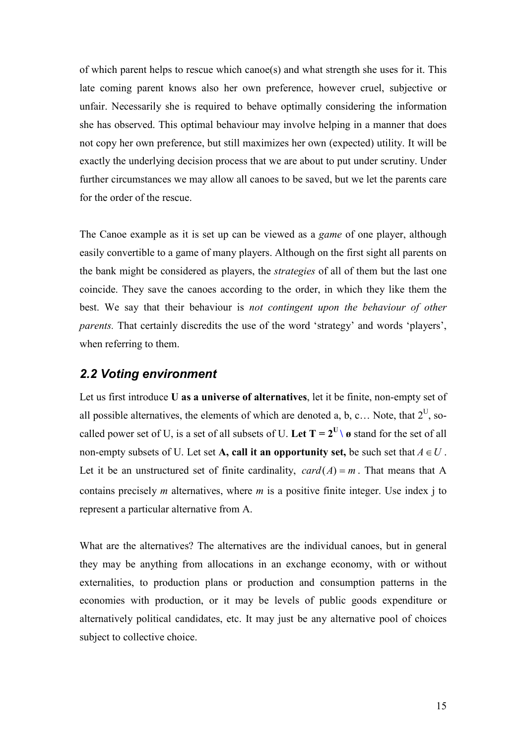<span id="page-14-0"></span>of which parent helps to rescue which canoe(s) and what strength she uses for it. This late coming parent knows also her own preference, however cruel, subjective or unfair. Necessarily she is required to behave optimally considering the information she has observed. This optimal behaviour may involve helping in a manner that does not copy her own preference, but still maximizes her own (expected) utility. It will be exactly the underlying decision process that we are about to put under scrutiny. Under further circumstances we may allow all canoes to be saved, but we let the parents care for the order of the rescue.

The Canoe example as it is set up can be viewed as a *game* of one player, although easily convertible to a game of many players. Although on the first sight all parents on the bank might be considered as players, the *strategies* of all of them but the last one coincide. They save the canoes according to the order, in which they like them the best. We say that their behaviour is *not contingent upon the behaviour of other parents.* That certainly discredits the use of the word 'strategy' and words 'players', when referring to them.

#### *2.2 Voting environment*

Let us first introduce **U as a universe of alternatives**, let it be finite, non-empty set of all possible alternatives, the elements of which are denoted a, b, c... Note, that  $2^U$ , socalled power set of U, is a set of all subsets of U. Let  $T = 2^U \setminus \mathcal{O}$  stand for the set of all non-empty subsets of U. Let set **A**, call it an opportunity set, be such set that  $A \in U$ . Let it be an unstructured set of finite cardinality,  $card(A) = m$ . That means that A contains precisely *m* alternatives, where *m* is a positive finite integer. Use index j to represent a particular alternative from A.

What are the alternatives? The alternatives are the individual canoes, but in general they may be anything from allocations in an exchange economy, with or without externalities, to production plans or production and consumption patterns in the economies with production, or it may be levels of public goods expenditure or alternatively political candidates, etc. It may just be any alternative pool of choices subject to collective choice.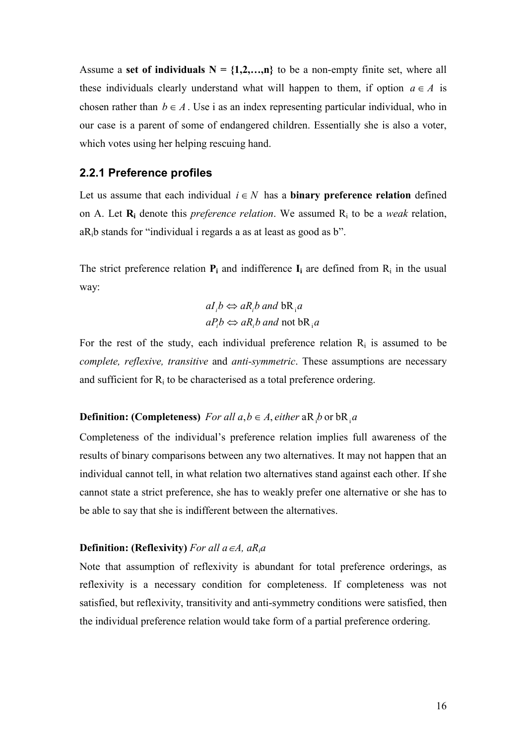<span id="page-15-0"></span>Assume a **set of individuals**  $N = \{1, 2, \ldots, n\}$  to be a non-empty finite set, where all these individuals clearly understand what will happen to them, if option  $a \in A$  is chosen rather than  $b \in A$ . Use i as an index representing particular individual, who in our case is a parent of some of endangered children. Essentially she is also a voter, which votes using her helping rescuing hand.

#### **2.2.1 Preference profiles**

Let us assume that each individual  $i \in N$  has a **binary preference relation** defined on A. Let **R<sup>i</sup>** denote this *preference relation*. We assumed R<sup>i</sup> to be a *weak* relation, aRib stands for "individual i regards a as at least as good as b".

The strict preference relation  $P_i$  and indifference  $I_i$  are defined from  $R_i$  in the usual way:

$$
aI_i b \Leftrightarrow aR_i b
$$
 and  $bR_i a$   
 $aP_i b \Leftrightarrow aR_i b$  and not  $bR_i a$ 

For the rest of the study, each individual preference relation  $R_i$  is assumed to be *complete, reflexive, transitive* and *anti-symmetric*. These assumptions are necessary and sufficient for  $R_i$  to be characterised as a total preference ordering.

#### **Definition: (Completeness)**  $For all  $a, b \in A$ , either  $aR, b$  or  $bR, a$$

Completeness of the individual's preference relation implies full awareness of the results of binary comparisons between any two alternatives. It may not happen that an individual cannot tell, in what relation two alternatives stand against each other. If she cannot state a strict preference, she has to weakly prefer one alternative or she has to be able to say that she is indifferent between the alternatives.

#### **Definition: (Reflexivity)** *For all a*∈ $A$ ,  $aR_i$ *a*

Note that assumption of reflexivity is abundant for total preference orderings, as reflexivity is a necessary condition for completeness. If completeness was not satisfied, but reflexivity, transitivity and anti-symmetry conditions were satisfied, then the individual preference relation would take form of a partial preference ordering.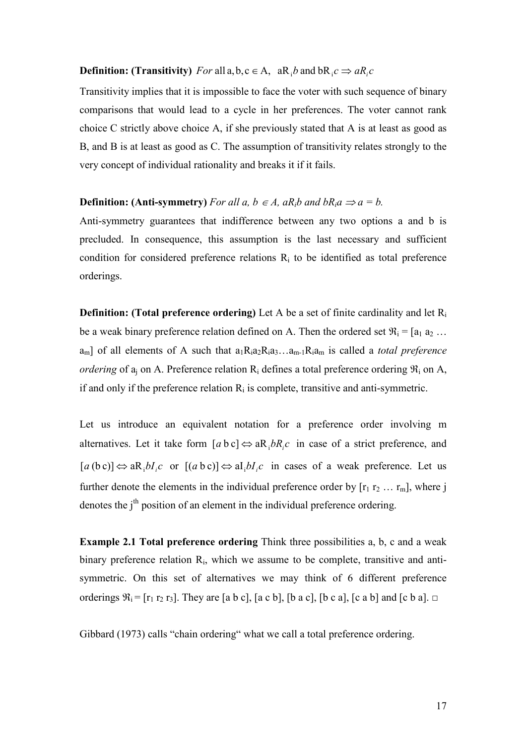## **Definition:** (Transitivity) *For* all a, b, c  $\in$  A,  $aR_1b$  and  $bR_1c \Rightarrow aR_ic$

Transitivity implies that it is impossible to face the voter with such sequence of binary comparisons that would lead to a cycle in her preferences. The voter cannot rank choice C strictly above choice A, if she previously stated that A is at least as good as B, and B is at least as good as C. The assumption of transitivity relates strongly to the very concept of individual rationality and breaks it if it fails.

#### **Definition: (Anti-symmetry)** *For all a, b ∈ A, aR<sub>i</sub>b and bR<sub>i</sub>a*  $\Rightarrow$  *a = b.*

Anti-symmetry guarantees that indifference between any two options a and b is precluded. In consequence, this assumption is the last necessary and sufficient condition for considered preference relations  $R_i$  to be identified as total preference orderings.

**Definition: (Total preference ordering)** Let A be a set of finite cardinality and let R<sub>i</sub> be a weak binary preference relation defined on A. Then the ordered set  $\mathfrak{R}_i = [a_1 a_2 ...$  $a_m$ ] of all elements of A such that  $a_1R_1a_2R_1a_3...a_{m-1}R_1a_m$  is called a *total preference ordering* of  $a_j$  on A. Preference relation  $R_i$  defines a total preference ordering  $\Re_i$  on A, if and only if the preference relation  $R_i$  is complete, transitive and anti-symmetric.

Let us introduce an equivalent notation for a preference order involving m alternatives. Let it take form  $[a \, b \, c] \Leftrightarrow aR_i bR_i c$  in case of a strict preference, and  $[a (b c)] \Leftrightarrow a R_i b I_i c$  or  $[(a b c)] \Leftrightarrow a I_i b I_i c$  in cases of a weak preference. Let us further denote the elements in the individual preference order by  $[r_1 r_2 ... r_m]$ , where j denotes the j<sup>th</sup> position of an element in the individual preference ordering.

**Example 2.1 Total preference ordering** Think three possibilities a, b, c and a weak binary preference relation R<sub>i</sub>, which we assume to be complete, transitive and antisymmetric. On this set of alternatives we may think of 6 different preference orderings  $\mathfrak{R}_i = [r_1 \, r_2 \, r_3]$ . They are [a b c], [a c b], [b a c], [b c a], [c a b] and [c b a].  $\Box$ 

Gibbard (1973) calls "chain ordering" what we call a total preference ordering.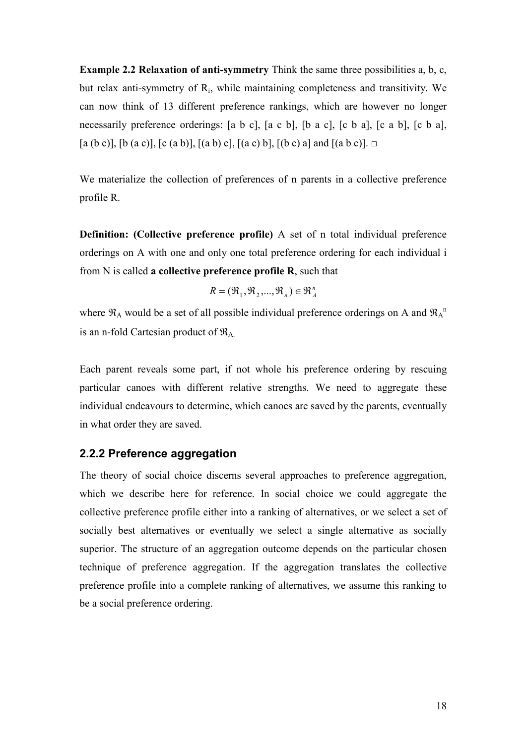<span id="page-17-0"></span>**Example 2.2 Relaxation of anti-symmetry** Think the same three possibilities a, b, c, but relax anti-symmetry of R<sup>i</sup> , while maintaining completeness and transitivity. We can now think of 13 different preference rankings, which are however no longer necessarily preference orderings: [a b c], [a c b], [b a c], [c b a], [c a b], [c b a],  $[a (b c)]$ ,  $[b (a c)]$ ,  $[c (a b)]$ ,  $[(a b) c]$ ,  $[(a c) b]$ ,  $[(b c) a]$  and  $[(a b c)]$ .  $\square$ 

We materialize the collection of preferences of n parents in a collective preference profile R.

**Definition: (Collective preference profile)** A set of n total individual preference orderings on A with one and only one total preference ordering for each individual i from N is called **a collective preference profile R**, such that

$$
R = (\mathfrak{R}_1, \mathfrak{R}_2, ..., \mathfrak{R}_n) \in \mathfrak{R}_A^n
$$

where  $\mathfrak{R}_A$  would be a set of all possible individual preference orderings on A and  $\mathfrak{R}_A^{\Lambda}$ is an n-fold Cartesian product of  $\mathfrak{R}_{A}$ .

Each parent reveals some part, if not whole his preference ordering by rescuing particular canoes with different relative strengths. We need to aggregate these individual endeavours to determine, which canoes are saved by the parents, eventually in what order they are saved.

#### **2.2.2 Preference aggregation**

The theory of social choice discerns several approaches to preference aggregation, which we describe here for reference. In social choice we could aggregate the collective preference profile either into a ranking of alternatives, or we select a set of socially best alternatives or eventually we select a single alternative as socially superior. The structure of an aggregation outcome depends on the particular chosen technique of preference aggregation. If the aggregation translates the collective preference profile into a complete ranking of alternatives, we assume this ranking to be a social preference ordering.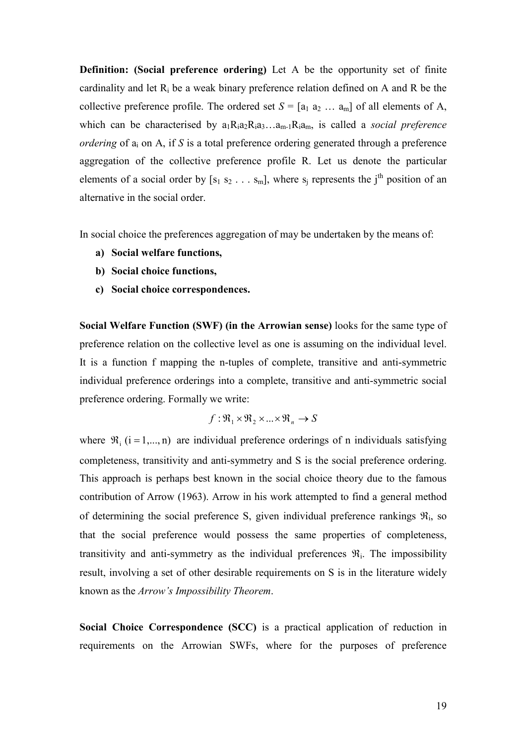**Definition: (Social preference ordering)** Let A be the opportunity set of finite cardinality and let  $R_i$  be a weak binary preference relation defined on A and R be the collective preference profile. The ordered set  $S = [a_1 a_2 ... a_m]$  of all elements of A, which can be characterised by  $a_1R_1a_2R_1a_3...a_{m-1}R_1a_m$ , is called a *social preference ordering* of  $a_i$  on A, if S is a total preference ordering generated through a preference aggregation of the collective preference profile R. Let us denote the particular elements of a social order by  $[s_1 s_2 \ldots s_m]$ , where  $s_j$  represents the j<sup>th</sup> position of an alternative in the social order.

In social choice the preferences aggregation of may be undertaken by the means of:

- **a) Social welfare functions,**
- **b) Social choice functions,**
- **c) Social choice correspondences.**

**Social Welfare Function (SWF) (in the Arrowian sense)** looks for the same type of preference relation on the collective level as one is assuming on the individual level. It is a function f mapping the n-tuples of complete, transitive and anti-symmetric individual preference orderings into a complete, transitive and anti-symmetric social preference ordering. Formally we write:

$$
f: \mathfrak{R}_1 \times \mathfrak{R}_2 \times \ldots \times \mathfrak{R}_n \to S
$$

where  $\mathcal{R}_i$  (i = 1,..., n) are individual preference orderings of n individuals satisfying completeness, transitivity and anti-symmetry and S is the social preference ordering. This approach is perhaps best known in the social choice theory due to the famous contribution of Arrow (1963). Arrow in his work attempted to find a general method of determining the social preference S, given individual preference rankings  $\Re_i$ , so that the social preference would possess the same properties of completeness, transitivity and anti-symmetry as the individual preferences  $\mathfrak{R}_i$ . The impossibility result, involving a set of other desirable requirements on S is in the literature widely known as the *Arrow's Impossibility Theorem*.

**Social Choice Correspondence (SCC)** is a practical application of reduction in requirements on the Arrowian SWFs, where for the purposes of preference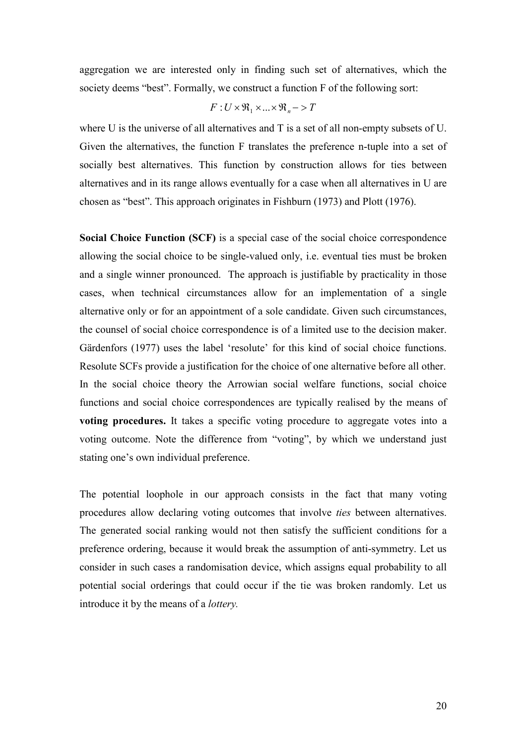aggregation we are interested only in finding such set of alternatives, which the society deems "best". Formally, we construct a function F of the following sort:

$$
F: U \times \mathfrak{R}_1 \times ... \times \mathfrak{R}_n \to T
$$

where U is the universe of all alternatives and T is a set of all non-empty subsets of U. Given the alternatives, the function F translates the preference n-tuple into a set of socially best alternatives. This function by construction allows for ties between alternatives and in its range allows eventually for a case when all alternatives in U are chosen as "best". This approach originates in Fishburn (1973) and Plott (1976).

**Social Choice Function (SCF)** is a special case of the social choice correspondence allowing the social choice to be single-valued only, i.e. eventual ties must be broken and a single winner pronounced. The approach is justifiable by practicality in those cases, when technical circumstances allow for an implementation of a single alternative only or for an appointment of a sole candidate. Given such circumstances, the counsel of social choice correspondence is of a limited use to the decision maker. Gärdenfors (1977) uses the label 'resolute' for this kind of social choice functions. Resolute SCFs provide a justification for the choice of one alternative before all other. In the social choice theory the Arrowian social welfare functions, social choice functions and social choice correspondences are typically realised by the means of **voting procedures.** It takes a specific voting procedure to aggregate votes into a voting outcome. Note the difference from "voting", by which we understand just stating one's own individual preference.

The potential loophole in our approach consists in the fact that many voting procedures allow declaring voting outcomes that involve *ties* between alternatives. The generated social ranking would not then satisfy the sufficient conditions for a preference ordering, because it would break the assumption of anti-symmetry. Let us consider in such cases a randomisation device, which assigns equal probability to all potential social orderings that could occur if the tie was broken randomly. Let us introduce it by the means of a *lottery.*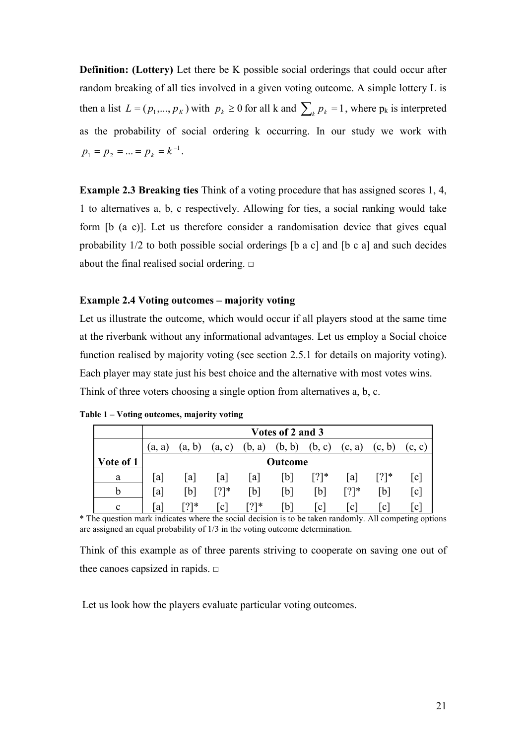<span id="page-20-0"></span>**Definition: (Lottery)** Let there be K possible social orderings that could occur after random breaking of all ties involved in a given voting outcome. A simple lottery L is then a list  $L = (p_1, ..., p_K)$  with  $p_k \ge 0$  for all k and  $\sum_k p_k = 1$ , where  $p_k$  is interpreted as the probability of social ordering k occurring. In our study we work with 1  $p_1 = p_2 = ... = p_k = k^{-1}$ .

**Example 2.3 Breaking ties** Think of a voting procedure that has assigned scores 1, 4, 1 to alternatives a, b, c respectively. Allowing for ties, a social ranking would take form [b (a c)]. Let us therefore consider a randomisation device that gives equal probability 1/2 to both possible social orderings [b a c] and [b c a] and such decides about the final realised social ordering.  $\Box$ 

#### **Example 2.4 Voting outcomes – majority voting**

Let us illustrate the outcome, which would occur if all players stood at the same time at the riverbank without any informational advantages. Let us employ a Social choice function realised by majority voting (see section 2.5.1 for details on majority voting). Each player may state just his best choice and the alternative with most votes wins. Think of three voters choosing a single option from alternatives a, b, c.

|           | Votes of 2 and 3 |          |           |        |        |         |         |              |                   |
|-----------|------------------|----------|-----------|--------|--------|---------|---------|--------------|-------------------|
|           | (a. a)           | b)<br>a. | (a, c)    | (b, a) | (b, b) | (b, c)  | (c, a)  | (c, b)       | (c, c)            |
| Vote of 1 |                  | Outcome  |           |        |        |         |         |              |                   |
| a         | a                | a        | a         | a      | b]     | $[?]^*$ | la      | $[?]^*$      | c                 |
|           | a                | [b]      | $[?]^{*}$ | [b]    | 「b1    | [b]     | $[?]^*$ | [b]          | $\lceil c \rceil$ |
| c         | a                | ר?⊺*     | c         | $[?]*$ | b      | ⊥c'     | c       | $\mathbf{c}$ | $\mathbf c$       |

**Table 1 – Voting outcomes, majority voting** 

\* The question mark indicates where the social decision is to be taken randomly. All competing options are assigned an equal probability of 1/3 in the voting outcome determination.

Think of this example as of three parents striving to cooperate on saving one out of thee canoes capsized in rapids.  $\Box$ 

Let us look how the players evaluate particular voting outcomes.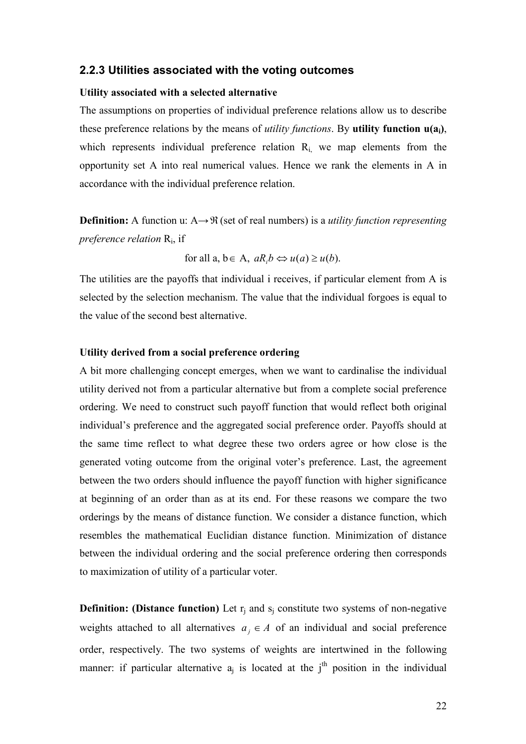#### <span id="page-21-0"></span>**2.2.3 Utilities associated with the voting outcomes**

#### **Utility associated with a selected alternative**

The assumptions on properties of individual preference relations allow us to describe these preference relations by the means of *utility functions*. By **utility function u(ai)**, which represents individual preference relation  $R_i$ , we map elements from the opportunity set A into real numerical values. Hence we rank the elements in A in accordance with the individual preference relation.

**Definition:** A function u: A→ $\mathfrak{R}$  (set of real numbers) is a *utility function representing preference relation* R<sup>i</sup> , if

for all  $a, b \in A$ ,  $aR.b \Leftrightarrow u(a) \geq u(b)$ .

The utilities are the payoffs that individual i receives, if particular element from A is selected by the selection mechanism. The value that the individual forgoes is equal to the value of the second best alternative.

#### **Utility derived from a social preference ordering**

A bit more challenging concept emerges, when we want to cardinalise the individual utility derived not from a particular alternative but from a complete social preference ordering. We need to construct such payoff function that would reflect both original individual's preference and the aggregated social preference order. Payoffs should at the same time reflect to what degree these two orders agree or how close is the generated voting outcome from the original voter's preference. Last, the agreement between the two orders should influence the payoff function with higher significance at beginning of an order than as at its end. For these reasons we compare the two orderings by the means of distance function. We consider a distance function, which resembles the mathematical Euclidian distance function. Minimization of distance between the individual ordering and the social preference ordering then corresponds to maximization of utility of a particular voter.

**Definition: (Distance function)** Let  $r_j$  and  $s_j$  constitute two systems of non-negative weights attached to all alternatives  $a_i \in A$  of an individual and social preference order, respectively. The two systems of weights are intertwined in the following manner: if particular alternative  $a_j$  is located at the j<sup>th</sup> position in the individual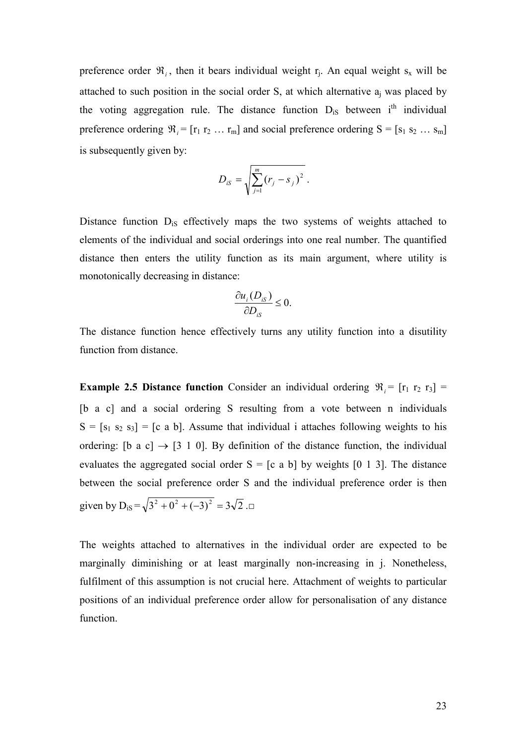preference order  $\mathfrak{R}_i$ , then it bears individual weight  $r_j$ . An equal weight  $s_x$  will be attached to such position in the social order  $S$ , at which alternative  $a_j$  was placed by the voting aggregation rule. The distance function  $D_{iS}$  between  $i<sup>th</sup>$  individual preference ordering  $\mathfrak{R}_i = [r_1 r_2 ... r_m]$  and social preference ordering  $S = [s_1 s_2 ... s_m]$ is subsequently given by:

$$
D_{iS} = \sqrt{\sum_{j=1}^{m} (r_j - s_j)^2}.
$$

Distance function D<sub>iS</sub> effectively maps the two systems of weights attached to elements of the individual and social orderings into one real number. The quantified distance then enters the utility function as its main argument, where utility is monotonically decreasing in distance:

$$
\frac{\partial u_i(D_{iS})}{\partial D_{iS}} \leq 0.
$$

The distance function hence effectively turns any utility function into a disutility function from distance.

**Example 2.5 Distance function** Consider an individual ordering  $\mathfrak{R}_i = [r_1 \, r_2 \, r_3] =$ [b a c] and a social ordering S resulting from a vote between n individuals  $S = [s_1 \ s_2 \ s_3] = [c \ a \ b]$ . Assume that individual i attaches following weights to his ordering: [b a c]  $\rightarrow$  [3 1 0]. By definition of the distance function, the individual evaluates the aggregated social order  $S = [c \ a \ b]$  by weights [0 1 3]. The distance between the social preference order S and the individual preference order is then given by  $D_{iS} = \sqrt{3^2 + 0^2 + (-3)^2} = 3\sqrt{2}$ .

The weights attached to alternatives in the individual order are expected to be marginally diminishing or at least marginally non-increasing in j. Nonetheless, fulfilment of this assumption is not crucial here. Attachment of weights to particular positions of an individual preference order allow for personalisation of any distance function.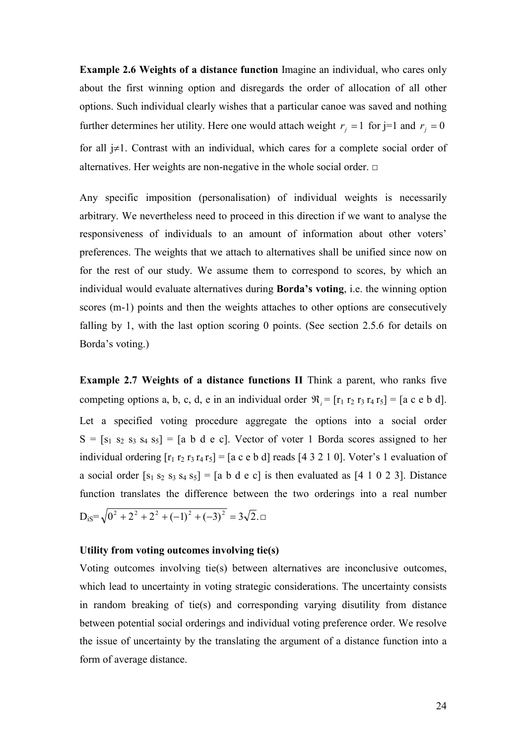**Example 2.6 Weights of a distance function** Imagine an individual, who cares only about the first winning option and disregards the order of allocation of all other options. Such individual clearly wishes that a particular canoe was saved and nothing further determines her utility. Here one would attach weight  $r_j = 1$  for j=1 and  $r_j = 0$ for all j≠1. Contrast with an individual, which cares for a complete social order of alternatives. Her weights are non-negative in the whole social order.  $\Box$ 

Any specific imposition (personalisation) of individual weights is necessarily arbitrary. We nevertheless need to proceed in this direction if we want to analyse the responsiveness of individuals to an amount of information about other voters' preferences. The weights that we attach to alternatives shall be unified since now on for the rest of our study. We assume them to correspond to scores, by which an individual would evaluate alternatives during **Borda's voting**, i.e. the winning option scores (m-1) points and then the weights attaches to other options are consecutively falling by 1, with the last option scoring 0 points. (See section 2.5.6 for details on Borda's voting.)

**Example 2.7 Weights of a distance functions II** Think a parent, who ranks five competing options a, b, c, d, e in an individual order  $\mathfrak{R}_i = [\mathbf{r}_1 \mathbf{r}_2 \mathbf{r}_3 \mathbf{r}_4 \mathbf{r}_5] = [\mathbf{a} \mathbf{c} \mathbf{e} \mathbf{b} \mathbf{d}].$ Let a specified voting procedure aggregate the options into a social order  $S = [s_1 \ s_2 \ s_3 \ s_4 \ s_5] = [a \ b \ d \ e \ c]$ . Vector of voter 1 Borda scores assigned to her individual ordering  $[r_1 r_2 r_3 r_4 r_5] = [a \ c \ e \ b \ d]$  reads  $[4 \ 3 \ 2 \ 1 \ 0]$ . Voter's 1 evaluation of a social order  $[s_1 s_2 s_3 s_4 s_5] = [a \ b \ d \ e \ c]$  is then evaluated as  $[4 \ 1 \ 0 \ 2 \ 3]$ . Distance function translates the difference between the two orderings into a real number  $D_i s = \sqrt{0^2 + 2^2 + 2^2 + (-1)^2 + (-3)^2} = 3\sqrt{2}$ .

#### **Utility from voting outcomes involving tie(s)**

Voting outcomes involving tie(s) between alternatives are inconclusive outcomes, which lead to uncertainty in voting strategic considerations. The uncertainty consists in random breaking of tie(s) and corresponding varying disutility from distance between potential social orderings and individual voting preference order. We resolve the issue of uncertainty by the translating the argument of a distance function into a form of average distance.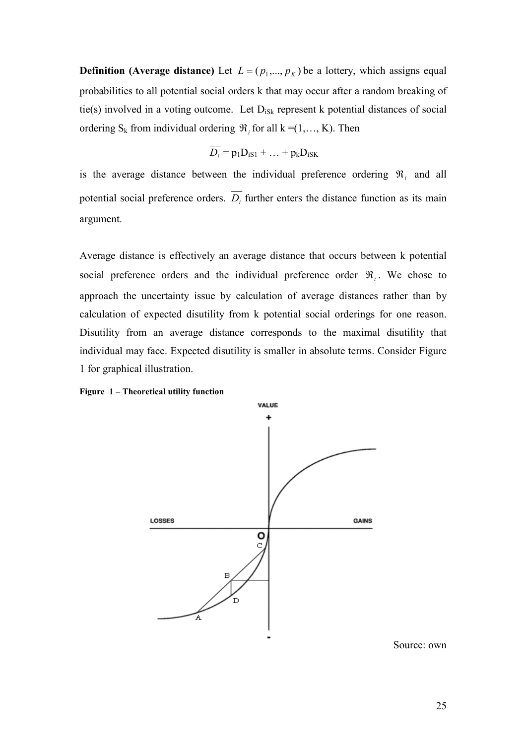<span id="page-24-0"></span>**Definition (Average distance)** Let  $L = (p_1, ..., p_K)$  be a lottery, which assigns equal probabilities to all potential social orders k that may occur after a random breaking of tie(s) involved in a voting outcome. Let  $D_{iSk}$  represent k potential distances of social ordering  $S_k$  from individual ordering  $\mathfrak{R}_i$  for all  $k = (1, \ldots, K)$ . Then

$$
\overline{D_i} = p_1 D_{iS1} + \dots + p_k D_{iSK}
$$

is the average distance between the individual preference ordering  $\mathfrak{R}_i$  and all potential social preference orders.  $D_i$  further enters the distance function as its main argument.

Average distance is effectively an average distance that occurs between k potential social preference orders and the individual preference order  $\Re_i$ . We chose to approach the uncertainty issue by calculation of average distances rather than by calculation of expected disutility from k potential social orderings for one reason. Disutility from an average distance corresponds to the maximal disutility that individual may face. Expected disutility is smaller in absolute terms. Consider Figure 1 for graphical illustration.



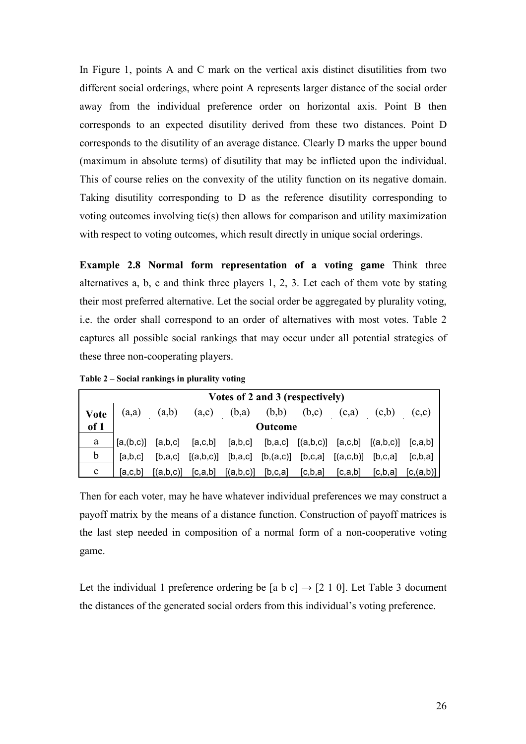<span id="page-25-0"></span>In Figure 1, points A and C mark on the vertical axis distinct disutilities from two different social orderings, where point A represents larger distance of the social order away from the individual preference order on horizontal axis. Point B then corresponds to an expected disutility derived from these two distances. Point D corresponds to the disutility of an average distance. Clearly D marks the upper bound (maximum in absolute terms) of disutility that may be inflicted upon the individual. This of course relies on the convexity of the utility function on its negative domain. Taking disutility corresponding to D as the reference disutility corresponding to voting outcomes involving tie(s) then allows for comparison and utility maximization with respect to voting outcomes, which result directly in unique social orderings.

**Example 2.8 Normal form representation of a voting game** Think three alternatives a, b, c and think three players 1, 2, 3. Let each of them vote by stating their most preferred alternative. Let the social order be aggregated by plurality voting, i.e. the order shall correspond to an order of alternatives with most votes. Table 2 captures all possible social rankings that may occur under all potential strategies of these three non-cooperating players.

**Table 2 – Social rankings in plurality voting** 

| Votes of 2 and 3 (respectively) |                |         |                       |                                                                             |                       |           |         |       |                           |  |
|---------------------------------|----------------|---------|-----------------------|-----------------------------------------------------------------------------|-----------------------|-----------|---------|-------|---------------------------|--|
| <b>Vote</b>                     | (a,a)          | (a,b)   | (a,c)                 | (b,a)                                                                       | (b,b)                 | (b,c)     | (c.a)   | (c,b) | (c,c)                     |  |
| of 1                            | <b>Outcome</b> |         |                       |                                                                             |                       |           |         |       |                           |  |
| a                               | [a,(b,c)]      | [a,b,c] |                       | $[a,c,b]$ $[a,b,c]$ $[b,a,c]$ $[(a,b,c)]$ $[a,c,b]$ $[(a,b,c)]$ $[c,a,b]$   |                       |           |         |       |                           |  |
| $\mathfrak b$                   | [a,b,c]        | [b.a.c] |                       | $[(a,b,c)]$ $[b,a,c]$ $[b,(a,c)]$ $[b,c,a]$ $[(a,c,b)]$ $[b,c,a]$ $[c,b,a]$ |                       |           |         |       |                           |  |
| $\mathbf c$                     | [a,c,b]        |         | $[(a,b,c)]$ $[c,a,b]$ |                                                                             | $[(a,b,c)]$ $[b,c,a]$ | [c, b, a] | [c,a,b] |       | $[C, b, a]$ $[C, (a, b)]$ |  |

Then for each voter, may he have whatever individual preferences we may construct a payoff matrix by the means of a distance function. Construction of payoff matrices is the last step needed in composition of a normal form of a non-cooperative voting game.

Let the individual 1 preference ordering be [a b c]  $\rightarrow$  [2 1 0]. Let Table 3 document the distances of the generated social orders from this individual's voting preference.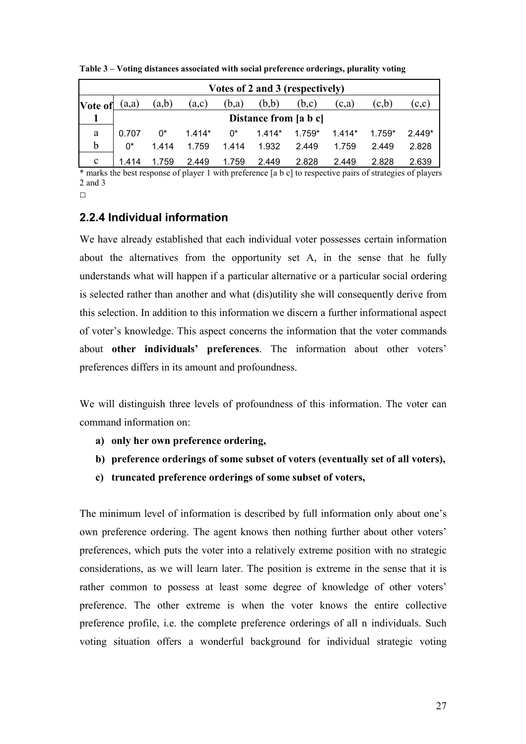| Votes of 2 and 3 (respectively) |       |                       |          |       |          |          |          |          |          |
|---------------------------------|-------|-----------------------|----------|-------|----------|----------|----------|----------|----------|
| Vote of                         | (a,a) | (a,b)                 | (a,c)    | (b,a) | (b,b)    | (b,c)    | (c,a)    | (c,b)    | (c,c)    |
|                                 |       | Distance from [a b c] |          |       |          |          |          |          |          |
| a                               | 0.707 | በ*                    | $1.414*$ | $0^*$ | $1.414*$ | $1.759*$ | $1.414*$ | $1.759*$ | $2.449*$ |
| b                               | በ*    | 1 4 1 4               | 1.759    | 1.414 | 1.932    | 2.449    | 1.759    | 2.449    | 2.828    |
| $\mathbf c$                     | 1.414 | 1.759                 | 2.449    | 1.759 | 2.449    | 2.828    | 2.449    | 2.828    | 2.639    |

<span id="page-26-0"></span>**Table 3 – Voting distances associated with social preference orderings, plurality voting** 

\* marks the best response of player 1 with preference [a b c] to respective pairs of strategies of players 2 and 3

#### $\Box$

### **2.2.4 Individual information**

We have already established that each individual voter possesses certain information about the alternatives from the opportunity set A, in the sense that he fully understands what will happen if a particular alternative or a particular social ordering is selected rather than another and what (dis)utility she will consequently derive from this selection. In addition to this information we discern a further informational aspect of voter's knowledge. This aspect concerns the information that the voter commands about **other individuals' preferences**. The information about other voters' preferences differs in its amount and profoundness.

We will distinguish three levels of profoundness of this information. The voter can command information on:

- **a) only her own preference ordering,**
- **b) preference orderings of some subset of voters (eventually set of all voters),**
- **c) truncated preference orderings of some subset of voters,**

The minimum level of information is described by full information only about one's own preference ordering. The agent knows then nothing further about other voters' preferences, which puts the voter into a relatively extreme position with no strategic considerations, as we will learn later. The position is extreme in the sense that it is rather common to possess at least some degree of knowledge of other voters' preference. The other extreme is when the voter knows the entire collective preference profile, i.e. the complete preference orderings of all n individuals. Such voting situation offers a wonderful background for individual strategic voting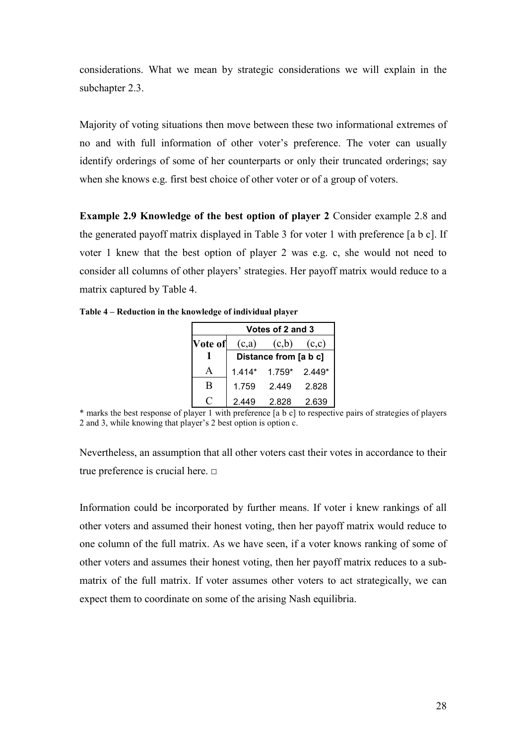<span id="page-27-0"></span>considerations. What we mean by strategic considerations we will explain in the subchapter 2.3.

Majority of voting situations then move between these two informational extremes of no and with full information of other voter's preference. The voter can usually identify orderings of some of her counterparts or only their truncated orderings; say when she knows e.g. first best choice of other voter or of a group of voters.

**Example 2.9 Knowledge of the best option of player 2** Consider example 2.8 and the generated payoff matrix displayed in Table 3 for voter 1 with preference [a b c]. If voter 1 knew that the best option of player 2 was e.g. c, she would not need to consider all columns of other players' strategies. Her payoff matrix would reduce to a matrix captured by Table 4.

**Table 4 – Reduction in the knowledge of individual player** 

| Votes of 2 and 3 |                       |          |          |  |  |  |  |
|------------------|-----------------------|----------|----------|--|--|--|--|
| Vote of          | (c,a)                 | (c,b)    | (c,c)    |  |  |  |  |
|                  | Distance from [a b c] |          |          |  |  |  |  |
|                  | $1.414*$              | $1.759*$ | $2.449*$ |  |  |  |  |
| B                | 1.759                 | 2.449    | 2.828    |  |  |  |  |
|                  | 2.449                 | 2.828    | 2.639    |  |  |  |  |

\* marks the best response of player 1 with preference [a b c] to respective pairs of strategies of players 2 and 3, while knowing that player's 2 best option is option c.

Nevertheless, an assumption that all other voters cast their votes in accordance to their true preference is crucial here. □

Information could be incorporated by further means. If voter i knew rankings of all other voters and assumed their honest voting, then her payoff matrix would reduce to one column of the full matrix. As we have seen, if a voter knows ranking of some of other voters and assumes their honest voting, then her payoff matrix reduces to a submatrix of the full matrix. If voter assumes other voters to act strategically, we can expect them to coordinate on some of the arising Nash equilibria.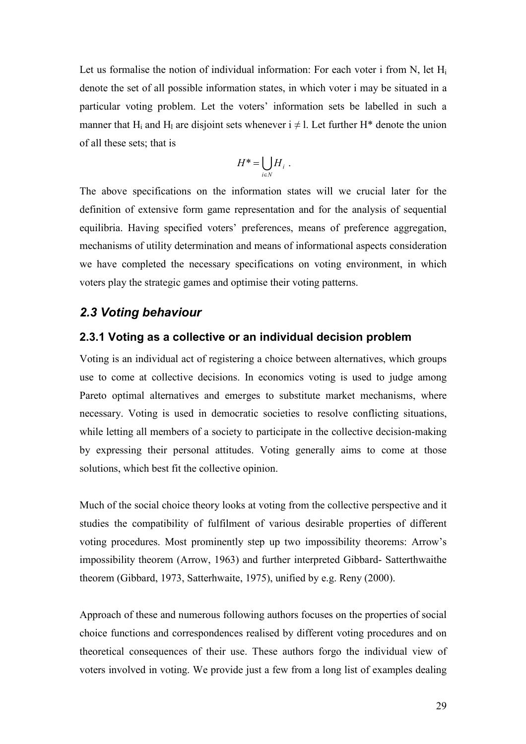<span id="page-28-0"></span>Let us formalise the notion of individual information: For each voter i from N, let  $H_i$ denote the set of all possible information states, in which voter i may be situated in a particular voting problem. Let the voters' information sets be labelled in such a manner that H<sub>i</sub> and H<sub>l</sub> are disjoint sets whenever  $i \neq 1$ . Let further H<sup>\*</sup> denote the union of all these sets; that is

$$
H^* = \bigcup_{i \in N} H_i \ .
$$

The above specifications on the information states will we crucial later for the definition of extensive form game representation and for the analysis of sequential equilibria. Having specified voters' preferences, means of preference aggregation, mechanisms of utility determination and means of informational aspects consideration we have completed the necessary specifications on voting environment, in which voters play the strategic games and optimise their voting patterns.

#### *2.3 Voting behaviour*

#### **2.3.1 Voting as a collective or an individual decision problem**

Voting is an individual act of registering a choice between alternatives, which groups use to come at collective decisions. In economics voting is used to judge among Pareto optimal alternatives and emerges to substitute market mechanisms, where necessary. Voting is used in democratic societies to resolve conflicting situations, while letting all members of a society to participate in the collective decision-making by expressing their personal attitudes. Voting generally aims to come at those solutions, which best fit the collective opinion.

Much of the social choice theory looks at voting from the collective perspective and it studies the compatibility of fulfilment of various desirable properties of different voting procedures. Most prominently step up two impossibility theorems: Arrow's impossibility theorem (Arrow, 1963) and further interpreted Gibbard- Satterthwaithe theorem (Gibbard, 1973, Satterhwaite, 1975), unified by e.g. Reny (2000).

Approach of these and numerous following authors focuses on the properties of social choice functions and correspondences realised by different voting procedures and on theoretical consequences of their use. These authors forgo the individual view of voters involved in voting. We provide just a few from a long list of examples dealing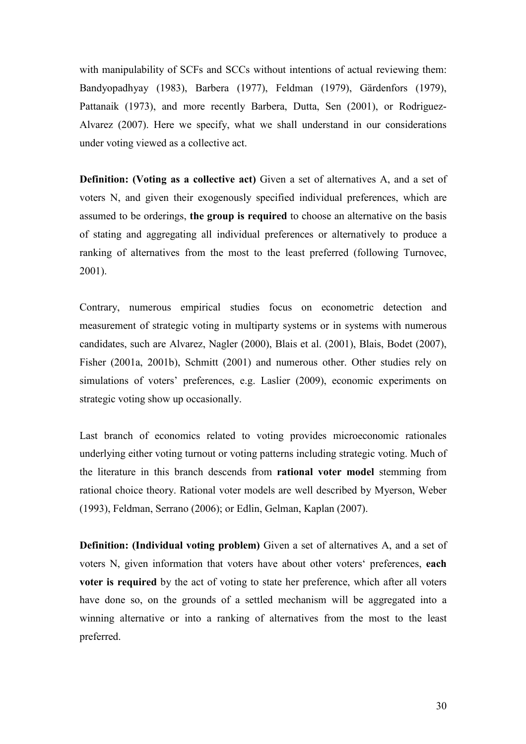with manipulability of SCFs and SCCs without intentions of actual reviewing them: Bandyopadhyay (1983), Barbera (1977), Feldman (1979), Gärdenfors (1979), Pattanaik (1973), and more recently Barbera, Dutta, Sen (2001), or Rodriguez-Alvarez (2007). Here we specify, what we shall understand in our considerations under voting viewed as a collective act.

**Definition: (Voting as a collective act)** Given a set of alternatives A, and a set of voters N, and given their exogenously specified individual preferences, which are assumed to be orderings, **the group is required** to choose an alternative on the basis of stating and aggregating all individual preferences or alternatively to produce a ranking of alternatives from the most to the least preferred (following Turnovec, 2001).

Contrary, numerous empirical studies focus on econometric detection and measurement of strategic voting in multiparty systems or in systems with numerous candidates, such are Alvarez, Nagler (2000), Blais et al. (2001), Blais, Bodet (2007), Fisher (2001a, 2001b), Schmitt (2001) and numerous other. Other studies rely on simulations of voters' preferences, e.g. Laslier (2009), economic experiments on strategic voting show up occasionally.

Last branch of economics related to voting provides microeconomic rationales underlying either voting turnout or voting patterns including strategic voting. Much of the literature in this branch descends from **rational voter model** stemming from rational choice theory. Rational voter models are well described by Myerson, Weber (1993), Feldman, Serrano (2006); or Edlin, Gelman, Kaplan (2007).

**Definition: (Individual voting problem)** Given a set of alternatives A, and a set of voters N, given information that voters have about other voters' preferences, **each voter is required** by the act of voting to state her preference, which after all voters have done so, on the grounds of a settled mechanism will be aggregated into a winning alternative or into a ranking of alternatives from the most to the least preferred.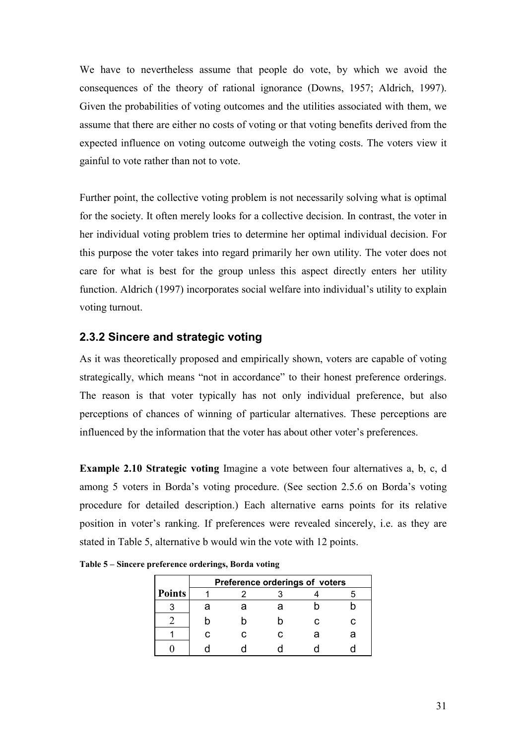<span id="page-30-0"></span>We have to nevertheless assume that people do vote, by which we avoid the consequences of the theory of rational ignorance (Downs, 1957; Aldrich, 1997). Given the probabilities of voting outcomes and the utilities associated with them, we assume that there are either no costs of voting or that voting benefits derived from the expected influence on voting outcome outweigh the voting costs. The voters view it gainful to vote rather than not to vote.

Further point, the collective voting problem is not necessarily solving what is optimal for the society. It often merely looks for a collective decision. In contrast, the voter in her individual voting problem tries to determine her optimal individual decision. For this purpose the voter takes into regard primarily her own utility. The voter does not care for what is best for the group unless this aspect directly enters her utility function. Aldrich (1997) incorporates social welfare into individual's utility to explain voting turnout.

#### **2.3.2 Sincere and strategic voting**

As it was theoretically proposed and empirically shown, voters are capable of voting strategically, which means "not in accordance" to their honest preference orderings. The reason is that voter typically has not only individual preference, but also perceptions of chances of winning of particular alternatives. These perceptions are influenced by the information that the voter has about other voter's preferences.

**Example 2.10 Strategic voting** Imagine a vote between four alternatives a, b, c, d among 5 voters in Borda's voting procedure. (See section 2.5.6 on Borda's voting procedure for detailed description.) Each alternative earns points for its relative position in voter's ranking. If preferences were revealed sincerely, i.e. as they are stated in Table 5, alternative b would win the vote with 12 points.

|               | Preference orderings of voters |   |  |  |  |  |  |  |
|---------------|--------------------------------|---|--|--|--|--|--|--|
| <b>Points</b> |                                |   |  |  |  |  |  |  |
|               |                                |   |  |  |  |  |  |  |
|               |                                |   |  |  |  |  |  |  |
|               |                                | r |  |  |  |  |  |  |
|               |                                |   |  |  |  |  |  |  |

**Table 5 – Sincere preference orderings, Borda voting**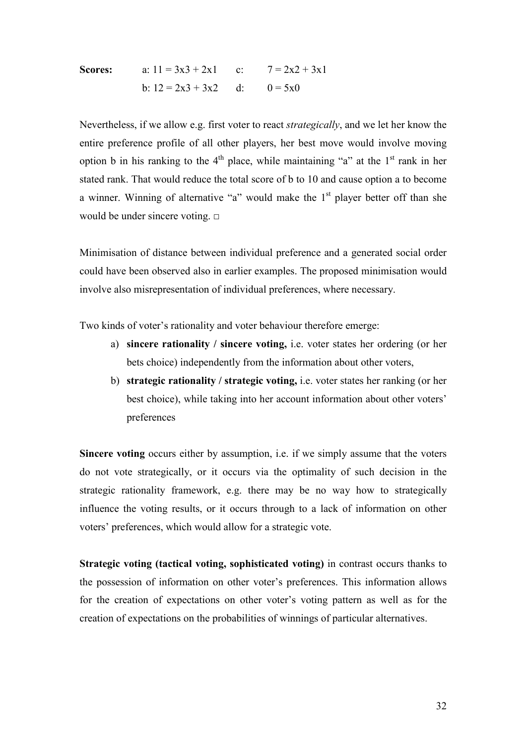**Scores:**   
a: 
$$
11 = 3x3 + 2x1
$$
   
c:  $7 = 2x2 + 3x1$   
b:  $12 = 2x3 + 3x2$    
d:  $0 = 5x0$ 

Nevertheless, if we allow e.g. first voter to react *strategically*, and we let her know the entire preference profile of all other players, her best move would involve moving option b in his ranking to the  $4<sup>th</sup>$  place, while maintaining "a" at the  $1<sup>st</sup>$  rank in her stated rank. That would reduce the total score of b to 10 and cause option a to become a winner. Winning of alternative "a" would make the  $1<sup>st</sup>$  player better off than she would be under sincere voting. □

Minimisation of distance between individual preference and a generated social order could have been observed also in earlier examples. The proposed minimisation would involve also misrepresentation of individual preferences, where necessary.

Two kinds of voter's rationality and voter behaviour therefore emerge:

- a) **sincere rationality / sincere voting,** i.e. voter states her ordering (or her bets choice) independently from the information about other voters,
- b) **strategic rationality / strategic voting,** i.e. voter states her ranking (or her best choice), while taking into her account information about other voters' preferences

**Sincere voting** occurs either by assumption, i.e. if we simply assume that the voters do not vote strategically, or it occurs via the optimality of such decision in the strategic rationality framework, e.g. there may be no way how to strategically influence the voting results, or it occurs through to a lack of information on other voters' preferences, which would allow for a strategic vote.

**Strategic voting (tactical voting, sophisticated voting)** in contrast occurs thanks to the possession of information on other voter's preferences. This information allows for the creation of expectations on other voter's voting pattern as well as for the creation of expectations on the probabilities of winnings of particular alternatives.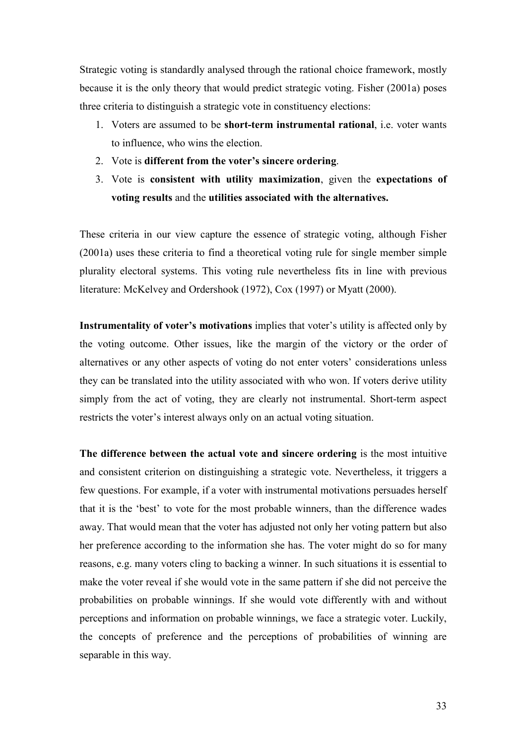Strategic voting is standardly analysed through the rational choice framework, mostly because it is the only theory that would predict strategic voting. Fisher (2001a) poses three criteria to distinguish a strategic vote in constituency elections:

- 1. Voters are assumed to be **short-term instrumental rational**, i.e. voter wants to influence, who wins the election.
- 2. Vote is **different from the voter's sincere ordering**.
- 3. Vote is **consistent with utility maximization**, given the **expectations of voting results** and the **utilities associated with the alternatives.**

These criteria in our view capture the essence of strategic voting, although Fisher (2001a) uses these criteria to find a theoretical voting rule for single member simple plurality electoral systems. This voting rule nevertheless fits in line with previous literature: McKelvey and Ordershook (1972), Cox (1997) or Myatt (2000).

**Instrumentality of voter's motivations** implies that voter's utility is affected only by the voting outcome. Other issues, like the margin of the victory or the order of alternatives or any other aspects of voting do not enter voters' considerations unless they can be translated into the utility associated with who won. If voters derive utility simply from the act of voting, they are clearly not instrumental. Short-term aspect restricts the voter's interest always only on an actual voting situation.

**The difference between the actual vote and sincere ordering** is the most intuitive and consistent criterion on distinguishing a strategic vote. Nevertheless, it triggers a few questions. For example, if a voter with instrumental motivations persuades herself that it is the 'best' to vote for the most probable winners, than the difference wades away. That would mean that the voter has adjusted not only her voting pattern but also her preference according to the information she has. The voter might do so for many reasons, e.g. many voters cling to backing a winner. In such situations it is essential to make the voter reveal if she would vote in the same pattern if she did not perceive the probabilities on probable winnings. If she would vote differently with and without perceptions and information on probable winnings, we face a strategic voter. Luckily, the concepts of preference and the perceptions of probabilities of winning are separable in this way.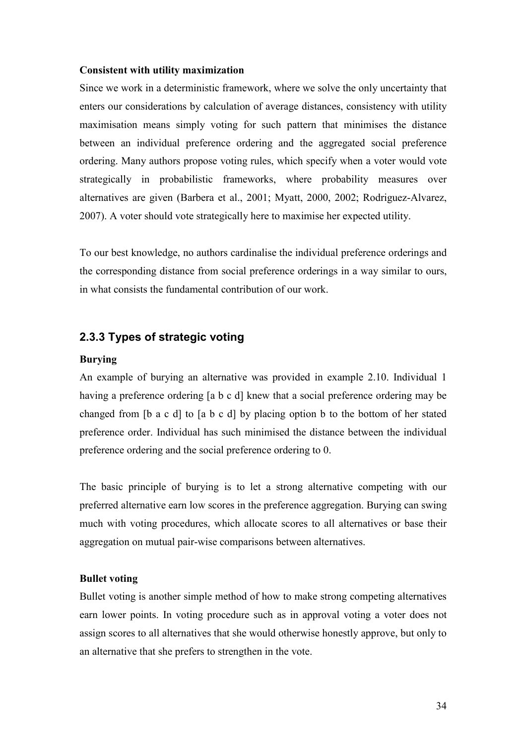#### <span id="page-33-0"></span>**Consistent with utility maximization**

Since we work in a deterministic framework, where we solve the only uncertainty that enters our considerations by calculation of average distances, consistency with utility maximisation means simply voting for such pattern that minimises the distance between an individual preference ordering and the aggregated social preference ordering. Many authors propose voting rules, which specify when a voter would vote strategically in probabilistic frameworks, where probability measures over alternatives are given (Barbera et al., 2001; Myatt, 2000, 2002; Rodriguez-Alvarez, 2007). A voter should vote strategically here to maximise her expected utility.

To our best knowledge, no authors cardinalise the individual preference orderings and the corresponding distance from social preference orderings in a way similar to ours, in what consists the fundamental contribution of our work.

#### **2.3.3 Types of strategic voting**

#### **Burying**

An example of burying an alternative was provided in example 2.10. Individual 1 having a preference ordering [a b c d] knew that a social preference ordering may be changed from [b a c d] to [a b c d] by placing option b to the bottom of her stated preference order. Individual has such minimised the distance between the individual preference ordering and the social preference ordering to 0.

The basic principle of burying is to let a strong alternative competing with our preferred alternative earn low scores in the preference aggregation. Burying can swing much with voting procedures, which allocate scores to all alternatives or base their aggregation on mutual pair-wise comparisons between alternatives.

#### **Bullet voting**

Bullet voting is another simple method of how to make strong competing alternatives earn lower points. In voting procedure such as in approval voting a voter does not assign scores to all alternatives that she would otherwise honestly approve, but only to an alternative that she prefers to strengthen in the vote.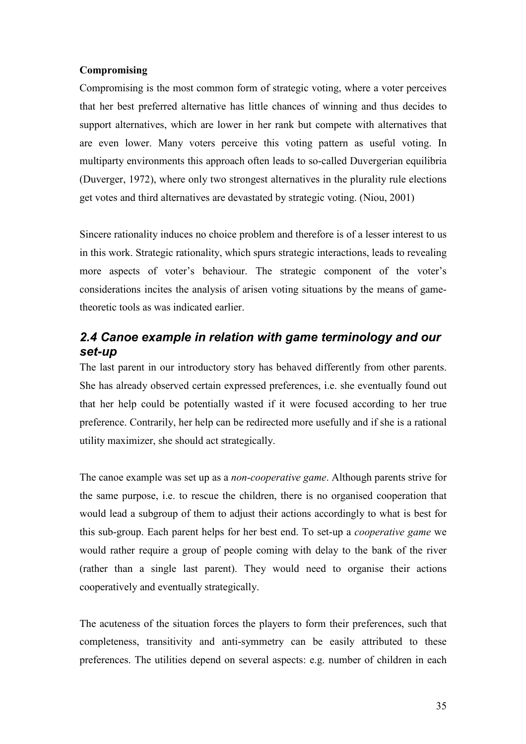#### <span id="page-34-0"></span>**Compromising**

Compromising is the most common form of strategic voting, where a voter perceives that her best preferred alternative has little chances of winning and thus decides to support alternatives, which are lower in her rank but compete with alternatives that are even lower. Many voters perceive this voting pattern as useful voting. In multiparty environments this approach often leads to so-called Duvergerian equilibria (Duverger, 1972), where only two strongest alternatives in the plurality rule elections get votes and third alternatives are devastated by strategic voting. (Niou, 2001)

Sincere rationality induces no choice problem and therefore is of a lesser interest to us in this work. Strategic rationality, which spurs strategic interactions, leads to revealing more aspects of voter's behaviour. The strategic component of the voter's considerations incites the analysis of arisen voting situations by the means of gametheoretic tools as was indicated earlier.

## *2.4 Canoe example in relation with game terminology and our set-up*

The last parent in our introductory story has behaved differently from other parents. She has already observed certain expressed preferences, i.e. she eventually found out that her help could be potentially wasted if it were focused according to her true preference. Contrarily, her help can be redirected more usefully and if she is a rational utility maximizer, she should act strategically.

The canoe example was set up as a *non-cooperative game*. Although parents strive for the same purpose, i.e. to rescue the children, there is no organised cooperation that would lead a subgroup of them to adjust their actions accordingly to what is best for this sub-group. Each parent helps for her best end. To set-up a *cooperative game* we would rather require a group of people coming with delay to the bank of the river (rather than a single last parent). They would need to organise their actions cooperatively and eventually strategically.

The acuteness of the situation forces the players to form their preferences, such that completeness, transitivity and anti-symmetry can be easily attributed to these preferences. The utilities depend on several aspects: e.g. number of children in each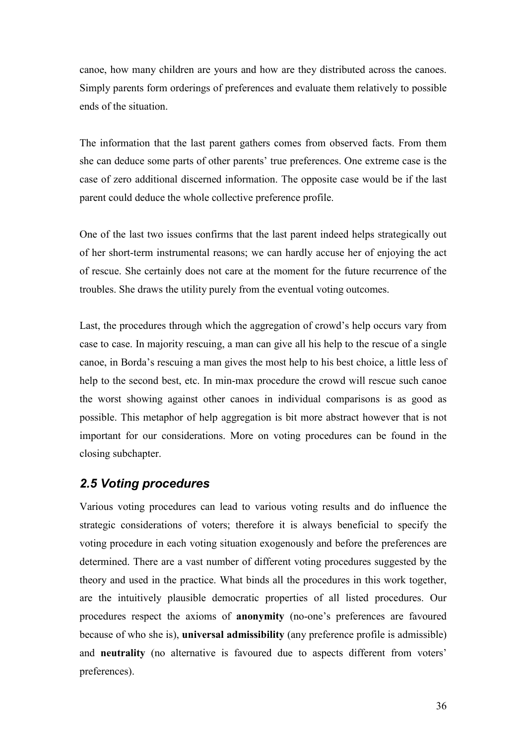<span id="page-35-0"></span>canoe, how many children are yours and how are they distributed across the canoes. Simply parents form orderings of preferences and evaluate them relatively to possible ends of the situation.

The information that the last parent gathers comes from observed facts. From them she can deduce some parts of other parents' true preferences. One extreme case is the case of zero additional discerned information. The opposite case would be if the last parent could deduce the whole collective preference profile.

One of the last two issues confirms that the last parent indeed helps strategically out of her short-term instrumental reasons; we can hardly accuse her of enjoying the act of rescue. She certainly does not care at the moment for the future recurrence of the troubles. She draws the utility purely from the eventual voting outcomes.

Last, the procedures through which the aggregation of crowd's help occurs vary from case to case. In majority rescuing, a man can give all his help to the rescue of a single canoe, in Borda's rescuing a man gives the most help to his best choice, a little less of help to the second best, etc. In min-max procedure the crowd will rescue such canoe the worst showing against other canoes in individual comparisons is as good as possible. This metaphor of help aggregation is bit more abstract however that is not important for our considerations. More on voting procedures can be found in the closing subchapter.

## *2.5 Voting procedures*

Various voting procedures can lead to various voting results and do influence the strategic considerations of voters; therefore it is always beneficial to specify the voting procedure in each voting situation exogenously and before the preferences are determined. There are a vast number of different voting procedures suggested by the theory and used in the practice. What binds all the procedures in this work together, are the intuitively plausible democratic properties of all listed procedures. Our procedures respect the axioms of **anonymity** (no-one's preferences are favoured because of who she is), **universal admissibility** (any preference profile is admissible) and **neutrality** (no alternative is favoured due to aspects different from voters' preferences).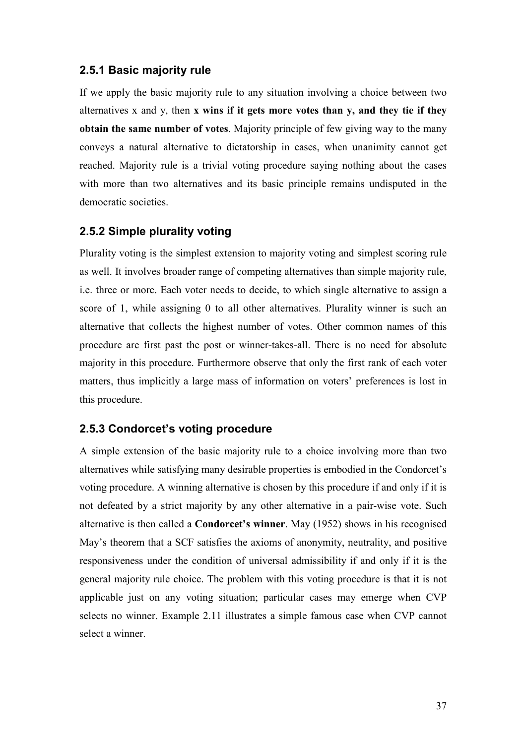### **2.5.1 Basic majority rule**

If we apply the basic majority rule to any situation involving a choice between two alternatives x and y, then **x wins if it gets more votes than y, and they tie if they obtain the same number of votes**. Majority principle of few giving way to the many conveys a natural alternative to dictatorship in cases, when unanimity cannot get reached. Majority rule is a trivial voting procedure saying nothing about the cases with more than two alternatives and its basic principle remains undisputed in the democratic societies.

## **2.5.2 Simple plurality voting**

Plurality voting is the simplest extension to majority voting and simplest scoring rule as well. It involves broader range of competing alternatives than simple majority rule, i.e. three or more. Each voter needs to decide, to which single alternative to assign a score of 1, while assigning 0 to all other alternatives. Plurality winner is such an alternative that collects the highest number of votes. Other common names of this procedure are first past the post or winner-takes-all. There is no need for absolute majority in this procedure. Furthermore observe that only the first rank of each voter matters, thus implicitly a large mass of information on voters' preferences is lost in this procedure.

#### **2.5.3 Condorcet's voting procedure**

A simple extension of the basic majority rule to a choice involving more than two alternatives while satisfying many desirable properties is embodied in the Condorcet's voting procedure. A winning alternative is chosen by this procedure if and only if it is not defeated by a strict majority by any other alternative in a pair-wise vote. Such alternative is then called a **Condorcet's winner**. May (1952) shows in his recognised May's theorem that a SCF satisfies the axioms of anonymity, neutrality, and positive responsiveness under the condition of universal admissibility if and only if it is the general majority rule choice. The problem with this voting procedure is that it is not applicable just on any voting situation; particular cases may emerge when CVP selects no winner. Example 2.11 illustrates a simple famous case when CVP cannot select a winner.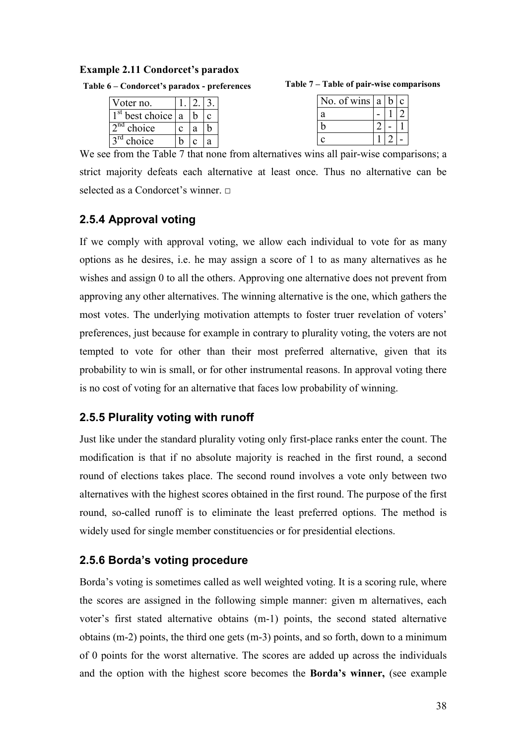#### **Example 2.11 Condorcet's paradox**

| Table 6 – Condorcet's paradox - preferences |  |  |  |
|---------------------------------------------|--|--|--|
|---------------------------------------------|--|--|--|

| Voter no.       |   |  |
|-----------------|---|--|
| best choice   a |   |  |
| choice          | я |  |
| choice          |   |  |

| No. of wins   a    | n | $\mathbf{c}$ |
|--------------------|---|--------------|
| a                  |   |              |
| h                  |   |              |
| $\curvearrowright$ |   |              |
|                    |   |              |

We see from the Table 7 that none from alternatives wins all pair-wise comparisons; a strict majority defeats each alternative at least once. Thus no alternative can be selected as a Condorcet's winner. □

# **2.5.4 Approval voting**

If we comply with approval voting, we allow each individual to vote for as many options as he desires, i.e. he may assign a score of 1 to as many alternatives as he wishes and assign 0 to all the others. Approving one alternative does not prevent from approving any other alternatives. The winning alternative is the one, which gathers the most votes. The underlying motivation attempts to foster truer revelation of voters' preferences, just because for example in contrary to plurality voting, the voters are not tempted to vote for other than their most preferred alternative, given that its probability to win is small, or for other instrumental reasons. In approval voting there is no cost of voting for an alternative that faces low probability of winning.

# **2.5.5 Plurality voting with runoff**

Just like under the standard plurality voting only first-place ranks enter the count. The modification is that if no absolute majority is reached in the first round, a second round of elections takes place. The second round involves a vote only between two alternatives with the highest scores obtained in the first round. The purpose of the first round, so-called runoff is to eliminate the least preferred options. The method is widely used for single member constituencies or for presidential elections.

# **2.5.6 Borda's voting procedure**

Borda's voting is sometimes called as well weighted voting. It is a scoring rule, where the scores are assigned in the following simple manner: given m alternatives, each voter's first stated alternative obtains (m-1) points, the second stated alternative obtains (m-2) points, the third one gets (m-3) points, and so forth, down to a minimum of 0 points for the worst alternative. The scores are added up across the individuals and the option with the highest score becomes the **Borda's winner,** (see example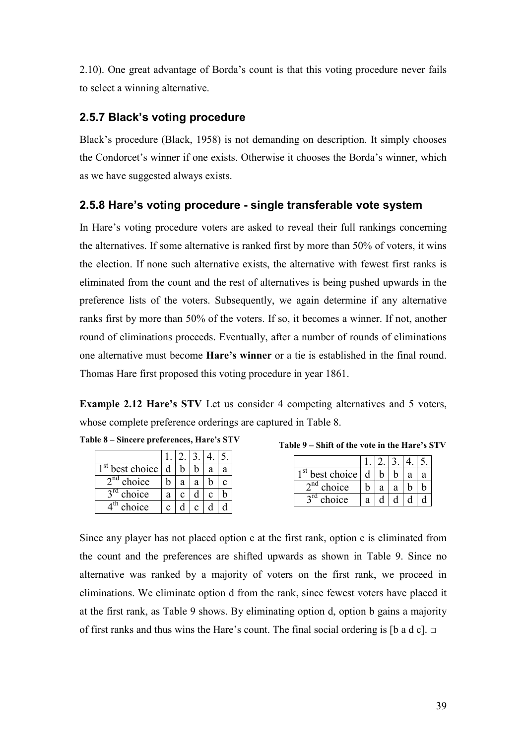2.10). One great advantage of Borda's count is that this voting procedure never fails to select a winning alternative.

### **2.5.7 Black's voting procedure**

Black's procedure (Black, 1958) is not demanding on description. It simply chooses the Condorcet's winner if one exists. Otherwise it chooses the Borda's winner, which as we have suggested always exists.

### **2.5.8 Hare's voting procedure - single transferable vote system**

In Hare's voting procedure voters are asked to reveal their full rankings concerning the alternatives. If some alternative is ranked first by more than 50% of voters, it wins the election. If none such alternative exists, the alternative with fewest first ranks is eliminated from the count and the rest of alternatives is being pushed upwards in the preference lists of the voters. Subsequently, we again determine if any alternative ranks first by more than 50% of the voters. If so, it becomes a winner. If not, another round of eliminations proceeds. Eventually, after a number of rounds of eliminations one alternative must become **Hare's winner** or a tie is established in the final round. Thomas Hare first proposed this voting procedure in year 1861.

**Example 2.12 Hare's STV** Let us consider 4 competing alternatives and 5 voters, whose complete preference orderings are captured in Table 8.

|  |  | Table 8 – Sincere preferences, Hare's STV |  |
|--|--|-------------------------------------------|--|
|--|--|-------------------------------------------|--|

| st<br>best choice         | d |   |   | а | a |
|---------------------------|---|---|---|---|---|
| 2 <sub>nd</sub><br>choice |   | a | a |   | C |
| $3^{\text{rd}}$<br>choice | а |   |   |   |   |
| choice                    | C |   |   |   |   |

**Table 9 – Shift of the vote in the Hare's STV** 

| best choice            | d |   |   | а |  |
|------------------------|---|---|---|---|--|
| $\lambda$ nd<br>choice |   | a | a |   |  |
| $\gamma$ rd<br>choice  | a |   |   |   |  |

Since any player has not placed option c at the first rank, option c is eliminated from the count and the preferences are shifted upwards as shown in Table 9. Since no alternative was ranked by a majority of voters on the first rank, we proceed in eliminations. We eliminate option d from the rank, since fewest voters have placed it at the first rank, as Table 9 shows. By eliminating option d, option b gains a majority of first ranks and thus wins the Hare's count. The final social ordering is [b a d c]. **□**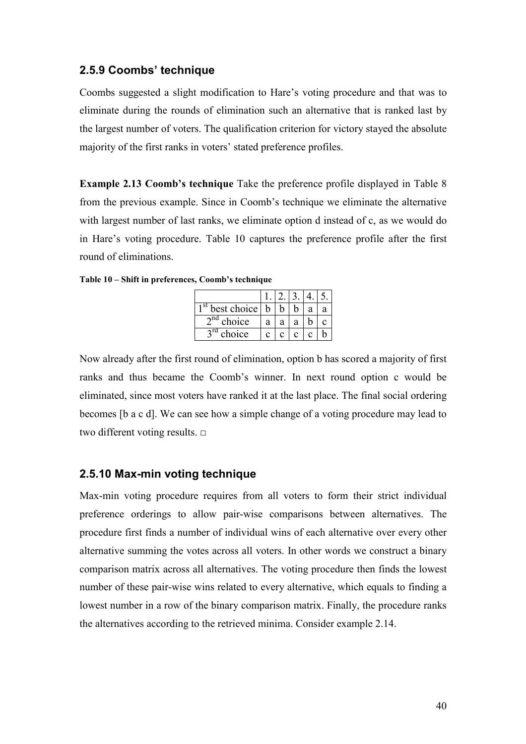### **2.5.9 Coombs' technique**

Coombs suggested a slight modification to Hare's voting procedure and that was to eliminate during the rounds of elimination such an alternative that is ranked last by the largest number of voters. The qualification criterion for victory stayed the absolute majority of the first ranks in voters' stated preference profiles.

**Example 2.13 Coomb's technique** Take the preference profile displayed in Table 8 from the previous example. Since in Coomb's technique we eliminate the alternative with largest number of last ranks, we eliminate option d instead of c, as we would do in Hare's voting procedure. Table 10 captures the preference profile after the first round of eliminations.

| -st<br>best choice    | h |   |   | a | a |
|-----------------------|---|---|---|---|---|
| $\gamma$ nd<br>choice | a | a | a |   |   |
| $\gamma$ rd<br>choice | C |   |   |   |   |

**Table 10 – Shift in preferences, Coomb's technique** 

Now already after the first round of elimination, option b has scored a majority of first ranks and thus became the Coomb's winner. In next round option c would be eliminated, since most voters have ranked it at the last place. The final social ordering becomes [b a c d]. We can see how a simple change of a voting procedure may lead to two different voting results. □

#### **2.5.10 Max-min voting technique**

Max-min voting procedure requires from all voters to form their strict individual preference orderings to allow pair-wise comparisons between alternatives. The procedure first finds a number of individual wins of each alternative over every other alternative summing the votes across all voters. In other words we construct a binary comparison matrix across all alternatives. The voting procedure then finds the lowest number of these pair-wise wins related to every alternative, which equals to finding a lowest number in a row of the binary comparison matrix. Finally, the procedure ranks the alternatives according to the retrieved minima. Consider example 2.14.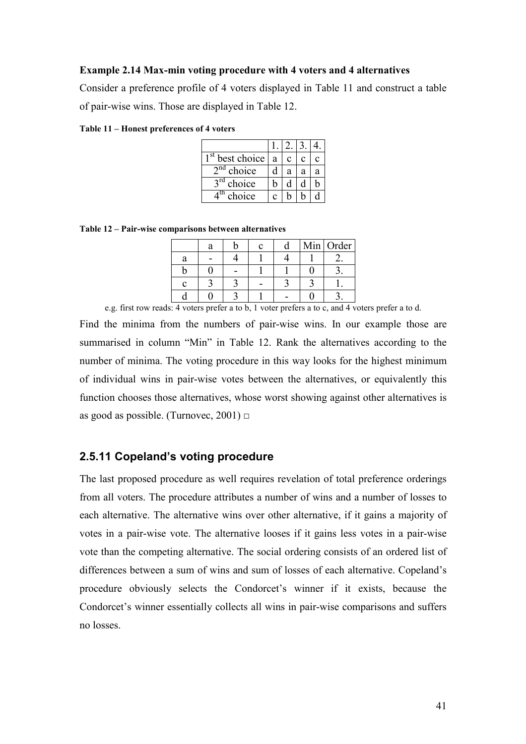#### **Example 2.14 Max-min voting procedure with 4 voters and 4 alternatives**

Consider a preference profile of 4 voters displayed in Table 11 and construct a table of pair-wise wins. Those are displayed in Table 12.

**Table 11 – Honest preferences of 4 voters** 

| best choice               | a | c |   |   |
|---------------------------|---|---|---|---|
| 2 <sub>nd</sub><br>choice | d | a | a | а |
| choice                    | h | d |   | n |
| th<br>choice              | C |   |   |   |

**Table 12 – Pair-wise comparisons between alternatives** 

|   |  |  | Min Order |
|---|--|--|-----------|
| а |  |  |           |
|   |  |  |           |
|   |  |  |           |
|   |  |  |           |

e.g. first row reads: 4 voters prefer a to b, 1 voter prefers a to c, and 4 voters prefer a to d.

Find the minima from the numbers of pair-wise wins. In our example those are summarised in column "Min" in Table 12. Rank the alternatives according to the number of minima. The voting procedure in this way looks for the highest minimum of individual wins in pair-wise votes between the alternatives, or equivalently this function chooses those alternatives, whose worst showing against other alternatives is as good as possible. (Turnovec,  $2001$ )  $\Box$ 

#### **2.5.11 Copeland's voting procedure**

The last proposed procedure as well requires revelation of total preference orderings from all voters. The procedure attributes a number of wins and a number of losses to each alternative. The alternative wins over other alternative, if it gains a majority of votes in a pair-wise vote. The alternative looses if it gains less votes in a pair-wise vote than the competing alternative. The social ordering consists of an ordered list of differences between a sum of wins and sum of losses of each alternative. Copeland's procedure obviously selects the Condorcet's winner if it exists, because the Condorcet's winner essentially collects all wins in pair-wise comparisons and suffers no losses.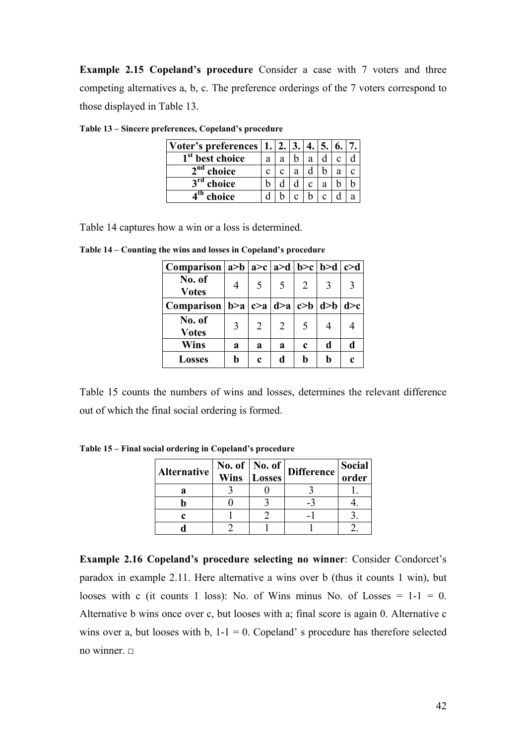**Example 2.15 Copeland's procedure** Consider a case with 7 voters and three competing alternatives a, b, c. The preference orderings of the 7 voters correspond to those displayed in Table 13.

| Voter's preferences   1.    |   |   |   |   |   |  |
|-----------------------------|---|---|---|---|---|--|
| 1 <sup>st</sup> best choice | a | а |   | а |   |  |
| $2nd$ choice                |   |   | a |   |   |  |
| $2^{\text{ra}}$<br>choice   |   |   |   | ◠ | a |  |
| choice                      |   |   |   |   |   |  |

**Table 13 – Sincere preferences, Copeland's procedure** 

Table 14 captures how a win or a loss is determined.

| Comparison $ a>b $ $ a>c $ $ a>d $ $ b>c $ $ b>d $ $ c>d $ |                |             |                          |   |   |   |
|------------------------------------------------------------|----------------|-------------|--------------------------|---|---|---|
| No. of<br><b>Votes</b>                                     | $\overline{4}$ | 5           | $\overline{\mathcal{L}}$ | 2 | 3 |   |
| Comparison   b>a   c>a   d>a   c>b   d>b   d>c             |                |             |                          |   |   |   |
| No. of<br><b>Votes</b>                                     | 3              | 2           | 2                        | 5 | 4 |   |
| <b>Wins</b>                                                | a              | a           | a                        | c | d | d |
| <b>Losses</b>                                              | b              | $\mathbf c$ | d                        | h | b | c |

**Table 14 – Counting the wins and losses in Copeland's procedure** 

Table 15 counts the numbers of wins and losses, determines the relevant difference out of which the final social ordering is formed.

**Table 15 – Final social ordering in Copeland's procedure** 

| <b>Alternative</b> | <b>Wins</b> | <b>Losses</b> | $\sqrt{\text{No. of}}$   No. of   Difference | <b>Social</b><br>order |
|--------------------|-------------|---------------|----------------------------------------------|------------------------|
|                    |             |               |                                              |                        |
|                    |             |               |                                              |                        |
|                    |             |               |                                              |                        |
|                    |             |               |                                              |                        |

**Example 2.16 Copeland's procedure selecting no winner**: Consider Condorcet's paradox in example 2.11. Here alternative a wins over b (thus it counts 1 win), but looses with c (it counts 1 loss): No. of Wins minus No. of Losses  $= 1-1 = 0$ . Alternative b wins once over c, but looses with a; final score is again 0. Alternative c wins over a, but looses with b,  $1-1 = 0$ . Copeland' s procedure has therefore selected no winner.  $□$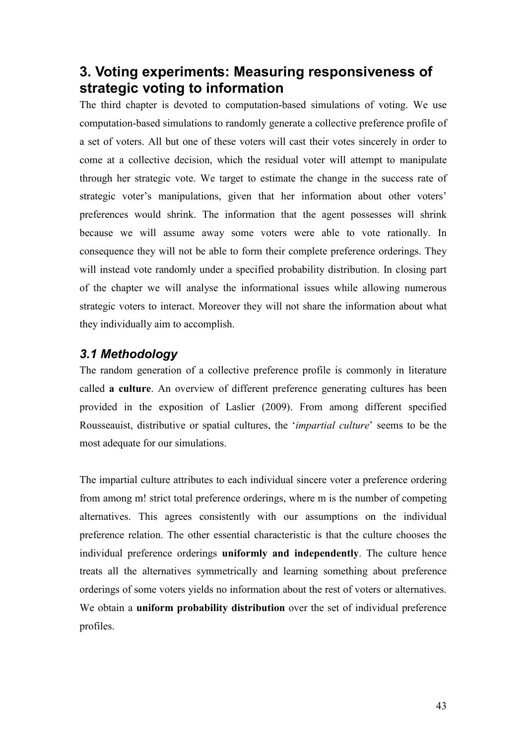# **3. Voting experiments: Measuring responsiveness of strategic voting to information**

The third chapter is devoted to computation-based simulations of voting. We use computation-based simulations to randomly generate a collective preference profile of a set of voters. All but one of these voters will cast their votes sincerely in order to come at a collective decision, which the residual voter will attempt to manipulate through her strategic vote. We target to estimate the change in the success rate of strategic voter's manipulations, given that her information about other voters' preferences would shrink. The information that the agent possesses will shrink because we will assume away some voters were able to vote rationally. In consequence they will not be able to form their complete preference orderings. They will instead vote randomly under a specified probability distribution. In closing part of the chapter we will analyse the informational issues while allowing numerous strategic voters to interact. Moreover they will not share the information about what they individually aim to accomplish.

# *3.1 Methodology*

The random generation of a collective preference profile is commonly in literature called **a culture**. An overview of different preference generating cultures has been provided in the exposition of Laslier (2009). From among different specified Rousseauist, distributive or spatial cultures, the '*impartial culture*' seems to be the most adequate for our simulations.

The impartial culture attributes to each individual sincere voter a preference ordering from among m! strict total preference orderings, where m is the number of competing alternatives. This agrees consistently with our assumptions on the individual preference relation. The other essential characteristic is that the culture chooses the individual preference orderings **uniformly and independently**. The culture hence treats all the alternatives symmetrically and learning something about preference orderings of some voters yields no information about the rest of voters or alternatives. We obtain a **uniform probability distribution** over the set of individual preference profiles.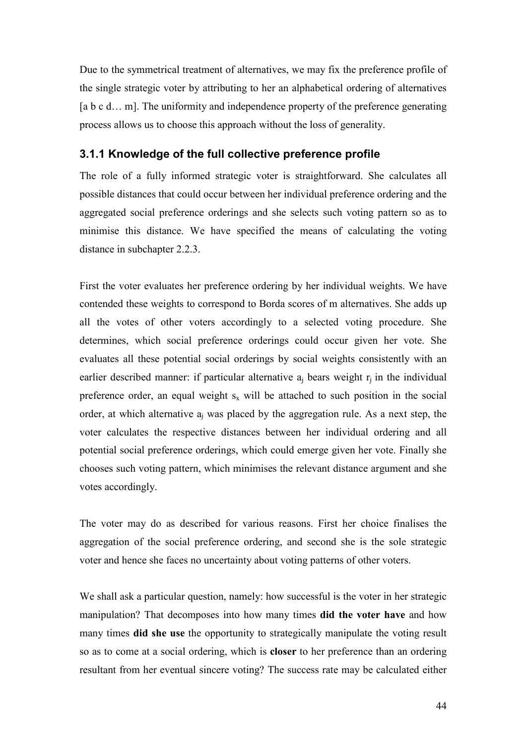Due to the symmetrical treatment of alternatives, we may fix the preference profile of the single strategic voter by attributing to her an alphabetical ordering of alternatives [a b c d... m]. The uniformity and independence property of the preference generating process allows us to choose this approach without the loss of generality.

### **3.1.1 Knowledge of the full collective preference profile**

The role of a fully informed strategic voter is straightforward. She calculates all possible distances that could occur between her individual preference ordering and the aggregated social preference orderings and she selects such voting pattern so as to minimise this distance. We have specified the means of calculating the voting distance in subchapter 2.2.3.

First the voter evaluates her preference ordering by her individual weights. We have contended these weights to correspond to Borda scores of m alternatives. She adds up all the votes of other voters accordingly to a selected voting procedure. She determines, which social preference orderings could occur given her vote. She evaluates all these potential social orderings by social weights consistently with an earlier described manner: if particular alternative  $a_j$  bears weight  $r_j$  in the individual preference order, an equal weight  $s_x$  will be attached to such position in the social order, at which alternative  $a_j$  was placed by the aggregation rule. As a next step, the voter calculates the respective distances between her individual ordering and all potential social preference orderings, which could emerge given her vote. Finally she chooses such voting pattern, which minimises the relevant distance argument and she votes accordingly.

The voter may do as described for various reasons. First her choice finalises the aggregation of the social preference ordering, and second she is the sole strategic voter and hence she faces no uncertainty about voting patterns of other voters.

We shall ask a particular question, namely: how successful is the voter in her strategic manipulation? That decomposes into how many times **did the voter have** and how many times **did she use** the opportunity to strategically manipulate the voting result so as to come at a social ordering, which is **closer** to her preference than an ordering resultant from her eventual sincere voting? The success rate may be calculated either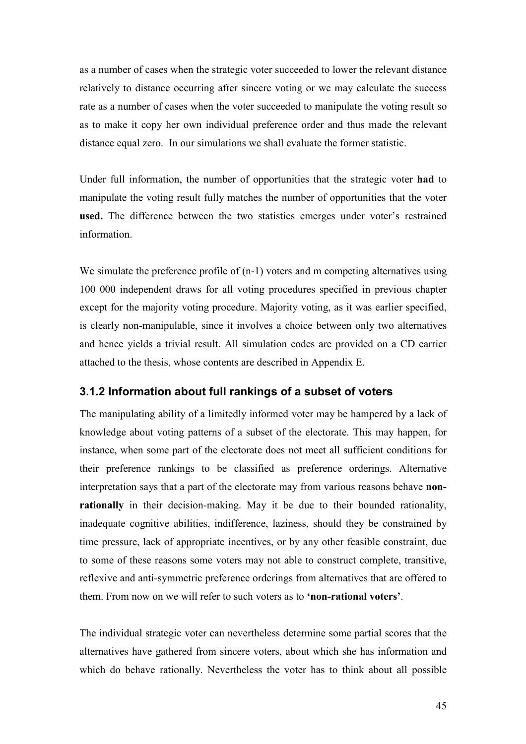as a number of cases when the strategic voter succeeded to lower the relevant distance relatively to distance occurring after sincere voting or we may calculate the success rate as a number of cases when the voter succeeded to manipulate the voting result so as to make it copy her own individual preference order and thus made the relevant distance equal zero. In our simulations we shall evaluate the former statistic.

Under full information, the number of opportunities that the strategic voter **had** to manipulate the voting result fully matches the number of opportunities that the voter **used.** The difference between the two statistics emerges under voter's restrained information.

We simulate the preference profile of  $(n-1)$  voters and m competing alternatives using 100 000 independent draws for all voting procedures specified in previous chapter except for the majority voting procedure. Majority voting, as it was earlier specified, is clearly non-manipulable, since it involves a choice between only two alternatives and hence yields a trivial result. All simulation codes are provided on a CD carrier attached to the thesis, whose contents are described in Appendix E.

### **3.1.2 Information about full rankings of a subset of voters**

The manipulating ability of a limitedly informed voter may be hampered by a lack of knowledge about voting patterns of a subset of the electorate. This may happen, for instance, when some part of the electorate does not meet all sufficient conditions for their preference rankings to be classified as preference orderings. Alternative interpretation says that a part of the electorate may from various reasons behave **nonrationally** in their decision-making. May it be due to their bounded rationality, inadequate cognitive abilities, indifference, laziness, should they be constrained by time pressure, lack of appropriate incentives, or by any other feasible constraint, due to some of these reasons some voters may not able to construct complete, transitive, reflexive and anti-symmetric preference orderings from alternatives that are offered to them. From now on we will refer to such voters as to **'non-rational voters'**.

The individual strategic voter can nevertheless determine some partial scores that the alternatives have gathered from sincere voters, about which she has information and which do behave rationally. Nevertheless the voter has to think about all possible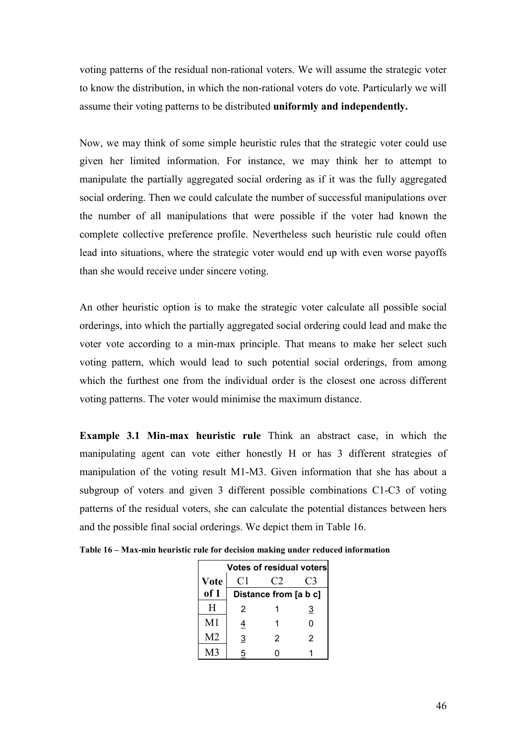voting patterns of the residual non-rational voters. We will assume the strategic voter to know the distribution, in which the non-rational voters do vote. Particularly we will assume their voting patterns to be distributed **uniformly and independently.** 

Now, we may think of some simple heuristic rules that the strategic voter could use given her limited information. For instance, we may think her to attempt to manipulate the partially aggregated social ordering as if it was the fully aggregated social ordering. Then we could calculate the number of successful manipulations over the number of all manipulations that were possible if the voter had known the complete collective preference profile. Nevertheless such heuristic rule could often lead into situations, where the strategic voter would end up with even worse payoffs than she would receive under sincere voting.

An other heuristic option is to make the strategic voter calculate all possible social orderings, into which the partially aggregated social ordering could lead and make the voter vote according to a min-max principle. That means to make her select such voting pattern, which would lead to such potential social orderings, from among which the furthest one from the individual order is the closest one across different voting patterns. The voter would minimise the maximum distance.

**Example 3.1 Min-max heuristic rule** Think an abstract case, in which the manipulating agent can vote either honestly H or has 3 different strategies of manipulation of the voting result M1-M3. Given information that she has about a subgroup of voters and given 3 different possible combinations C1-C3 of voting patterns of the residual voters, she can calculate the potential distances between hers and the possible final social orderings. We depict them in Table 16.

|                |                | <b>Votes of residual voters</b> |          |
|----------------|----------------|---------------------------------|----------|
| <b>Vote</b>    | C1             | C2                              | C3       |
| of 1           |                | Distance from [a b c]           |          |
| H              | 2              |                                 | <u>3</u> |
| M1             | <u>4</u>       |                                 | 0        |
| M <sub>2</sub> | $\overline{3}$ | 2                               | 2        |
| M3             | 5              |                                 |          |

| Table 16 – Max-min heuristic rule for decision making under reduced information |  |  |  |
|---------------------------------------------------------------------------------|--|--|--|
|---------------------------------------------------------------------------------|--|--|--|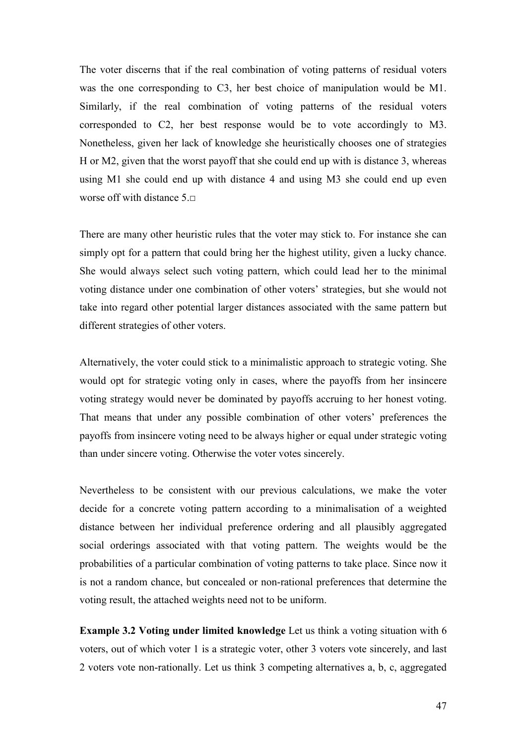The voter discerns that if the real combination of voting patterns of residual voters was the one corresponding to C3, her best choice of manipulation would be M1. Similarly, if the real combination of voting patterns of the residual voters corresponded to C2, her best response would be to vote accordingly to M3. Nonetheless, given her lack of knowledge she heuristically chooses one of strategies H or M2, given that the worst payoff that she could end up with is distance 3, whereas using M1 she could end up with distance 4 and using M3 she could end up even worse off with distance 5.□

There are many other heuristic rules that the voter may stick to. For instance she can simply opt for a pattern that could bring her the highest utility, given a lucky chance. She would always select such voting pattern, which could lead her to the minimal voting distance under one combination of other voters' strategies, but she would not take into regard other potential larger distances associated with the same pattern but different strategies of other voters.

Alternatively, the voter could stick to a minimalistic approach to strategic voting. She would opt for strategic voting only in cases, where the payoffs from her insincere voting strategy would never be dominated by payoffs accruing to her honest voting. That means that under any possible combination of other voters' preferences the payoffs from insincere voting need to be always higher or equal under strategic voting than under sincere voting. Otherwise the voter votes sincerely.

Nevertheless to be consistent with our previous calculations, we make the voter decide for a concrete voting pattern according to a minimalisation of a weighted distance between her individual preference ordering and all plausibly aggregated social orderings associated with that voting pattern. The weights would be the probabilities of a particular combination of voting patterns to take place. Since now it is not a random chance, but concealed or non-rational preferences that determine the voting result, the attached weights need not to be uniform.

**Example 3.2 Voting under limited knowledge** Let us think a voting situation with 6 voters, out of which voter 1 is a strategic voter, other 3 voters vote sincerely, and last 2 voters vote non-rationally. Let us think 3 competing alternatives a, b, c, aggregated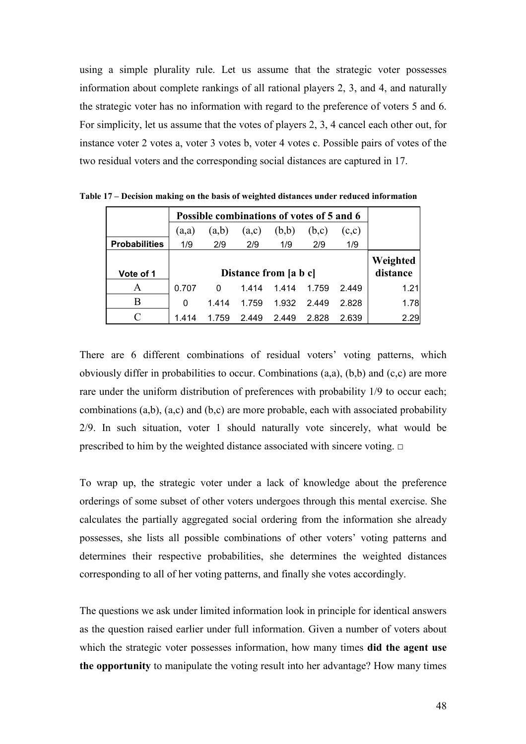using a simple plurality rule. Let us assume that the strategic voter possesses information about complete rankings of all rational players 2, 3, and 4, and naturally the strategic voter has no information with regard to the preference of voters 5 and 6. For simplicity, let us assume that the votes of players 2, 3, 4 cancel each other out, for instance voter 2 votes a, voter 3 votes b, voter 4 votes c. Possible pairs of votes of the two residual voters and the corresponding social distances are captured in 17.

|                      |       | Possible combinations of votes of 5 and 6 |       |                       |       |       |          |
|----------------------|-------|-------------------------------------------|-------|-----------------------|-------|-------|----------|
|                      | (a,a) | (a,b)                                     | (a,c) | (b,b)                 | (b,c) | (c,c) |          |
| <b>Probabilities</b> | 1/9   | 2/9                                       | 2/9   | 1/9                   | 2/9   | 1/9   |          |
|                      |       |                                           |       |                       |       |       | Weighted |
| Vote of 1            |       |                                           |       | Distance from [a b c] |       |       | distance |
| A                    | 0.707 | 0                                         | 1.414 | 1.414                 | 1.759 | 2.449 | 1.21     |
| В                    | 0     | 1414                                      | 1.759 | 1.932                 | 2.449 | 2.828 | 1.78     |
|                      | 1.414 | 1.759                                     | 2.449 | 2.449                 | 2.828 | 2.639 | 2.29     |

**Table 17 – Decision making on the basis of weighted distances under reduced information** 

There are 6 different combinations of residual voters' voting patterns, which obviously differ in probabilities to occur. Combinations (a,a), (b,b) and (c,c) are more rare under the uniform distribution of preferences with probability 1/9 to occur each; combinations (a,b), (a,c) and (b,c) are more probable, each with associated probability 2/9. In such situation, voter 1 should naturally vote sincerely, what would be prescribed to him by the weighted distance associated with sincere voting.  $\Box$ 

To wrap up, the strategic voter under a lack of knowledge about the preference orderings of some subset of other voters undergoes through this mental exercise. She calculates the partially aggregated social ordering from the information she already possesses, she lists all possible combinations of other voters' voting patterns and determines their respective probabilities, she determines the weighted distances corresponding to all of her voting patterns, and finally she votes accordingly.

The questions we ask under limited information look in principle for identical answers as the question raised earlier under full information. Given a number of voters about which the strategic voter possesses information, how many times **did the agent use the opportunity** to manipulate the voting result into her advantage? How many times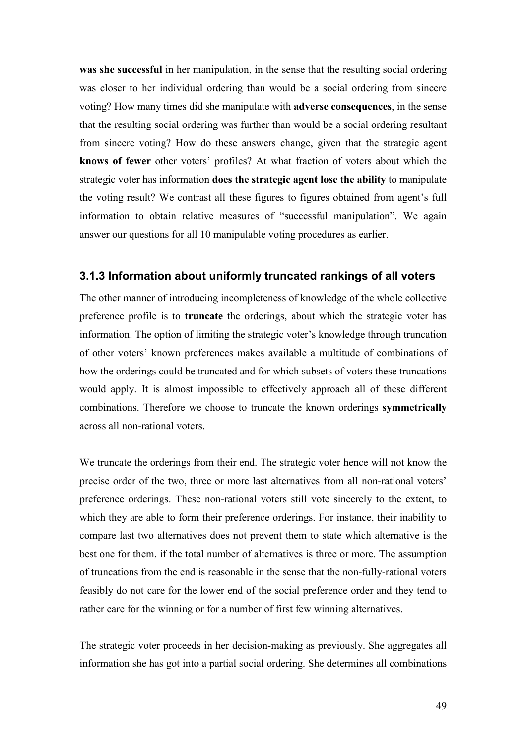**was she successful** in her manipulation, in the sense that the resulting social ordering was closer to her individual ordering than would be a social ordering from sincere voting? How many times did she manipulate with **adverse consequences**, in the sense that the resulting social ordering was further than would be a social ordering resultant from sincere voting? How do these answers change, given that the strategic agent **knows of fewer** other voters' profiles? At what fraction of voters about which the strategic voter has information **does the strategic agent lose the ability** to manipulate the voting result? We contrast all these figures to figures obtained from agent's full information to obtain relative measures of "successful manipulation". We again answer our questions for all 10 manipulable voting procedures as earlier.

### **3.1.3 Information about uniformly truncated rankings of all voters**

The other manner of introducing incompleteness of knowledge of the whole collective preference profile is to **truncate** the orderings, about which the strategic voter has information. The option of limiting the strategic voter's knowledge through truncation of other voters' known preferences makes available a multitude of combinations of how the orderings could be truncated and for which subsets of voters these truncations would apply. It is almost impossible to effectively approach all of these different combinations. Therefore we choose to truncate the known orderings **symmetrically** across all non-rational voters.

We truncate the orderings from their end. The strategic voter hence will not know the precise order of the two, three or more last alternatives from all non-rational voters' preference orderings. These non-rational voters still vote sincerely to the extent, to which they are able to form their preference orderings. For instance, their inability to compare last two alternatives does not prevent them to state which alternative is the best one for them, if the total number of alternatives is three or more. The assumption of truncations from the end is reasonable in the sense that the non-fully-rational voters feasibly do not care for the lower end of the social preference order and they tend to rather care for the winning or for a number of first few winning alternatives.

The strategic voter proceeds in her decision-making as previously. She aggregates all information she has got into a partial social ordering. She determines all combinations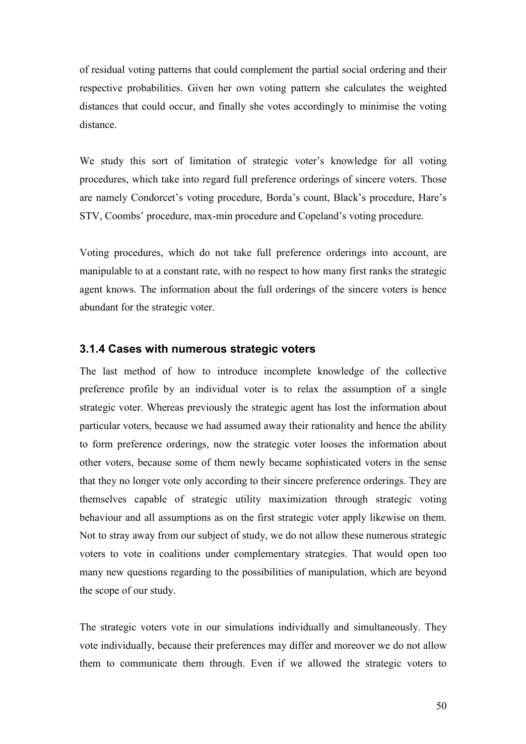of residual voting patterns that could complement the partial social ordering and their respective probabilities. Given her own voting pattern she calculates the weighted distances that could occur, and finally she votes accordingly to minimise the voting distance.

We study this sort of limitation of strategic voter's knowledge for all voting procedures, which take into regard full preference orderings of sincere voters. Those are namely Condorcet's voting procedure, Borda's count, Black's procedure, Hare's STV, Coombs' procedure, max-min procedure and Copeland's voting procedure.

Voting procedures, which do not take full preference orderings into account, are manipulable to at a constant rate, with no respect to how many first ranks the strategic agent knows. The information about the full orderings of the sincere voters is hence abundant for the strategic voter.

#### **3.1.4 Cases with numerous strategic voters**

The last method of how to introduce incomplete knowledge of the collective preference profile by an individual voter is to relax the assumption of a single strategic voter. Whereas previously the strategic agent has lost the information about particular voters, because we had assumed away their rationality and hence the ability to form preference orderings, now the strategic voter looses the information about other voters, because some of them newly became sophisticated voters in the sense that they no longer vote only according to their sincere preference orderings. They are themselves capable of strategic utility maximization through strategic voting behaviour and all assumptions as on the first strategic voter apply likewise on them. Not to stray away from our subject of study, we do not allow these numerous strategic voters to vote in coalitions under complementary strategies. That would open too many new questions regarding to the possibilities of manipulation, which are beyond the scope of our study.

The strategic voters vote in our simulations individually and simultaneously. They vote individually, because their preferences may differ and moreover we do not allow them to communicate them through. Even if we allowed the strategic voters to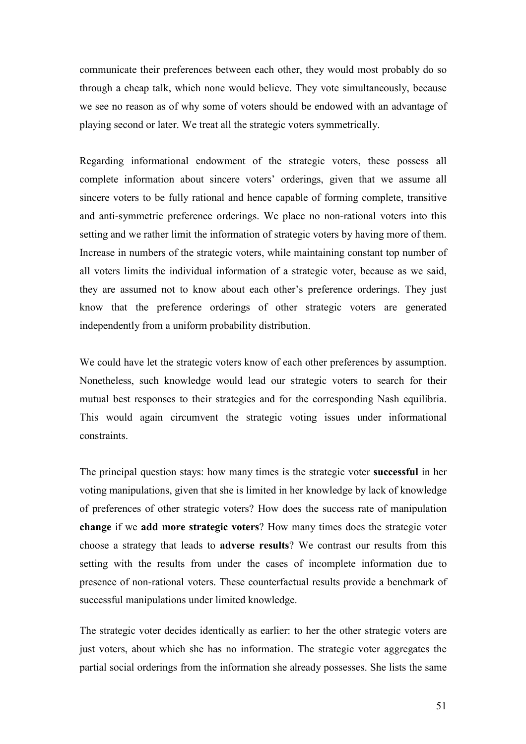communicate their preferences between each other, they would most probably do so through a cheap talk, which none would believe. They vote simultaneously, because we see no reason as of why some of voters should be endowed with an advantage of playing second or later. We treat all the strategic voters symmetrically.

Regarding informational endowment of the strategic voters, these possess all complete information about sincere voters' orderings, given that we assume all sincere voters to be fully rational and hence capable of forming complete, transitive and anti-symmetric preference orderings. We place no non-rational voters into this setting and we rather limit the information of strategic voters by having more of them. Increase in numbers of the strategic voters, while maintaining constant top number of all voters limits the individual information of a strategic voter, because as we said, they are assumed not to know about each other's preference orderings. They just know that the preference orderings of other strategic voters are generated independently from a uniform probability distribution.

We could have let the strategic voters know of each other preferences by assumption. Nonetheless, such knowledge would lead our strategic voters to search for their mutual best responses to their strategies and for the corresponding Nash equilibria. This would again circumvent the strategic voting issues under informational constraints.

The principal question stays: how many times is the strategic voter **successful** in her voting manipulations, given that she is limited in her knowledge by lack of knowledge of preferences of other strategic voters? How does the success rate of manipulation **change** if we **add more strategic voters**? How many times does the strategic voter choose a strategy that leads to **adverse results**? We contrast our results from this setting with the results from under the cases of incomplete information due to presence of non-rational voters. These counterfactual results provide a benchmark of successful manipulations under limited knowledge.

The strategic voter decides identically as earlier: to her the other strategic voters are just voters, about which she has no information. The strategic voter aggregates the partial social orderings from the information she already possesses. She lists the same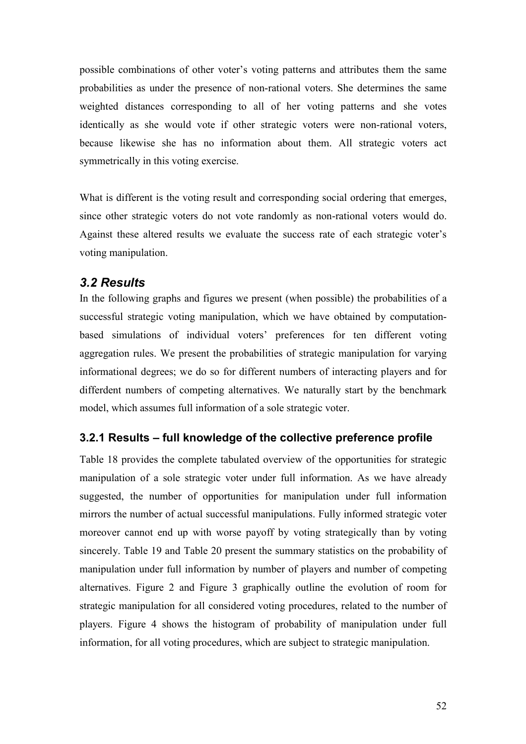possible combinations of other voter's voting patterns and attributes them the same probabilities as under the presence of non-rational voters. She determines the same weighted distances corresponding to all of her voting patterns and she votes identically as she would vote if other strategic voters were non-rational voters, because likewise she has no information about them. All strategic voters act symmetrically in this voting exercise.

What is different is the voting result and corresponding social ordering that emerges, since other strategic voters do not vote randomly as non-rational voters would do. Against these altered results we evaluate the success rate of each strategic voter's voting manipulation.

# *3.2 Results*

In the following graphs and figures we present (when possible) the probabilities of a successful strategic voting manipulation, which we have obtained by computationbased simulations of individual voters' preferences for ten different voting aggregation rules. We present the probabilities of strategic manipulation for varying informational degrees; we do so for different numbers of interacting players and for differdent numbers of competing alternatives. We naturally start by the benchmark model, which assumes full information of a sole strategic voter.

# **3.2.1 Results – full knowledge of the collective preference profile**

Table 18 provides the complete tabulated overview of the opportunities for strategic manipulation of a sole strategic voter under full information. As we have already suggested, the number of opportunities for manipulation under full information mirrors the number of actual successful manipulations. Fully informed strategic voter moreover cannot end up with worse payoff by voting strategically than by voting sincerely. Table 19 and Table 20 present the summary statistics on the probability of manipulation under full information by number of players and number of competing alternatives. Figure 2 and Figure 3 graphically outline the evolution of room for strategic manipulation for all considered voting procedures, related to the number of players. Figure 4 shows the histogram of probability of manipulation under full information, for all voting procedures, which are subject to strategic manipulation.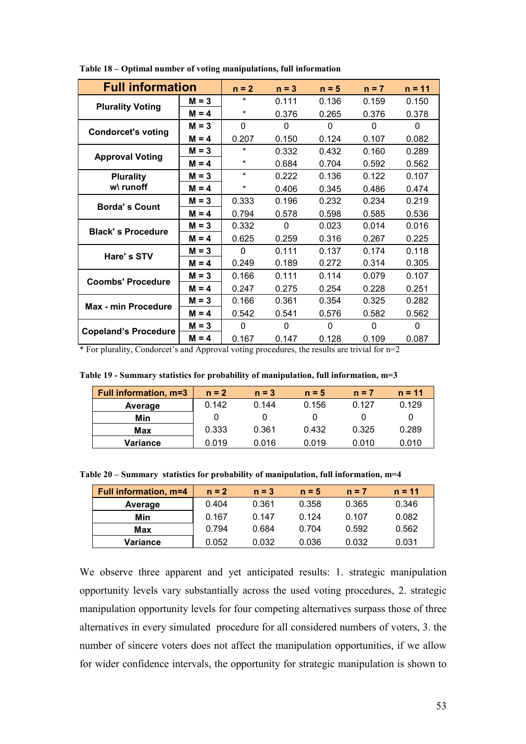| <b>Full information</b>     |         | $n = 2$  | $n = 3$      | $n = 5$      | $n = 7$  | $n = 11$ |
|-----------------------------|---------|----------|--------------|--------------|----------|----------|
|                             | $M = 3$ | $\star$  | 0.111        | 0.136        | 0.159    | 0.150    |
| <b>Plurality Voting</b>     | $M = 4$ | $^\star$ | 0.376        | 0.265        | 0.376    | 0.378    |
|                             | $M = 3$ | 0        | $\Omega$     | $\Omega$     | $\Omega$ | $\Omega$ |
| <b>Condorcet's voting</b>   | $M = 4$ | 0.207    | 0.150        | 0.124        | 0.107    | 0.082    |
| <b>Approval Voting</b>      | $M = 3$ | $\star$  | 0.332        | 0.432        | 0.160    | 0.289    |
|                             | $M = 4$ | $\ast$   | 0.684        | 0.704        | 0.592    | 0.562    |
| <b>Plurality</b>            | $M = 3$ | $\star$  | 0.222        | 0.136        | 0.122    | 0.107    |
| w\ runoff                   | $M = 4$ | $^\star$ | 0.406        | 0.345        | 0.486    | 0.474    |
| <b>Borda's Count</b>        | $M = 3$ | 0.333    | 0.196        | 0.232        | 0.234    | 0.219    |
|                             | $M = 4$ | 0.794    | 0.578        | 0.598        | 0.585    | 0.536    |
| <b>Black's Procedure</b>    | $M = 3$ | 0.332    | $\Omega$     | 0.023        | 0.014    | 0.016    |
|                             | $M = 4$ | 0.625    | 0.259        | 0.316        | 0.267    | 0.225    |
| Hare's STV                  | $M = 3$ | 0        | 0.111        | 0.137        | 0.174    | 0.118    |
|                             | $M = 4$ | 0.249    | 0.189        | 0.272        | 0.314    | 0.305    |
| <b>Coombs' Procedure</b>    | $M = 3$ | 0.166    | 0.111        | 0.114        | 0.079    | 0.107    |
|                             | $M = 4$ | 0.247    | 0.275        | 0.254        | 0.228    | 0.251    |
| Max - min Procedure         | $M = 3$ | 0.166    | 0.361        | 0.354        | 0.325    | 0.282    |
|                             | $M = 4$ | 0.542    | 0.541        | 0.576        | 0.582    | 0.562    |
| <b>Copeland's Procedure</b> | $M = 3$ | 0        | $\mathbf{0}$ | $\mathbf{0}$ | 0        | 0        |
|                             | $M = 4$ | 0.167    | 0.147        | 0.128        | 0.109    | 0.087    |

**Table 18 – Optimal number of voting manipulations, full information** 

\* For plurality, Condorcet's and Approval voting procedures, the results are trivial for n=2

|  |  | Table 19 - Summary statistics for probability of manipulation, full information, $m=3$ |
|--|--|----------------------------------------------------------------------------------------|
|  |  |                                                                                        |

| <b>Full information, m=3</b> | $n = 2$ | $n = 3$ | $n = 5$ | $n = 7$ | $n = 11$ |
|------------------------------|---------|---------|---------|---------|----------|
| Average                      | 0.142   | 0.144   | 0.156   | 0.127   | 0.129    |
| Min                          |         |         |         |         |          |
| Max                          | 0.333   | 0.361   | 0.432   | 0.325   | 0.289    |
| Variance                     | 0.019   | 0.016   | 0.019   | 0.010   | 0.010    |

**Table 20 – Summary statistics for probability of manipulation, full information, m=4** 

| <b>Full information, m=4</b> | $n = 2$ | $n = 3$ | $n = 5$ | $n = 7$ | $n = 11$ |
|------------------------------|---------|---------|---------|---------|----------|
| Average                      | 0.404   | 0.361   | 0.358   | 0.365   | 0.346    |
| Min                          | 0.167   | 0.147   | 0.124   | 0.107   | 0.082    |
| Max                          | 0.794   | 0.684   | 0.704   | 0.592   | 0.562    |
| Variance                     | 0.052   | 0.032   | 0.036   | 0.032   | 0.031    |

We observe three apparent and yet anticipated results: 1. strategic manipulation opportunity levels vary substantially across the used voting procedures, 2. strategic manipulation opportunity levels for four competing alternatives surpass those of three alternatives in every simulated procedure for all considered numbers of voters, 3. the number of sincere voters does not affect the manipulation opportunities, if we allow for wider confidence intervals, the opportunity for strategic manipulation is shown to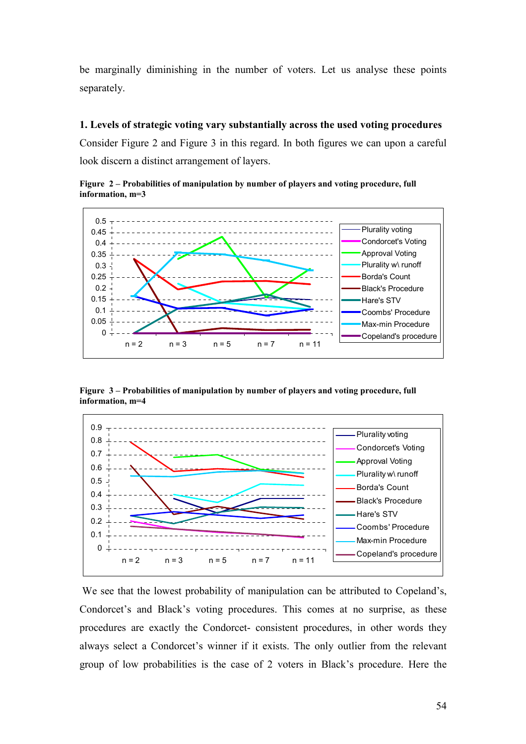be marginally diminishing in the number of voters. Let us analyse these points separately.

#### **1. Levels of strategic voting vary substantially across the used voting procedures**

Consider Figure 2 and Figure 3 in this regard. In both figures we can upon a careful look discern a distinct arrangement of layers.

**Figure 2 – Probabilities of manipulation by number of players and voting procedure, full information, m=3** 



**Figure 3 – Probabilities of manipulation by number of players and voting procedure, full information, m=4** 



We see that the lowest probability of manipulation can be attributed to Copeland's, Condorcet's and Black's voting procedures. This comes at no surprise, as these procedures are exactly the Condorcet- consistent procedures, in other words they always select a Condorcet's winner if it exists. The only outlier from the relevant group of low probabilities is the case of 2 voters in Black's procedure. Here the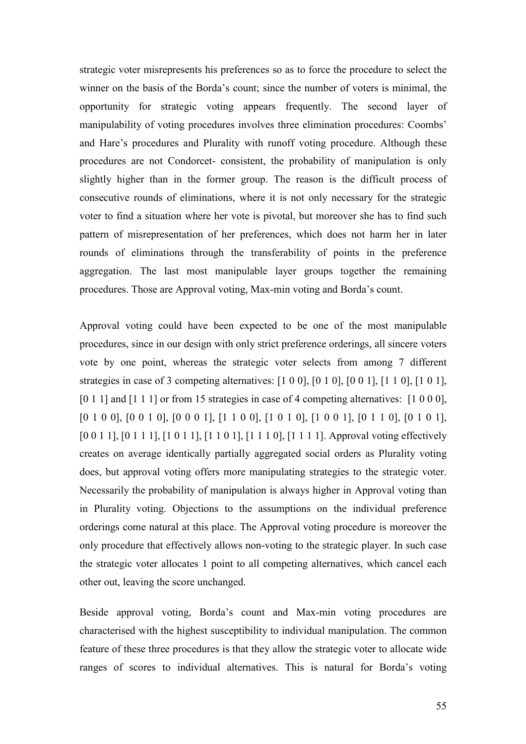strategic voter misrepresents his preferences so as to force the procedure to select the winner on the basis of the Borda's count; since the number of voters is minimal, the opportunity for strategic voting appears frequently. The second layer of manipulability of voting procedures involves three elimination procedures: Coombs' and Hare's procedures and Plurality with runoff voting procedure. Although these procedures are not Condorcet- consistent, the probability of manipulation is only slightly higher than in the former group. The reason is the difficult process of consecutive rounds of eliminations, where it is not only necessary for the strategic voter to find a situation where her vote is pivotal, but moreover she has to find such pattern of misrepresentation of her preferences, which does not harm her in later rounds of eliminations through the transferability of points in the preference aggregation. The last most manipulable layer groups together the remaining procedures. Those are Approval voting, Max-min voting and Borda's count.

Approval voting could have been expected to be one of the most manipulable procedures, since in our design with only strict preference orderings, all sincere voters vote by one point, whereas the strategic voter selects from among 7 different strategies in case of 3 competing alternatives: [1 0 0], [0 1 0], [0 0 1], [1 1 0], [1 0 1], [0 1 1] and [1 1 1] or from 15 strategies in case of 4 competing alternatives: [1 0 0 0], [0 1 0 0], [0 0 1 0], [0 0 0 1], [1 1 0 0], [1 0 1 0], [1 0 0 1], [0 1 1 0], [0 1 0 1], [0 0 1 1], [0 1 1 1], [1 0 1 1], [1 1 0 1], [1 1 1 0], [1 1 1 1]. Approval voting effectively creates on average identically partially aggregated social orders as Plurality voting does, but approval voting offers more manipulating strategies to the strategic voter. Necessarily the probability of manipulation is always higher in Approval voting than in Plurality voting. Objections to the assumptions on the individual preference orderings come natural at this place. The Approval voting procedure is moreover the only procedure that effectively allows non-voting to the strategic player. In such case the strategic voter allocates 1 point to all competing alternatives, which cancel each other out, leaving the score unchanged.

Beside approval voting, Borda's count and Max-min voting procedures are characterised with the highest susceptibility to individual manipulation. The common feature of these three procedures is that they allow the strategic voter to allocate wide ranges of scores to individual alternatives. This is natural for Borda's voting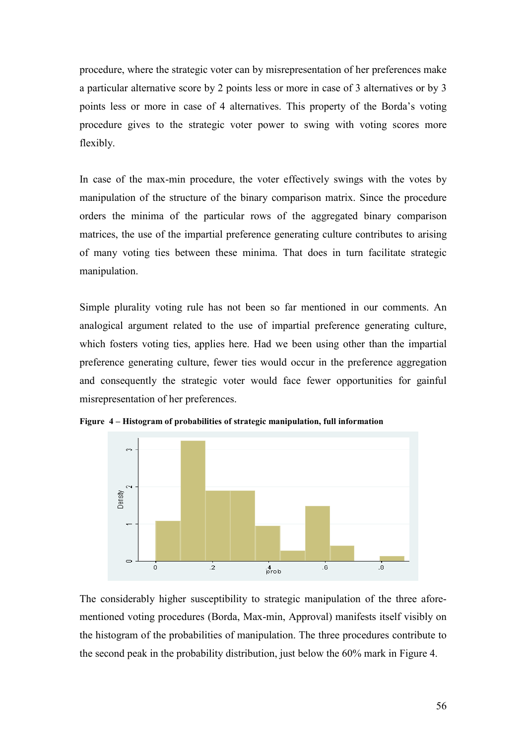procedure, where the strategic voter can by misrepresentation of her preferences make a particular alternative score by 2 points less or more in case of 3 alternatives or by 3 points less or more in case of 4 alternatives. This property of the Borda's voting procedure gives to the strategic voter power to swing with voting scores more flexibly.

In case of the max-min procedure, the voter effectively swings with the votes by manipulation of the structure of the binary comparison matrix. Since the procedure orders the minima of the particular rows of the aggregated binary comparison matrices, the use of the impartial preference generating culture contributes to arising of many voting ties between these minima. That does in turn facilitate strategic manipulation.

Simple plurality voting rule has not been so far mentioned in our comments. An analogical argument related to the use of impartial preference generating culture, which fosters voting ties, applies here. Had we been using other than the impartial preference generating culture, fewer ties would occur in the preference aggregation and consequently the strategic voter would face fewer opportunities for gainful misrepresentation of her preferences.



**Figure 4 – Histogram of probabilities of strategic manipulation, full information** 

The considerably higher susceptibility to strategic manipulation of the three aforementioned voting procedures (Borda, Max-min, Approval) manifests itself visibly on the histogram of the probabilities of manipulation. The three procedures contribute to the second peak in the probability distribution, just below the 60% mark in Figure 4.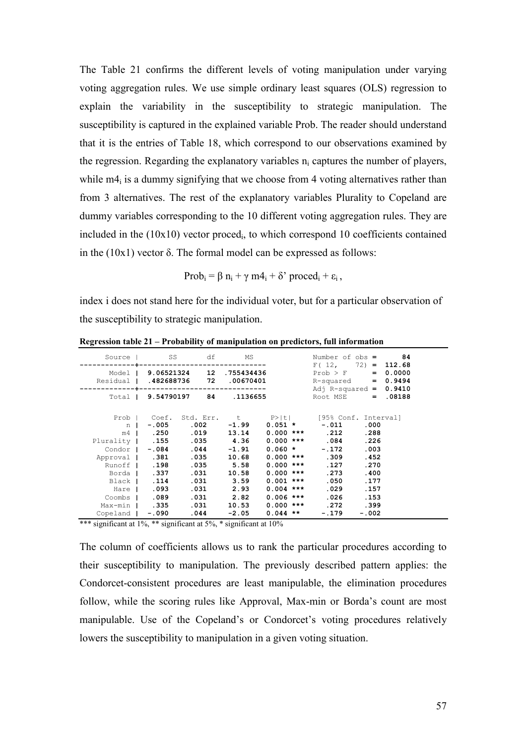The Table 21 confirms the different levels of voting manipulation under varying voting aggregation rules. We use simple ordinary least squares (OLS) regression to explain the variability in the susceptibility to strategic manipulation. The susceptibility is captured in the explained variable Prob. The reader should understand that it is the entries of Table 18, which correspond to our observations examined by the regression. Regarding the explanatory variables  $n_i$  captures the number of players, while  $m4_i$  is a dummy signifying that we choose from 4 voting alternatives rather than from 3 alternatives. The rest of the explanatory variables Plurality to Copeland are dummy variables corresponding to the 10 different voting aggregation rules. They are included in the (10x10) vector proced<sup>i</sup> , to which correspond 10 coefficients contained in the (10x1) vector δ. The formal model can be expressed as follows:

$$
Prob_i = \beta n_i + \gamma m4_i + \delta' \, proced_i + \varepsilon_i \,,
$$

index i does not stand here for the individual voter, but for a particular observation of the susceptibility to strategic manipulation.

|                                                  | Source I SS df MS                                                                                                                                                                            |                      |                            |                                                                                                                                                                                          |                                                                                                                                   | Number of $obs = 84$<br>$F(12, 72) = 112.68$                                 |  |
|--------------------------------------------------|----------------------------------------------------------------------------------------------------------------------------------------------------------------------------------------------|----------------------|----------------------------|------------------------------------------------------------------------------------------------------------------------------------------------------------------------------------------|-----------------------------------------------------------------------------------------------------------------------------------|------------------------------------------------------------------------------|--|
| Residual   .482688736 72 .00670401               | Model   9.06521324 12 .755434436                                                                                                                                                             |                      |                            |                                                                                                                                                                                          |                                                                                                                                   | $Prob > F$ = 0.0000<br>$R$ -squared = $0.9494$                               |  |
|                                                  | Total   9.54790197 84 .1136655                                                                                                                                                               | -------------------- |                            |                                                                                                                                                                                          |                                                                                                                                   | Adj R-squared = $0.9410$<br>Root MSE = .08188                                |  |
| Approval   .381 .035 10.68<br>Hare <b>1 .093</b> | n   -.005 .002 -1.99<br>m4   .250 .019 13.14<br>Condor   -.084 .044 -1.91<br>Runoff   .198 .035 5.58<br>Borda   .337<br>Black   .114<br>Coombs   .089 .031 2.82<br>Max-min   .335 .031 10.53 | .031 10.58           | $.031$ $3.59$<br>.031 2.93 | Prob   Coef. Std. Err. t P> t  [95% Conf. Interval]<br>Plurality   .155 .035 4.36 0.000 *** .084<br>$0.060$ *<br>$0.000$ ***<br>$0.000$ ***<br>$0.001$ ***<br>$0.004$ ***<br>$0.006$ *** | $0.051 * -011$<br>$0.000$ *** 212<br>$-.172$<br>$0.000$ *** .309<br>.127<br>. 273<br>.050<br>.029<br>.026<br>$0.000$ *** 272 .399 | .000<br>.288<br>.226<br>.003<br>.452<br>.270<br>.400<br>.177<br>.157<br>.153 |  |
| Copeland   -.090 .044 -2.05                      |                                                                                                                                                                                              |                      |                            |                                                                                                                                                                                          | $0.044$ ** $-.179$ $-.002$                                                                                                        |                                                                              |  |

**Regression table 21 – Probability of manipulation on predictors, full information** 

\*\*\* significant at 1%, \*\* significant at 5%, \* significant at 10%

The column of coefficients allows us to rank the particular procedures according to their susceptibility to manipulation. The previously described pattern applies: the Condorcet-consistent procedures are least manipulable, the elimination procedures follow, while the scoring rules like Approval, Max-min or Borda's count are most manipulable. Use of the Copeland's or Condorcet's voting procedures relatively lowers the susceptibility to manipulation in a given voting situation.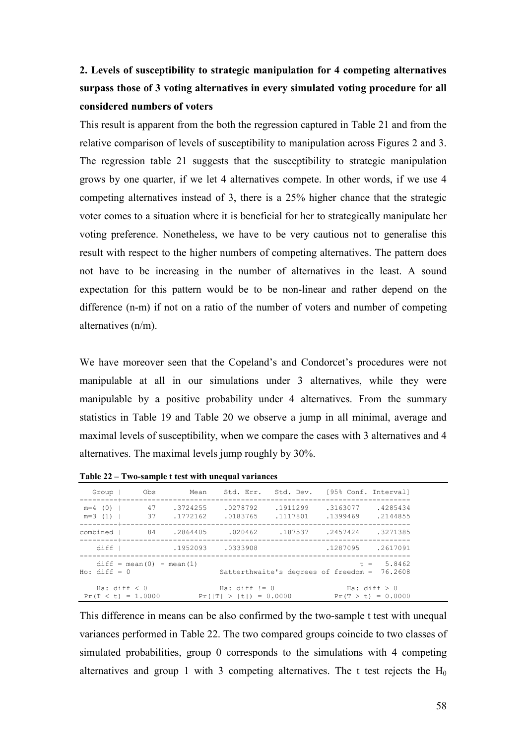# **2. Levels of susceptibility to strategic manipulation for 4 competing alternatives surpass those of 3 voting alternatives in every simulated voting procedure for all considered numbers of voters**

This result is apparent from the both the regression captured in Table 21 and from the relative comparison of levels of susceptibility to manipulation across Figures 2 and 3. The regression table 21 suggests that the susceptibility to strategic manipulation grows by one quarter, if we let 4 alternatives compete. In other words, if we use 4 competing alternatives instead of 3, there is a 25% higher chance that the strategic voter comes to a situation where it is beneficial for her to strategically manipulate her voting preference. Nonetheless, we have to be very cautious not to generalise this result with respect to the higher numbers of competing alternatives. The pattern does not have to be increasing in the number of alternatives in the least. A sound expectation for this pattern would be to be non-linear and rather depend on the difference (n-m) if not on a ratio of the number of voters and number of competing alternatives (n/m).

We have moreover seen that the Copeland's and Condorcet's procedures were not manipulable at all in our simulations under 3 alternatives, while they were manipulable by a positive probability under 4 alternatives. From the summary statistics in Table 19 and Table 20 we observe a jump in all minimal, average and maximal levels of susceptibility, when we compare the cases with 3 alternatives and 4 alternatives. The maximal levels jump roughly by 30%.

| Group              |                                                                                    | Obs Mean          |                                             |                      | Std. Err. Std. Dev. [95% Conf. Interval] |                         |
|--------------------|------------------------------------------------------------------------------------|-------------------|---------------------------------------------|----------------------|------------------------------------------|-------------------------|
|                    | $m=4$ (0)   47 .3724255<br>$m=3$ (1)   37 .1772162<br>----------+----------------- |                   | .0278792<br>.0183765                        | .1911299<br>.1117801 | .3163077<br>.1399469 .2144855            | .4285434                |
| combined           |                                                                                    | 84.2864405.020462 |                                             | .187537              | .2457424                                 | .3271385                |
| diff               |                                                                                    | .1952093          | .0333908                                    |                      | .1287095                                 | .2617091                |
| $H_0$ : diff = $0$ | $diff = mean(0) - mean(1)$                                                         |                   |                                             |                      | Satterthwaite's degrees of freedom =     | $t = 5.8462$<br>76.2608 |
|                    | Ha: $diff < 0$<br>$Pr(T < t) = 1.0000$                                             |                   | Ha: $diff$ != 0<br>$Pr( T  >  t ) = 0.0000$ |                      | Ha: $diff > 0$<br>$Pr(T > t) = 0.0000$   |                         |

**Table 22 – Two-sample t test with unequal variances**

This difference in means can be also confirmed by the two-sample t test with unequal variances performed in Table 22. The two compared groups coincide to two classes of simulated probabilities, group 0 corresponds to the simulations with 4 competing alternatives and group 1 with 3 competing alternatives. The t test rejects the  $H_0$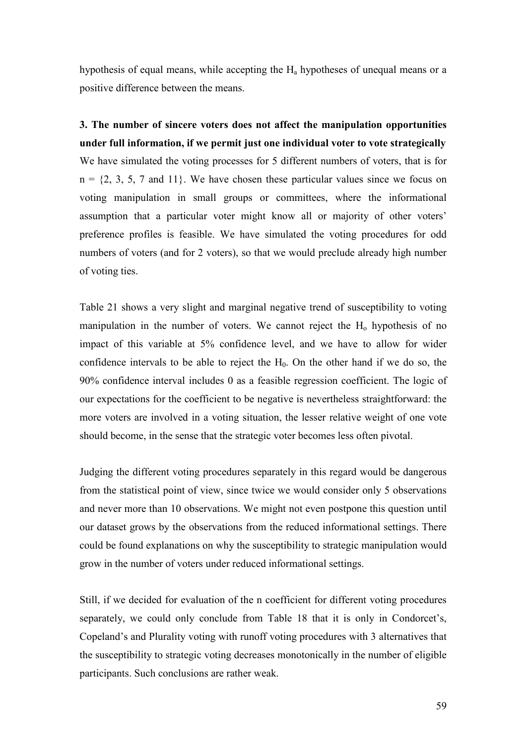hypothesis of equal means, while accepting the  $H_a$  hypotheses of unequal means or a positive difference between the means.

**3. The number of sincere voters does not affect the manipulation opportunities under full information, if we permit just one individual voter to vote strategically**  We have simulated the voting processes for 5 different numbers of voters, that is for  $n = \{2, 3, 5, 7 \text{ and } 11\}$ . We have chosen these particular values since we focus on voting manipulation in small groups or committees, where the informational assumption that a particular voter might know all or majority of other voters' preference profiles is feasible. We have simulated the voting procedures for odd numbers of voters (and for 2 voters), so that we would preclude already high number of voting ties.

Table 21 shows a very slight and marginal negative trend of susceptibility to voting manipulation in the number of voters. We cannot reject the  $H_0$  hypothesis of no impact of this variable at 5% confidence level, and we have to allow for wider confidence intervals to be able to reject the  $H<sub>0</sub>$ . On the other hand if we do so, the 90% confidence interval includes 0 as a feasible regression coefficient. The logic of our expectations for the coefficient to be negative is nevertheless straightforward: the more voters are involved in a voting situation, the lesser relative weight of one vote should become, in the sense that the strategic voter becomes less often pivotal.

Judging the different voting procedures separately in this regard would be dangerous from the statistical point of view, since twice we would consider only 5 observations and never more than 10 observations. We might not even postpone this question until our dataset grows by the observations from the reduced informational settings. There could be found explanations on why the susceptibility to strategic manipulation would grow in the number of voters under reduced informational settings.

Still, if we decided for evaluation of the n coefficient for different voting procedures separately, we could only conclude from Table 18 that it is only in Condorcet's, Copeland's and Plurality voting with runoff voting procedures with 3 alternatives that the susceptibility to strategic voting decreases monotonically in the number of eligible participants. Such conclusions are rather weak.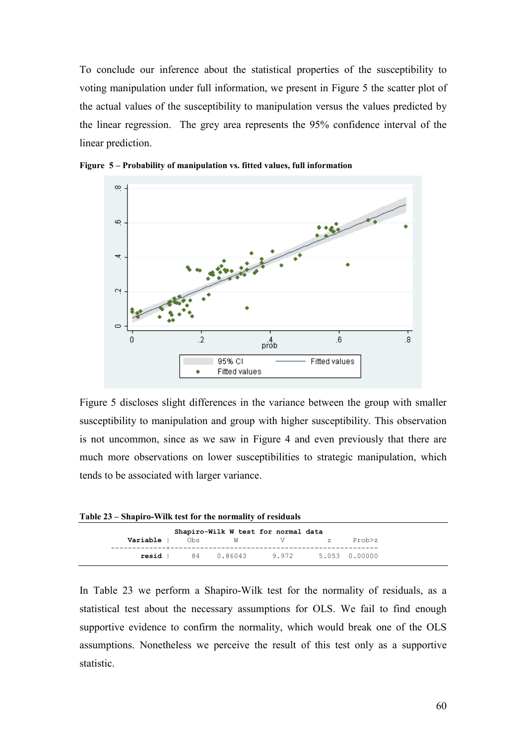To conclude our inference about the statistical properties of the susceptibility to voting manipulation under full information, we present in Figure 5 the scatter plot of the actual values of the susceptibility to manipulation versus the values predicted by the linear regression. The grey area represents the 95% confidence interval of the linear prediction.



**Figure 5 – Probability of manipulation vs. fitted values, full information** 

Figure 5 discloses slight differences in the variance between the group with smaller susceptibility to manipulation and group with higher susceptibility. This observation is not uncommon, since as we saw in Figure 4 and even previously that there are much more observations on lower susceptibilities to strategic manipulation, which tends to be associated with larger variance.

**Table 23 – Shapiro-Wilk test for the normality of residuals** 

|          |     | Shapiro-Wilk W test for normal data |       |               |        |
|----------|-----|-------------------------------------|-------|---------------|--------|
| Variable | 0bs | W                                   | V     | 7.            | Prob>z |
| resid    |     | 84 0.86043                          | 9.972 | 5.053 0.00000 |        |

In Table 23 we perform a Shapiro-Wilk test for the normality of residuals, as a statistical test about the necessary assumptions for OLS. We fail to find enough supportive evidence to confirm the normality, which would break one of the OLS assumptions. Nonetheless we perceive the result of this test only as a supportive statistic.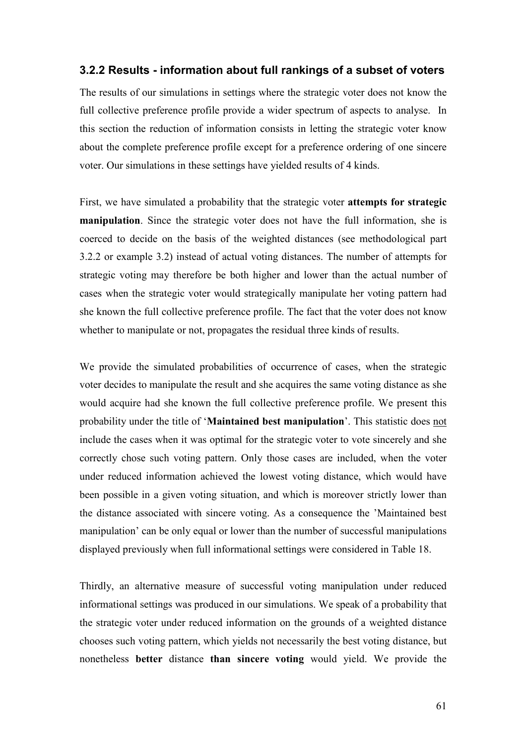### **3.2.2 Results - information about full rankings of a subset of voters**

The results of our simulations in settings where the strategic voter does not know the full collective preference profile provide a wider spectrum of aspects to analyse. In this section the reduction of information consists in letting the strategic voter know about the complete preference profile except for a preference ordering of one sincere voter. Our simulations in these settings have yielded results of 4 kinds.

First, we have simulated a probability that the strategic voter **attempts for strategic manipulation**. Since the strategic voter does not have the full information, she is coerced to decide on the basis of the weighted distances (see methodological part 3.2.2 or example 3.2) instead of actual voting distances. The number of attempts for strategic voting may therefore be both higher and lower than the actual number of cases when the strategic voter would strategically manipulate her voting pattern had she known the full collective preference profile. The fact that the voter does not know whether to manipulate or not, propagates the residual three kinds of results.

We provide the simulated probabilities of occurrence of cases, when the strategic voter decides to manipulate the result and she acquires the same voting distance as she would acquire had she known the full collective preference profile. We present this probability under the title of '**Maintained best manipulation**'. This statistic does not include the cases when it was optimal for the strategic voter to vote sincerely and she correctly chose such voting pattern. Only those cases are included, when the voter under reduced information achieved the lowest voting distance, which would have been possible in a given voting situation, and which is moreover strictly lower than the distance associated with sincere voting. As a consequence the 'Maintained best manipulation' can be only equal or lower than the number of successful manipulations displayed previously when full informational settings were considered in Table 18.

Thirdly, an alternative measure of successful voting manipulation under reduced informational settings was produced in our simulations. We speak of a probability that the strategic voter under reduced information on the grounds of a weighted distance chooses such voting pattern, which yields not necessarily the best voting distance, but nonetheless **better** distance **than sincere voting** would yield. We provide the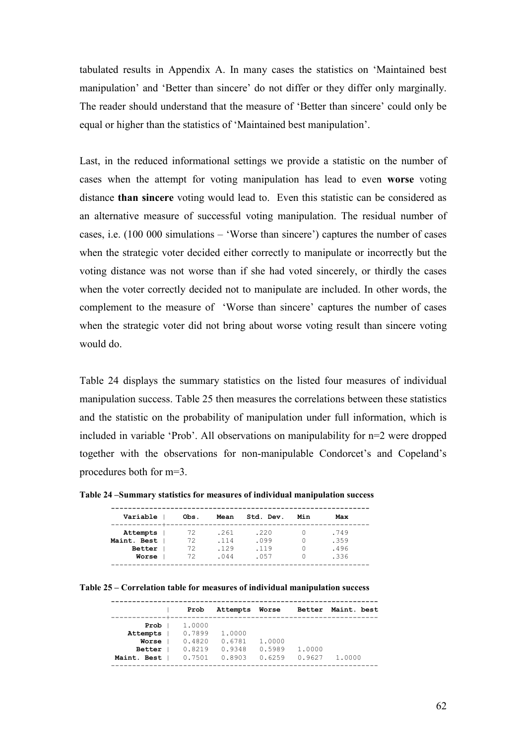tabulated results in Appendix A. In many cases the statistics on 'Maintained best manipulation' and 'Better than sincere' do not differ or they differ only marginally. The reader should understand that the measure of 'Better than sincere' could only be equal or higher than the statistics of 'Maintained best manipulation'.

Last, in the reduced informational settings we provide a statistic on the number of cases when the attempt for voting manipulation has lead to even **worse** voting distance **than sincere** voting would lead to. Even this statistic can be considered as an alternative measure of successful voting manipulation. The residual number of cases, i.e. (100 000 simulations – 'Worse than sincere') captures the number of cases when the strategic voter decided either correctly to manipulate or incorrectly but the voting distance was not worse than if she had voted sincerely, or thirdly the cases when the voter correctly decided not to manipulate are included. In other words, the complement to the measure of 'Worse than sincere' captures the number of cases when the strategic voter did not bring about worse voting result than sincere voting would do.

Table 24 displays the summary statistics on the listed four measures of individual manipulation success. Table 25 then measures the correlations between these statistics and the statistic on the probability of manipulation under full information, which is included in variable 'Prob'. All observations on manipulability for n=2 were dropped together with the observations for non-manipulable Condorcet's and Copeland's procedures both for m=3.

| Variable    | Obs. | Mean | Std. Dev. | Min | Max  |
|-------------|------|------|-----------|-----|------|
| Attempts    | 72   | .261 | .220      |     | .749 |
| Maint. Best | 72   | .114 | .099      |     | .359 |
| Better      | 72   | .129 | .119      |     | .496 |
| Worse       | 72   | .044 | .057      |     | .336 |

**Table 25 – Correlation table for measures of individual manipulation success**

|                       | Prob   | Attempts | Worse  | Better | Maint, best |
|-----------------------|--------|----------|--------|--------|-------------|
| Prob                  | 1.0000 |          |        |        |             |
| Attempts              | 0.7899 | 1,0000   |        |        |             |
| Worse                 | 0.4820 | 0.6781   | 1,0000 |        |             |
| <b>Better</b>         | 0.8219 | 0.9348   | 0.5989 | 1,0000 |             |
| Maint.<br><b>Best</b> | 0.7501 | 0.8903   | 0.6259 | 0.9627 | 1,0000      |
|                       |        |          |        |        |             |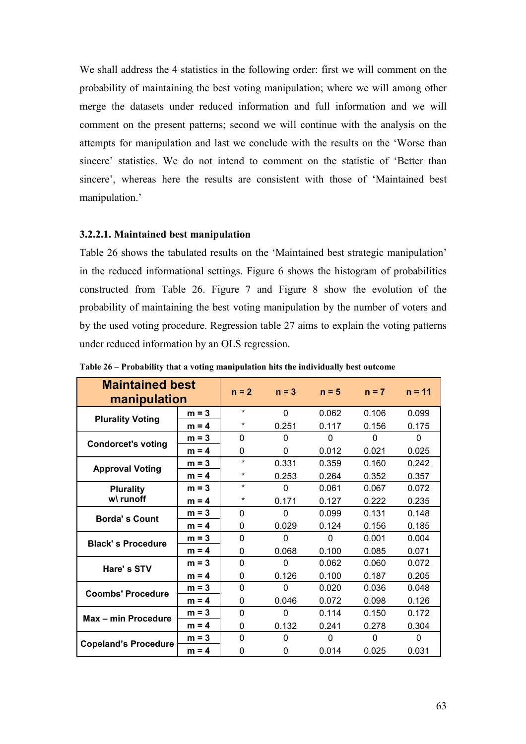We shall address the 4 statistics in the following order: first we will comment on the probability of maintaining the best voting manipulation; where we will among other merge the datasets under reduced information and full information and we will comment on the present patterns; second we will continue with the analysis on the attempts for manipulation and last we conclude with the results on the 'Worse than sincere' statistics. We do not intend to comment on the statistic of 'Better than sincere', whereas here the results are consistent with those of 'Maintained best manipulation.'

#### **3.2.2.1. Maintained best manipulation**

Table 26 shows the tabulated results on the 'Maintained best strategic manipulation' in the reduced informational settings. Figure 6 shows the histogram of probabilities constructed from Table 26. Figure 7 and Figure 8 show the evolution of the probability of maintaining the best voting manipulation by the number of voters and by the used voting procedure. Regression table 27 aims to explain the voting patterns under reduced information by an OLS regression.

| <b>Maintained best</b><br>manipulation |         | $n = 2$      | $n = 3$  | $n = 5$  | $n = 7$  | $n = 11$ |  |
|----------------------------------------|---------|--------------|----------|----------|----------|----------|--|
| <b>Plurality Voting</b>                | $m = 3$ | $\star$      | $\Omega$ | 0.062    | 0.106    | 0.099    |  |
|                                        | $m = 4$ | *            | 0.251    | 0.117    | 0.156    | 0.175    |  |
| <b>Condorcet's voting</b>              | $m = 3$ | $\Omega$     | $\Omega$ | 0        | $\Omega$ | 0        |  |
|                                        | $m = 4$ | 0            | 0        | 0.012    | 0.021    | 0.025    |  |
| <b>Approval Voting</b>                 | $m = 3$ | $\star$      | 0.331    | 0.359    | 0.160    | 0.242    |  |
|                                        | $m = 4$ | *            | 0.253    | 0.264    | 0.352    | 0.357    |  |
| <b>Plurality</b>                       | $m = 3$ | $\star$      | $\Omega$ | 0.061    | 0.067    | 0.072    |  |
| w\ runoff                              | $m = 4$ | *            | 0.171    | 0.127    | 0.222    | 0.235    |  |
| <b>Borda's Count</b>                   | $m = 3$ | $\Omega$     | $\Omega$ | 0.099    | 0.131    | 0.148    |  |
|                                        | $m = 4$ | 0            | 0.029    | 0.124    | 0.156    | 0.185    |  |
| <b>Black's Procedure</b>               | $m = 3$ | $\Omega$     | $\Omega$ | $\Omega$ | 0.001    | 0.004    |  |
|                                        | $m = 4$ | 0            | 0.068    | 0.100    | 0.085    | 0.071    |  |
| Hare's STV                             | $m = 3$ | $\Omega$     | $\Omega$ | 0.062    | 0.060    | 0.072    |  |
|                                        | $m = 4$ | $\mathbf{0}$ | 0.126    | 0.100    | 0.187    | 0.205    |  |
| <b>Coombs' Procedure</b>               | $m = 3$ | $\Omega$     | $\Omega$ | 0.020    | 0.036    | 0.048    |  |
|                                        | $m = 4$ | 0            | 0.046    | 0.072    | 0.098    | 0.126    |  |
| Max - min Procedure                    | $m = 3$ | $\Omega$     | $\Omega$ | 0.114    | 0.150    | 0.172    |  |
|                                        | $m = 4$ | 0            | 0.132    | 0.241    | 0.278    | 0.304    |  |
|                                        | $m = 3$ | $\mathbf{0}$ | 0        | $\Omega$ | $\Omega$ | $\Omega$ |  |
| <b>Copeland's Procedure</b>            | $m = 4$ | 0            | $\Omega$ | 0.014    | 0.025    | 0.031    |  |

**Table 26 – Probability that a voting manipulation hits the individually best outcome**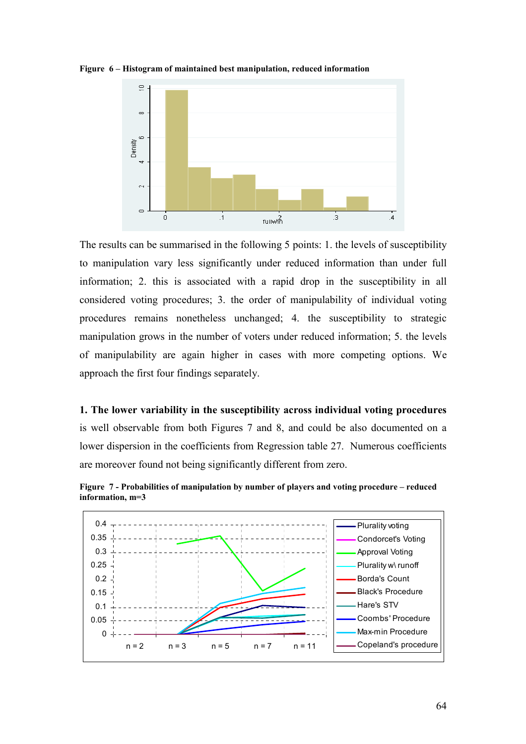

**Figure 6 – Histogram of maintained best manipulation, reduced information** 

The results can be summarised in the following 5 points: 1. the levels of susceptibility to manipulation vary less significantly under reduced information than under full information; 2. this is associated with a rapid drop in the susceptibility in all considered voting procedures; 3. the order of manipulability of individual voting procedures remains nonetheless unchanged; 4. the susceptibility to strategic manipulation grows in the number of voters under reduced information; 5. the levels of manipulability are again higher in cases with more competing options. We approach the first four findings separately.

**1. The lower variability in the susceptibility across individual voting procedures** is well observable from both Figures 7 and 8, and could be also documented on a lower dispersion in the coefficients from Regression table 27. Numerous coefficients are moreover found not being significantly different from zero.



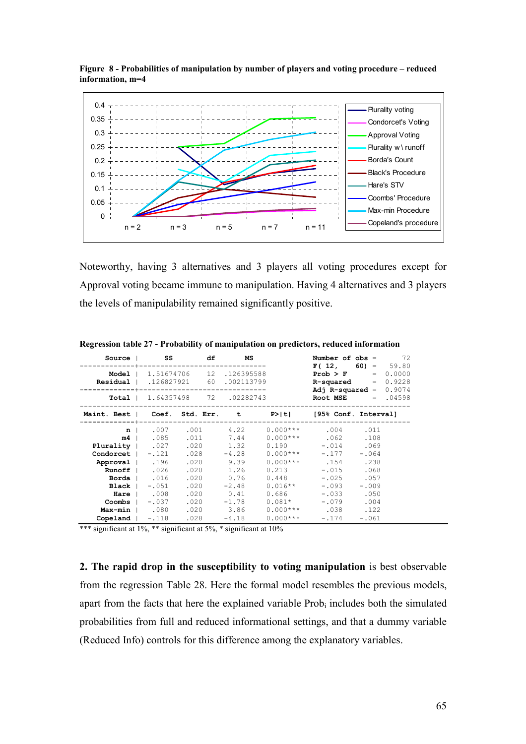

**Figure 8 - Probabilities of manipulation by number of players and voting procedure – reduced information, m=4** 

Noteworthy, having 3 alternatives and 3 players all voting procedures except for Approval voting became immune to manipulation. Having 4 alternatives and 3 players the levels of manipulability remained significantly positive.

| Source                                                                                                                     | SS S                                          | df                                           | MS                                                                                          |                                                                                                       | Number of obs =                                                                                 | 72<br>$F(12, 60) = 59.80$                                    |
|----------------------------------------------------------------------------------------------------------------------------|-----------------------------------------------|----------------------------------------------|---------------------------------------------------------------------------------------------|-------------------------------------------------------------------------------------------------------|-------------------------------------------------------------------------------------------------|--------------------------------------------------------------|
| Model  <br>Residual                                                                                                        |                                               | 1.51674706  12  .126395588<br>.126827921 60  | .002113799                                                                                  |                                                                                                       |                                                                                                 | <b>Prob &gt; F</b> = $0.0000$<br><b>R-squared</b> = $0.9228$ |
| Total                                                                                                                      |                                               | 1.64357498 72 .02282743                      |                                                                                             |                                                                                                       | Adj $R$ -squared $=$                                                                            | 0.9074<br><b>Root MSE</b> = $.04598$                         |
| Maint. Best   Coef. Std. Err. t                                                                                            |                                               |                                              |                                                                                             | P>iti                                                                                                 |                                                                                                 | [95% Conf. Interval]                                         |
| $n \mid$<br>$m4$  <br>Plurality   .027<br>$Condorcet$   $-.121$<br>Approval   .196<br>Runoff  <br>Borda  <br>Black<br>Hare | .007<br>.085<br>.026<br>.016<br>-.051<br>.008 | .020<br>.028<br>.020<br>.020<br>.020<br>.020 | .001 4.22<br>.011 7.44<br>1.32<br>$-4.28$<br>$.020$ 9.39<br>1.26<br>0.76<br>$-2.48$<br>0.41 | $0.000***$<br>$0.000***$<br>0.190<br>$0.000***$<br>$0.000***$<br>0.213<br>0.448<br>$0.016**$<br>0.686 | .004<br>.062<br>$-.014-.069$<br>$-.177$<br>.154.238<br>$-.015$<br>$-.025$<br>$-.093$<br>$-.033$ | .011<br>.108<br>$-.064$<br>.068<br>.057<br>$-.009$<br>.050   |
| Max-min  <br>Copeland                                                                                                      | $\texttt{Coombs}$ $-0.037$<br>.080<br>$-.118$ | .020<br>.020<br>.028                         | $-1.78$<br>3.86<br>$-4.18$                                                                  | $0.081*$<br>$0.000***$<br>$0.000***$                                                                  | $-.079$<br>.038<br>$-.174$                                                                      | .004<br>.122<br>$-.061$                                      |

**Regression table 27 - Probability of manipulation on predictors, reduced information** 

\*\*\* significant at  $1\%$ , \*\* significant at  $5\%$ , \* significant at  $10\%$ 

**2. The rapid drop in the susceptibility to voting manipulation** is best observable from the regression Table 28. Here the formal model resembles the previous models, apart from the facts that here the explained variable  $Prob<sub>i</sub>$  includes both the simulated probabilities from full and reduced informational settings, and that a dummy variable (Reduced Info) controls for this difference among the explanatory variables.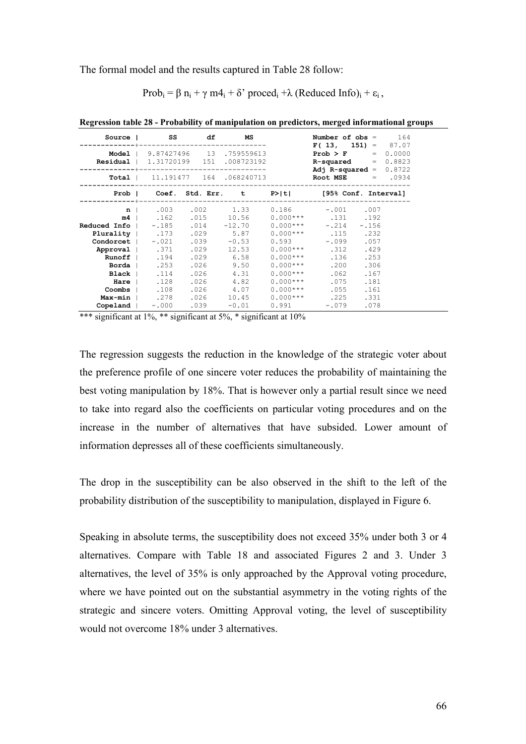The formal model and the results captured in Table 28 follow:

Prob<sub>i</sub> =  $\beta$  n<sub>i</sub> +  $\gamma$  m4<sub>i</sub> +  $\delta$ ' proced<sub>i</sub> + $\lambda$  (Reduced Info)<sub>i</sub> +  $\varepsilon$ <sub>i</sub>,

| Source                                                                          | <b>SS</b>                                 | df           | <b>MS</b>                     |                          |                                               | Number of $obs = 164$<br>$F(13, 151) = 87.07$                                        |
|---------------------------------------------------------------------------------|-------------------------------------------|--------------|-------------------------------|--------------------------|-----------------------------------------------|--------------------------------------------------------------------------------------|
| Residual   1.31720199 151 .008723192                                            | <b>Model</b>   $9.87427496$ 13 .759559613 |              |                               |                          |                                               | <b>Prob &gt; F</b> = $0.0000$<br>$R$ -squared = $0.8823$<br>Adj R-squared = $0.8722$ |
|                                                                                 | <b>Total</b>   $11.191477$ 164 .068240713 |              |                               |                          |                                               | $Root MSE = .0934$                                                                   |
|                                                                                 |                                           |              |                               |                          |                                               | Prob   Coef. Std. Err. t P> t  [95% Conf. Interval]                                  |
| $n \mid$                                                                        | $m4$ . 162                                | .015         | $.003$ $.002$ $1.33$<br>10.56 |                          | $0.186 - 0.01$ .007<br>$0.000***$ . 131 . 192 |                                                                                      |
| <b>Reduced Info</b> $\vert$ -.185 .014 -12.70<br><b>Plurality</b> 173 .029 5.87 |                                           |              |                               | $0.000***$               | $-.214$<br>$0.000***$ . 115 . 232             | $-.156$                                                                              |
| <b>Condorcet</b>   -.021 .039<br>Approval   .371                                |                                           |              | $-0.53$<br>$.029$ $12.53$     | 0.593<br>$0.000***$      | $-.099-.057$<br>.312                          | .429                                                                                 |
|                                                                                 | Runoff 1.194<br><b>Borda</b> 1 .253       | .029<br>.026 | 6.58<br>9.50                  | $0.000***$<br>$0.000***$ | .136<br>.200                                  | .253<br>.306                                                                         |
| Hare                                                                            | <b>Black</b> $114$<br>. 128               | .026<br>.026 | 4.31<br>4.82                  | $0.000***$<br>$0.000***$ | .062<br>.075                                  | .167<br>.181                                                                         |
| Max-min                                                                         | $\texttt{Coombs}$ . 108                   | .026         | 4.07<br>.278 .026 10.45       | $0.000***$<br>$0.000***$ | .055<br>.225                                  | .161<br>.331                                                                         |
| Copeland                                                                        | $-.000$                                   | .039         | $-0.01$                       | 0.991                    | $-.079$                                       | .078                                                                                 |

**Regression table 28 - Probability of manipulation on predictors, merged informational groups** 

\*\*\* significant at  $1\%$ , \*\* significant at  $5\%$ , \* significant at  $10\%$ 

The regression suggests the reduction in the knowledge of the strategic voter about the preference profile of one sincere voter reduces the probability of maintaining the best voting manipulation by 18%. That is however only a partial result since we need to take into regard also the coefficients on particular voting procedures and on the increase in the number of alternatives that have subsided. Lower amount of information depresses all of these coefficients simultaneously.

The drop in the susceptibility can be also observed in the shift to the left of the probability distribution of the susceptibility to manipulation, displayed in Figure 6.

Speaking in absolute terms, the susceptibility does not exceed 35% under both 3 or 4 alternatives. Compare with Table 18 and associated Figures 2 and 3. Under 3 alternatives, the level of 35% is only approached by the Approval voting procedure, where we have pointed out on the substantial asymmetry in the voting rights of the strategic and sincere voters. Omitting Approval voting, the level of susceptibility would not overcome 18% under 3 alternatives.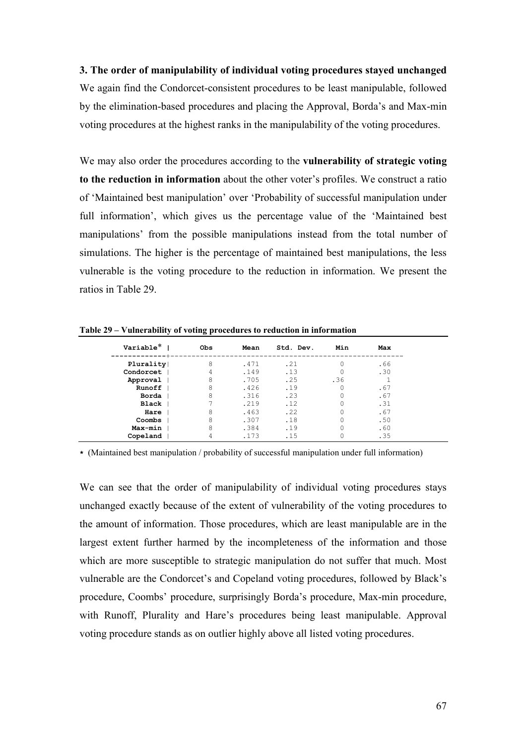**3. The order of manipulability of individual voting procedures stayed unchanged**  We again find the Condorcet-consistent procedures to be least manipulable, followed by the elimination-based procedures and placing the Approval, Borda's and Max-min voting procedures at the highest ranks in the manipulability of the voting procedures.

We may also order the procedures according to the **vulnerability of strategic voting to the reduction in information** about the other voter's profiles. We construct a ratio of 'Maintained best manipulation' over 'Probability of successful manipulation under full information', which gives us the percentage value of the 'Maintained best manipulations' from the possible manipulations instead from the total number of simulations. The higher is the percentage of maintained best manipulations, the less vulnerable is the voting procedure to the reduction in information. We present the ratios in Table 29.

| Variable <sup>*</sup> | <b>Obs</b> | Mean | Std. Dev. | Min | Max |
|-----------------------|------------|------|-----------|-----|-----|
| Plurality             | 8          | .471 | .21       |     | .66 |
| Condorcet             |            | .149 | .13       |     | .30 |
| Approval              | 8          | .705 | .25       | .36 |     |
| Runoff                | 8          | .426 | .19       |     | .67 |
| Borda                 | 8          | .316 | .23       |     | .67 |
| <b>Black</b>          |            | .219 | .12       |     | .31 |
| Hare                  | 8          | .463 | .22       |     | .67 |
| Coombs                | 8          | .307 | .18       |     | .50 |
| Max min               | 8          | .384 | .19       |     | .60 |
| Copeland              |            | .173 | .15       |     | .35 |

**Table 29 – Vulnerability of voting procedures to reduction in information** 

**\*** (Maintained best manipulation / probability of successful manipulation under full information)

We can see that the order of manipulability of individual voting procedures stays unchanged exactly because of the extent of vulnerability of the voting procedures to the amount of information. Those procedures, which are least manipulable are in the largest extent further harmed by the incompleteness of the information and those which are more susceptible to strategic manipulation do not suffer that much. Most vulnerable are the Condorcet's and Copeland voting procedures, followed by Black's procedure, Coombs' procedure, surprisingly Borda's procedure, Max-min procedure, with Runoff, Plurality and Hare's procedures being least manipulable. Approval voting procedure stands as on outlier highly above all listed voting procedures.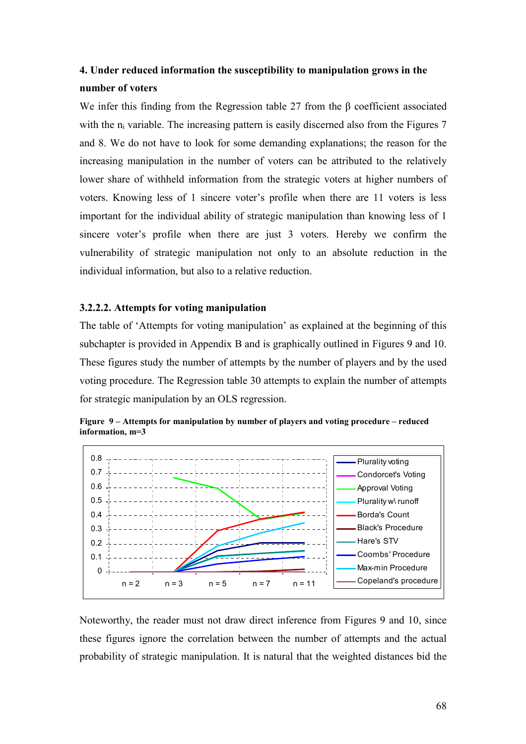# **4. Under reduced information the susceptibility to manipulation grows in the number of voters**

We infer this finding from the Regression table 27 from the β coefficient associated with the  $n_i$  variable. The increasing pattern is easily discerned also from the Figures  $7$ and 8. We do not have to look for some demanding explanations; the reason for the increasing manipulation in the number of voters can be attributed to the relatively lower share of withheld information from the strategic voters at higher numbers of voters. Knowing less of 1 sincere voter's profile when there are 11 voters is less important for the individual ability of strategic manipulation than knowing less of 1 sincere voter's profile when there are just 3 voters. Hereby we confirm the vulnerability of strategic manipulation not only to an absolute reduction in the individual information, but also to a relative reduction.

### **3.2.2.2. Attempts for voting manipulation**

The table of 'Attempts for voting manipulation' as explained at the beginning of this subchapter is provided in Appendix B and is graphically outlined in Figures 9 and 10. These figures study the number of attempts by the number of players and by the used voting procedure. The Regression table 30 attempts to explain the number of attempts for strategic manipulation by an OLS regression.





Noteworthy, the reader must not draw direct inference from Figures 9 and 10, since these figures ignore the correlation between the number of attempts and the actual probability of strategic manipulation. It is natural that the weighted distances bid the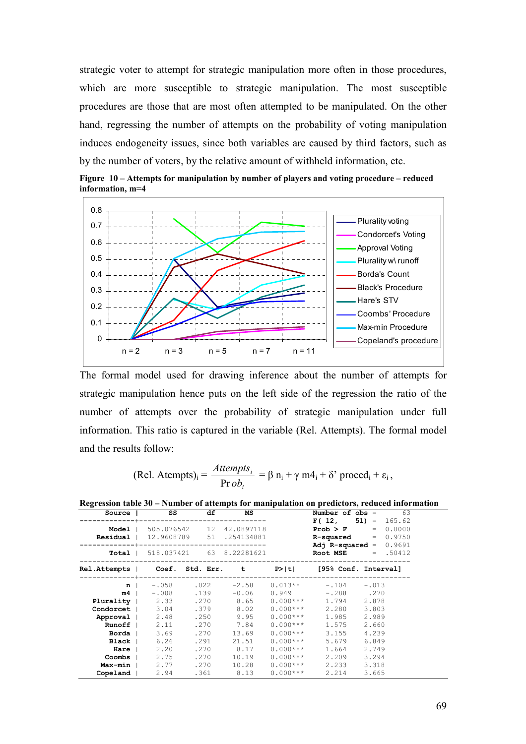strategic voter to attempt for strategic manipulation more often in those procedures, which are more susceptible to strategic manipulation. The most susceptible procedures are those that are most often attempted to be manipulated. On the other hand, regressing the number of attempts on the probability of voting manipulation induces endogeneity issues, since both variables are caused by third factors, such as by the number of voters, by the relative amount of withheld information, etc.





The formal model used for drawing inference about the number of attempts for strategic manipulation hence puts on the left side of the regression the ratio of the number of attempts over the probability of strategic manipulation under full information. This ratio is captured in the variable (Rel. Attempts). The formal model and the results follow:

(Rel. Atemps)<sub>i</sub> = 
$$
\frac{Attemps_i}{Prob_i} = \beta n_i + \gamma m4_i + \delta' proceed_i + \varepsilon_i,
$$

| o            |            |      |      |               |            |                      |                      |
|--------------|------------|------|------|---------------|------------|----------------------|----------------------|
| Source       | SS         |      | df   | МS            |            | Number of $obs =$    | 63                   |
|              |            |      |      |               |            |                      | $F(12, 51) = 165.62$ |
| Model        | 505.076542 |      |      | 12 42.0897118 |            | Prob > F             | 0.0000<br>$=$        |
| Residual     | 12.9608789 |      |      | 51.254134881  |            | R-squared            | $= 0.9750$           |
|              |            |      |      | ------------- |            | $Ad1$ R-squared =    | 0.9691               |
| Total        | 518.037421 |      |      | 63 8.22281621 |            | Root MSE             | $= .50412$           |
|              |            |      |      |               |            |                      |                      |
| Rel.Attempts | Coef.      |      |      | Std. Err. t   | P> t       | [95% Conf. Interval] |                      |
|              |            |      |      |               |            |                      |                      |
| n.           | $-.058$    |      | .022 | $-2.58$       | $0.013**$  | $-.104$              | $-.013$              |
| m4           | $-.008$    |      | .139 | $-0.06$       | 0.949      | $-.288$              | .270                 |
| Plurality    | 2.33       | .270 |      | 8.65          | $0.000***$ | 1.794                | 2.878                |
| Condorcet    | 3.04       | .379 |      | 8.02          | $0.000***$ | 2.280                | 3.803                |
| Approval     | 2.48       | .250 |      | 9.95          | $0.000***$ | 1.985                | 2.989                |
| Runoff       | 2.11       | .270 |      | 7.84          | $0.000***$ | 1.575                | 2.660                |
| Borda        | 3.69       | .270 |      | 13.69         | $0.000***$ | 3.155                | 4.239                |
| Black        | 6.26       | .291 |      | 21.51         | $0.000***$ | 5.679                | 6.849                |
| Hare         | 2.20       | .270 |      | 8.17          | $0.000***$ | 1.664                | 2.749                |
| Coombs       | 2.75       | .270 |      | 10.19         | $0.000***$ | 2.209                | 3.294                |
| Max-min      | 2.77       | .270 |      | 10.28         | $0.000***$ | 2.233                | 3.318                |
| Copeland     | 2.94       | .361 |      | 8.13          | $0.000***$ | 2.214                | 3.665                |
|              |            |      |      |               |            |                      |                      |

**Regression table 30 – Number of attempts for manipulation on predictors, reduced information**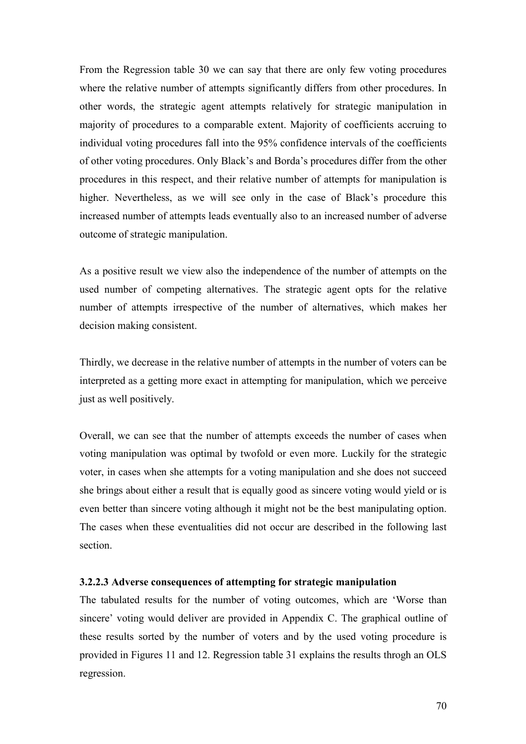From the Regression table 30 we can say that there are only few voting procedures where the relative number of attempts significantly differs from other procedures. In other words, the strategic agent attempts relatively for strategic manipulation in majority of procedures to a comparable extent. Majority of coefficients accruing to individual voting procedures fall into the 95% confidence intervals of the coefficients of other voting procedures. Only Black's and Borda's procedures differ from the other procedures in this respect, and their relative number of attempts for manipulation is higher. Nevertheless, as we will see only in the case of Black's procedure this increased number of attempts leads eventually also to an increased number of adverse outcome of strategic manipulation.

As a positive result we view also the independence of the number of attempts on the used number of competing alternatives. The strategic agent opts for the relative number of attempts irrespective of the number of alternatives, which makes her decision making consistent.

Thirdly, we decrease in the relative number of attempts in the number of voters can be interpreted as a getting more exact in attempting for manipulation, which we perceive just as well positively.

Overall, we can see that the number of attempts exceeds the number of cases when voting manipulation was optimal by twofold or even more. Luckily for the strategic voter, in cases when she attempts for a voting manipulation and she does not succeed she brings about either a result that is equally good as sincere voting would yield or is even better than sincere voting although it might not be the best manipulating option. The cases when these eventualities did not occur are described in the following last section.

#### **3.2.2.3 Adverse consequences of attempting for strategic manipulation**

The tabulated results for the number of voting outcomes, which are 'Worse than sincere' voting would deliver are provided in Appendix C. The graphical outline of these results sorted by the number of voters and by the used voting procedure is provided in Figures 11 and 12. Regression table 31 explains the results throgh an OLS regression.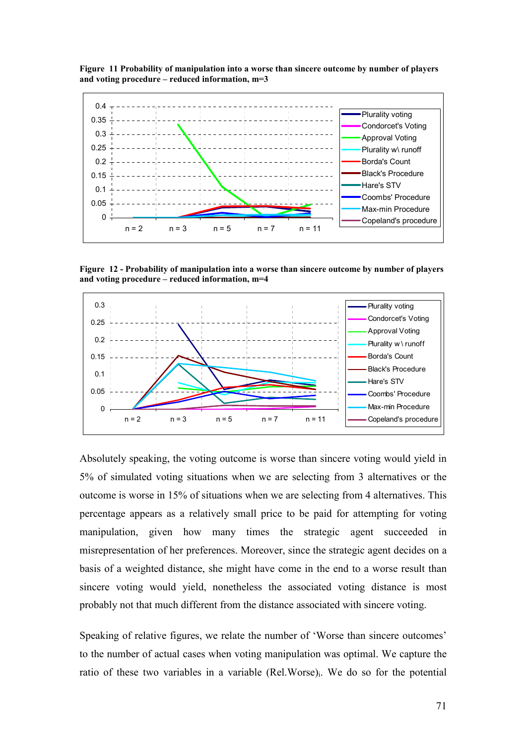



**Figure 12 - Probability of manipulation into a worse than sincere outcome by number of players and voting procedure – reduced information, m=4** 



Absolutely speaking, the voting outcome is worse than sincere voting would yield in 5% of simulated voting situations when we are selecting from 3 alternatives or the outcome is worse in 15% of situations when we are selecting from 4 alternatives. This percentage appears as a relatively small price to be paid for attempting for voting manipulation, given how many times the strategic agent succeeded in misrepresentation of her preferences. Moreover, since the strategic agent decides on a basis of a weighted distance, she might have come in the end to a worse result than sincere voting would yield, nonetheless the associated voting distance is most probably not that much different from the distance associated with sincere voting.

Speaking of relative figures, we relate the number of 'Worse than sincere outcomes' to the number of actual cases when voting manipulation was optimal. We capture the ratio of these two variables in a variable (Rel.Worse)<sub>i</sub>. We do so for the potential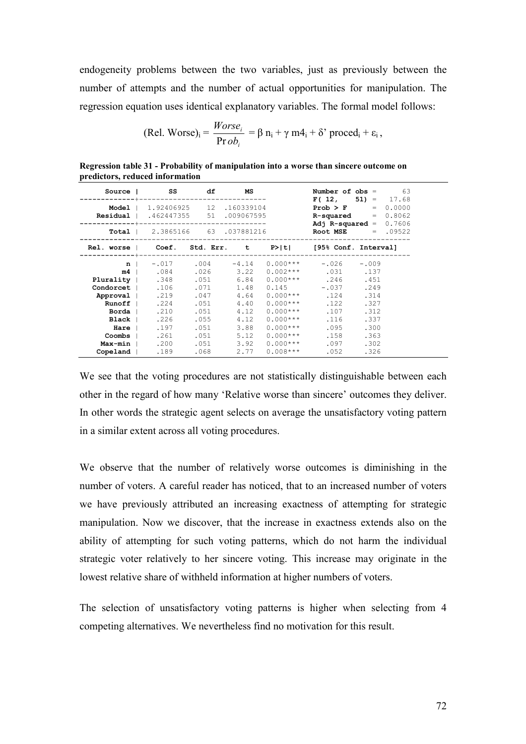endogeneity problems between the two variables, just as previously between the number of attempts and the number of actual opportunities for manipulation. The regression equation uses identical explanatory variables. The formal model follows:

(Rel. Worse)<sub>i</sub> = 
$$
\frac{Worse_i}{Prob_i} = \beta n_i + \gamma m4_i + \delta'
$$
 proceed<sub>i</sub> +  $\varepsilon_i$ ,

|                                                           | Source   SS df MS                                                              |           |      |            |                                          | Number of $obs = 63$<br>$F(12, 51) = 17.68$                  |
|-----------------------------------------------------------|--------------------------------------------------------------------------------|-----------|------|------------|------------------------------------------|--------------------------------------------------------------|
|                                                           | <b>Model</b>   1.92406925 12 .160339104<br>Residual   .462447355 51 .009067595 |           |      |            |                                          | <b>Prob &gt; F</b> = $0.0000$<br><b>R-squared</b> = $0.8062$ |
|                                                           | <b>Total</b>   $2.3865166$ 63 .037881216                                       |           |      |            |                                          | Adj R-squared = $0.7606$<br><b>Root MSE</b> $= .09522$       |
| Rel. worse   Coef. Std. Err. t P> t  [95% Conf. Interval] |                                                                                |           |      |            |                                          |                                                              |
| $n \mid$                                                  |                                                                                |           |      |            | $-0.017$ . 004 $-4.14$ 0.000*** $-0.026$ | $-.009$                                                      |
|                                                           | $\text{m4}$ $1$ $.084$ $.026$ $3.22$                                           |           |      |            | $0.002***$ .031 .137                     |                                                              |
| <b>Plurality</b>   .348 .051 6.84                         |                                                                                |           |      |            | $0.000***$ .246                          | .451                                                         |
| Condorcet 1.106                                           |                                                                                | .071      | 1.48 | 0.145      | $-.037$                                  | .249                                                         |
|                                                           | Approval   .219                                                                | .047      | 4.64 |            | $0.000***$ . 124                         | .314                                                         |
|                                                           | Runoff $1$ .224                                                                | .051      | 4.40 | $0.000***$ | .122                                     | .327                                                         |
| Borda                                                     | .210                                                                           | .051      | 4.12 | $0.000***$ | .107                                     | .312                                                         |
|                                                           | <b>Black</b>   .226                                                            | .055      | 4.12 | $0.000***$ | .116                                     | .337                                                         |
|                                                           | <b>Hare</b> 197                                                                | .051      | 3.88 | $0.000***$ | .095                                     | .300                                                         |
| Coombs                                                    |                                                                                | .261 .051 | 5.12 | $0.000***$ | .158                                     | .363                                                         |
|                                                           | $Max-min$ .200                                                                 | .051      | 3.92 | $0.000***$ | .097                                     | .302                                                         |
| Copeland 189                                              |                                                                                | .068      | 2.77 | $0.008***$ | .052                                     | .326                                                         |

**Regression table 31 - Probability of manipulation into a worse than sincere outcome on predictors, reduced information** 

We see that the voting procedures are not statistically distinguishable between each other in the regard of how many 'Relative worse than sincere' outcomes they deliver. In other words the strategic agent selects on average the unsatisfactory voting pattern in a similar extent across all voting procedures.

We observe that the number of relatively worse outcomes is diminishing in the number of voters. A careful reader has noticed, that to an increased number of voters we have previously attributed an increasing exactness of attempting for strategic manipulation. Now we discover, that the increase in exactness extends also on the ability of attempting for such voting patterns, which do not harm the individual strategic voter relatively to her sincere voting. This increase may originate in the lowest relative share of withheld information at higher numbers of voters.

The selection of unsatisfactory voting patterns is higher when selecting from 4 competing alternatives. We nevertheless find no motivation for this result.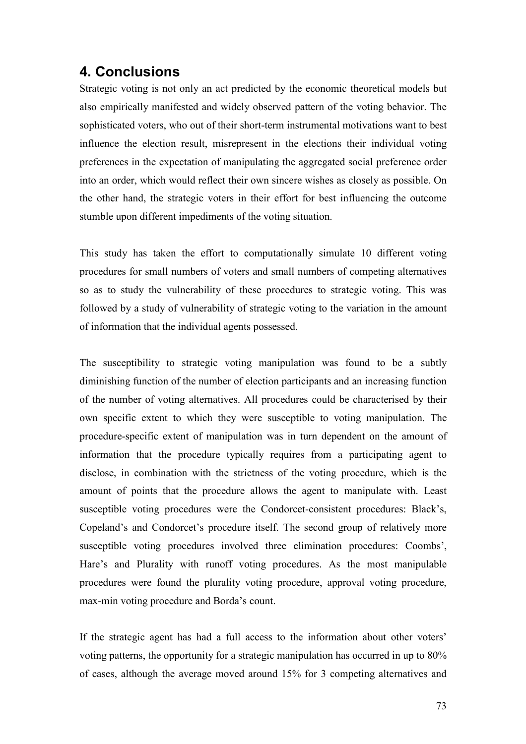#### **4. Conclusions**

Strategic voting is not only an act predicted by the economic theoretical models but also empirically manifested and widely observed pattern of the voting behavior. The sophisticated voters, who out of their short-term instrumental motivations want to best influence the election result, misrepresent in the elections their individual voting preferences in the expectation of manipulating the aggregated social preference order into an order, which would reflect their own sincere wishes as closely as possible. On the other hand, the strategic voters in their effort for best influencing the outcome stumble upon different impediments of the voting situation.

This study has taken the effort to computationally simulate 10 different voting procedures for small numbers of voters and small numbers of competing alternatives so as to study the vulnerability of these procedures to strategic voting. This was followed by a study of vulnerability of strategic voting to the variation in the amount of information that the individual agents possessed.

The susceptibility to strategic voting manipulation was found to be a subtly diminishing function of the number of election participants and an increasing function of the number of voting alternatives. All procedures could be characterised by their own specific extent to which they were susceptible to voting manipulation. The procedure-specific extent of manipulation was in turn dependent on the amount of information that the procedure typically requires from a participating agent to disclose, in combination with the strictness of the voting procedure, which is the amount of points that the procedure allows the agent to manipulate with. Least susceptible voting procedures were the Condorcet-consistent procedures: Black's, Copeland's and Condorcet's procedure itself. The second group of relatively more susceptible voting procedures involved three elimination procedures: Coombs', Hare's and Plurality with runoff voting procedures. As the most manipulable procedures were found the plurality voting procedure, approval voting procedure, max-min voting procedure and Borda's count.

If the strategic agent has had a full access to the information about other voters' voting patterns, the opportunity for a strategic manipulation has occurred in up to 80% of cases, although the average moved around 15% for 3 competing alternatives and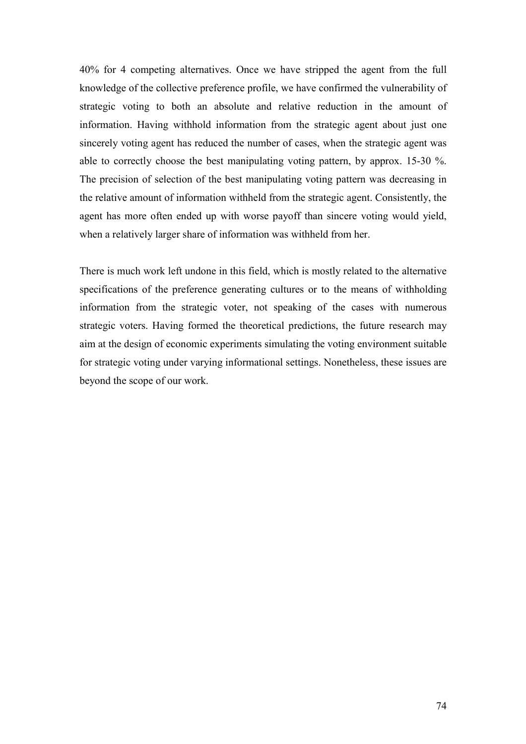40% for 4 competing alternatives. Once we have stripped the agent from the full knowledge of the collective preference profile, we have confirmed the vulnerability of strategic voting to both an absolute and relative reduction in the amount of information. Having withhold information from the strategic agent about just one sincerely voting agent has reduced the number of cases, when the strategic agent was able to correctly choose the best manipulating voting pattern, by approx. 15-30 %. The precision of selection of the best manipulating voting pattern was decreasing in the relative amount of information withheld from the strategic agent. Consistently, the agent has more often ended up with worse payoff than sincere voting would yield, when a relatively larger share of information was withheld from her.

There is much work left undone in this field, which is mostly related to the alternative specifications of the preference generating cultures or to the means of withholding information from the strategic voter, not speaking of the cases with numerous strategic voters. Having formed the theoretical predictions, the future research may aim at the design of economic experiments simulating the voting environment suitable for strategic voting under varying informational settings. Nonetheless, these issues are beyond the scope of our work.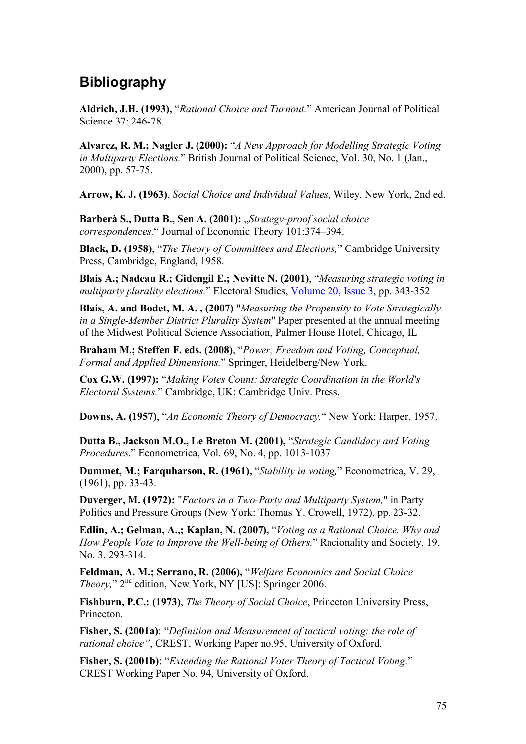#### **Bibliography**

**Aldrich, J.H. (1993),** "*Rational Choice and Turnout.*" American Journal of Political Science 37: 246-78.

**Alvarez, R. M.; Nagler J. (2000):** "*A New Approach for Modelling Strategic Voting in Multiparty Elections.*" British Journal of Political Science, Vol. 30, No. 1 (Jan., 2000), pp. 57-75.

**Arrow, K. J. (1963)**, *Social Choice and Individual Values*, Wiley, New York, 2nd ed.

**Barberà S., Dutta B., Sen A. (2001):** "*Strategy-proof social choice correspondences.*" Journal of Economic Theory 101:374–394.

**Black, D. (1958)**, "*The Theory of Committees and Elections,*" Cambridge University Press, Cambridge, England, 1958.

**Blais A[.](http://www.sciencedirect.com/science?_ob=ArticleURL&_udi=B6V9P-4378T1R-1&_user=10&_rdoc=1&_fmt=&_orig=search&_sort=d&view=c&_acct=C000050221&_version=1&_urlVersion=0&_userid=10&md5=827dea4b68a493b686be0435574f27eb#m4.cor*); Nadeau R.; Gidengil E.; Nevitte N. (2001)**, "*Measuring strategic voting in multiparty plurality elections.*" Electoral Studies, [Volume 20, Issue 3](http://www.sciencedirect.com/science?_ob=PublicationURL&_tockey=%23TOC%235904%232001%23999799996%23252619%23FLA%23&_cdi=5904&_pubType=J&_auth=y&_acct=C000050221&_version=1&_urlVersion=0&_userid=10&md5=84461633b7c4fd0a0bca1f18ae4a352d), pp. 343-352

**Blais, A. and Bodet, M. A. , (2007)** "*Measuring the Propensity to Vote Strategically in a Single-Member District Plurality System*" Paper presented at the annual meeting of the Midwest Political Science Association, Palmer House Hotel, Chicago, IL

**Braham M.; Steffen F. eds. (2008)**, "*Power, Freedom and Voting, Conceptual, Formal and Applied Dimensions.*" Springer, Heidelberg/New York.

**Cox G.W. (1997):** "*Making Votes Count: Strategic Coordination in the World's Electoral Systems.*" Cambridge, UK: Cambridge Univ. Press.

**Downs, A. (1957)**, "*An Economic Theory of Democracy.*" New York: Harper, 1957.

**Dutta B., Jackson M.O., Le Breton M. (2001),** "*Strategic Candidacy and Voting Procedures.*" Econometrica, Vol. 69, No. 4, pp. 1013-1037

**Dummet, M.; Farquharson, R. (1961),** "*Stability in voting,*" Econometrica, V. 29, (1961), pp. 33-43.

**Duverger, M. (1972):** "*Factors in a Two-Party and Multiparty System,*" in Party Politics and Pressure Groups (New York: Thomas Y. Crowell, 1972), pp. 23-32.

**Edlin, A.; Gelman, A.,; Kaplan, N. (2007),** "*Voting as a Rational Choice. Why and How People Vote to Improve the Well-being of Others.*" Racionality and Society, 19, No. 3, 293-314.

**Feldman, A. M.; Serrano, R. (2006),** "*Welfare Economics and Social Choice Theory*," 2<sup>nd</sup> edition, New York, NY [US]: Springer 2006.

**Fishburn, P.C.: (1973)**, *The Theory of Social Choice*, Princeton University Press, Princeton.

**Fisher, S. (2001a)**: "*Definition and Measurement of tactical voting: the role of rational choice"*, CREST, Working Paper no.95, University of Oxford.

**Fisher, S. (2001b)**: "*Extending the Rational Voter Theory of Tactical Voting.*" CREST Working Paper No. 94, University of Oxford.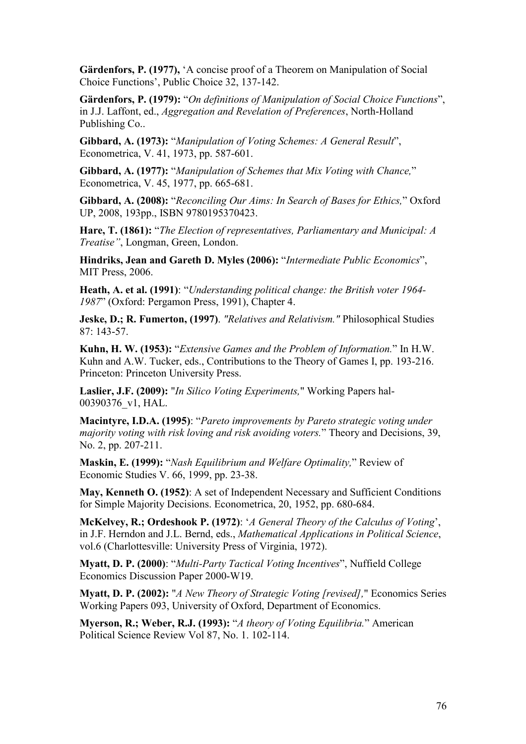**Gärdenfors, P. (1977),** 'A concise proof of a Theorem on Manipulation of Social Choice Functions', Public Choice 32, 137-142.

**Gärdenfors, P. (1979):** "*On definitions of Manipulation of Social Choice Functions*", in J.J. Laffont, ed., *Aggregation and Revelation of Preferences*, North-Holland Publishing Co..

**Gibbard, A. (1973):** "*Manipulation of Voting Schemes: A General Result*", Econometrica, V. 41, 1973, pp. 587-601.

**Gibbard, A. (1977):** "*Manipulation of Schemes that Mix Voting with Chance,*" Econometrica, V. 45, 1977, pp. 665-681.

**Gibbard, A. (2008):** "*Reconciling Our Aims: In Search of Bases for Ethics,*" Oxford UP, 2008, 193pp., ISBN 9780195370423.

**Hare, T. (1861):** "*The Election of representatives, Parliamentary and Municipal: A Treatise"*, Longman, Green, London.

**Hindriks, Jean and Gareth D. Myles (2006):** "*Intermediate Public Economics*", MIT Press, 2006.

**Heath, A. et al. (1991)**: "*Understanding political change: the British voter 1964- 1987*" (Oxford: Pergamon Press, 1991), Chapter 4.

**Jeske, D.; R. Fumerton, (1997)**. *"Relatives and Relativism."* Philosophical Studies 87: 143-57.

**Kuhn, H. W. (1953):** "*Extensive Games and the Problem of Information.*" In H.W. Kuhn and A.W. Tucker, eds., Contributions to the Theory of Games I, pp. 193-216. Princeton: Princeton University Press.

**Laslier, J.F. (2009):** "*In Silico Voting Experiments,*" Working Papers hal-00390376\_v1, HAL.

**Macintyre, I.D.A. (1995)**: "*Pareto improvements by Pareto strategic voting under majority voting with risk loving and risk avoiding voters.*" Theory and Decisions, 39, No. 2, pp. 207-211.

**Maskin, E. (1999):** "*Nash Equilibrium and Welfare Optimality,*" Review of Economic Studies V. 66, 1999, pp. 23-38.

**May, Kenneth O. (1952)**: A set of Independent Necessary and Sufficient Conditions for Simple Majority Decisions. Econometrica, 20, 1952, pp. 680-684.

**McKelvey, R.; Ordeshook P. (1972)**: '*A General Theory of the Calculus of Voting*', in J.F. Herndon and J.L. Bernd, eds., *Mathematical Applications in Political Science*, vol.6 (Charlottesville: University Press of Virginia, 1972).

**Myatt, D. P. (2000)**: "*Multi-Party Tactical Voting Incentives*", Nuffield College Economics Discussion Paper 2000-W19.

**Myatt, D. P. (2002):** "*A New Theory of Strategic Voting [revised],*" Economics Series Working Papers 093, University of Oxford, Department of Economics.

**Myerson, R.; Weber, R.J. (1993):** "*A theory of Voting Equilibria.*" American Political Science Review Vol 87, No. 1. 102-114.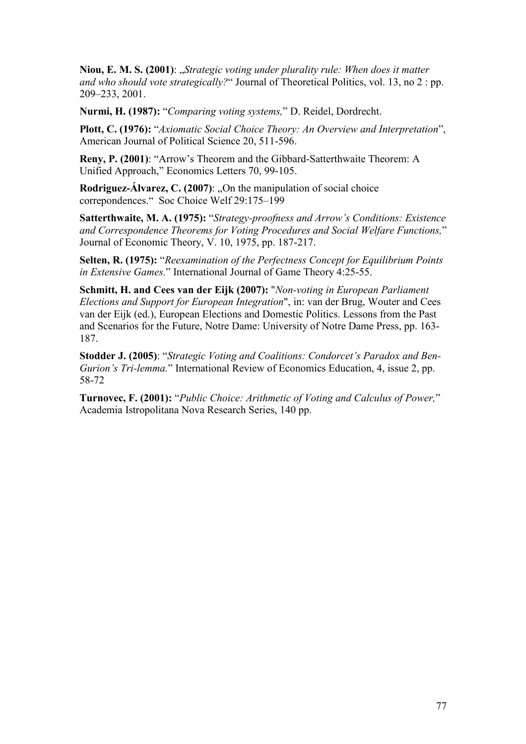**Niou, E. M. S. (2001)**: "*Strategic voting under plurality rule: When does it matter and who should vote strategically?*" Journal of Theoretical Politics, vol. 13, no 2 : pp. 209–233, 2001.

**Nurmi, H. (1987):** "*Comparing voting systems,*" D. Reidel, Dordrecht.

**Plott, C. (1976):** "*Axiomatic Social Choice Theory: An Overview and Interpretation*", American Journal of Political Science 20, 511-596.

**Reny, P. (2001)**: "Arrow's Theorem and the Gibbard-Satterthwaite Theorem: A Unified Approach," Economics Letters 70, 99-105.

**Rodriguez-Álvarez, C. (2007):** "On the manipulation of social choice correpondences." Soc Choice Welf 29:175–199

**Satterthwaite, M. A. (1975):** "*Strategy-proofness and Arrow's Conditions: Existence and Correspondence Theorems for Voting Procedures and Social Welfare Functions,*" Journal of Economic Theory, V. 10, 1975, pp. 187-217.

**Selten, R. (1975):** "*Reexamination of the Perfectness Concept for Equilibrium Points in Extensive Games.*" International Journal of Game Theory 4:25-55.

**Schmitt, H. and Cees van der Eijk (2007):** "*Non-voting in European Parliament Elections and Support for European Integration*", in: van der Brug, Wouter and Cees van der Eijk (ed.), European Elections and Domestic Politics. Lessons from the Past and Scenarios for the Future, Notre Dame: University of Notre Dame Press, pp. 163- 187.

**Stodder J. (2005)**: "*Strategic Voting and Coalitions: Condorcet's Paradox and Ben-Gurion's Tri-lemma.*" International Review of Economics Education, 4, issue 2, pp. 58-72

**Turnovec, F. (2001):** "*Public Choice: Arithmetic of Voting and Calculus of Power,*" Academia Istropolitana Nova Research Series, 140 pp.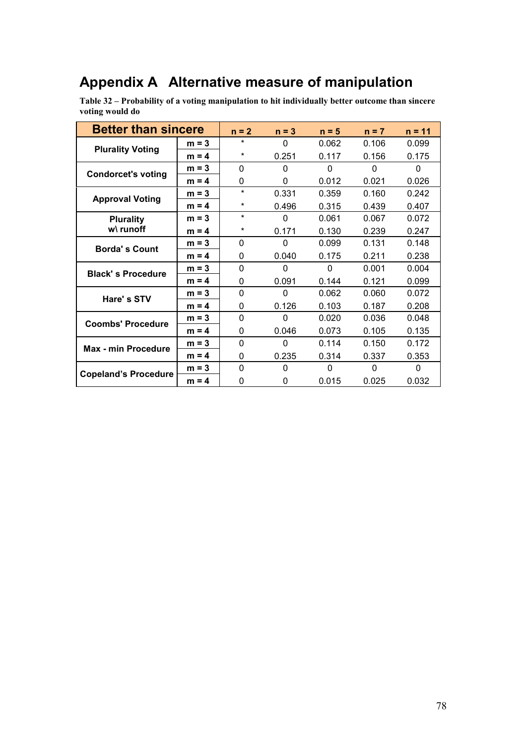## **Appendix A Alternative measure of manipulation**

**Table 32 – Probability of a voting manipulation to hit individually better outcome than sincere voting would do** 

| <b>Better than sincere</b>      |         | $n = 2$      | $n = 3$  | $n = 5$  | $n = 7$  | $n = 11$ |
|---------------------------------|---------|--------------|----------|----------|----------|----------|
| <b>Plurality Voting</b>         | $m = 3$ | $\star$      | $\Omega$ | 0.062    | 0.106    | 0.099    |
|                                 | $m = 4$ | *            | 0.251    | 0.117    | 0.156    | 0.175    |
| <b>Condorcet's voting</b>       | $m = 3$ | $\Omega$     | $\Omega$ | $\Omega$ | $\Omega$ | 0        |
|                                 | $m = 4$ | 0            | $\Omega$ | 0.012    | 0.021    | 0.026    |
| <b>Approval Voting</b>          | $m = 3$ | $\star$      | 0.331    | 0.359    | 0.160    | 0.242    |
|                                 | $m = 4$ | *            | 0.496    | 0.315    | 0.439    | 0.407    |
| <b>Plurality</b><br>$w\$ runoff | $m = 3$ | $\star$      | $\Omega$ | 0.061    | 0.067    | 0.072    |
|                                 | $m = 4$ | *            | 0.171    | 0.130    | 0.239    | 0.247    |
| <b>Borda's Count</b>            | $m = 3$ | $\Omega$     | $\Omega$ | 0.099    | 0.131    | 0.148    |
|                                 | $m = 4$ | 0            | 0.040    | 0.175    | 0.211    | 0.238    |
| <b>Black's Procedure</b>        | $m = 3$ | $\Omega$     | $\Omega$ | $\Omega$ | 0.001    | 0.004    |
|                                 | $m = 4$ | 0            | 0.091    | 0.144    | 0.121    | 0.099    |
| Hare's STV                      | $m = 3$ | $\Omega$     | $\Omega$ | 0.062    | 0.060    | 0.072    |
|                                 | $m = 4$ | 0            | 0.126    | 0.103    | 0.187    | 0.208    |
| <b>Coombs' Procedure</b>        | $m = 3$ | $\mathbf{0}$ | $\Omega$ | 0.020    | 0.036    | 0.048    |
|                                 | $m = 4$ | 0            | 0.046    | 0.073    | 0.105    | 0.135    |
| <b>Max - min Procedure</b>      | $m = 3$ | $\Omega$     | $\Omega$ | 0.114    | 0.150    | 0.172    |
|                                 | $m = 4$ | 0            | 0.235    | 0.314    | 0.337    | 0.353    |
| <b>Copeland's Procedure</b>     | $m = 3$ | $\mathbf 0$  | $\Omega$ | 0        | 0        | 0        |
|                                 | $m = 4$ | 0            | 0        | 0.015    | 0.025    | 0.032    |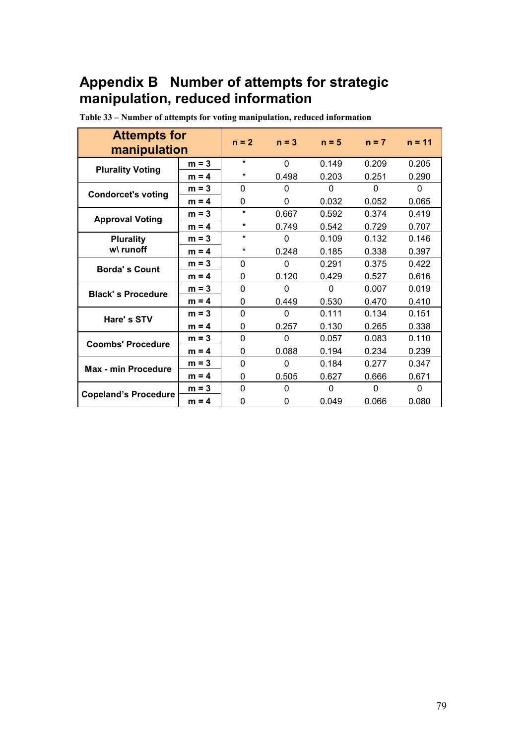### **Appendix B Number of attempts for strategic manipulation, reduced information**

| <b>Attempts for</b><br>manipulation |         | $n = 2$      | $n = 3$      | $n = 5$  | $n = 7$  | $n = 11$     |
|-------------------------------------|---------|--------------|--------------|----------|----------|--------------|
| <b>Plurality Voting</b>             | $m = 3$ | $\ast$       | $\mathbf{0}$ | 0.149    | 0.209    | 0.205        |
|                                     | $m = 4$ | $\star$      | 0.498        | 0.203    | 0.251    | 0.290        |
| <b>Condorcet's voting</b>           | $m = 3$ | $\mathbf{0}$ | $\Omega$     | 0        | 0        | 0            |
|                                     | $m = 4$ | 0            | 0            | 0.032    | 0.052    | 0.065        |
| <b>Approval Voting</b>              | $m = 3$ | $\star$      | 0.667        | 0.592    | 0.374    | 0.419        |
|                                     | $m = 4$ | $\star$      | 0.749        | 0.542    | 0.729    | 0.707        |
| <b>Plurality</b><br>w\ runoff       | $m = 3$ | $\star$      | 0            | 0.109    | 0.132    | 0.146        |
|                                     | $m = 4$ | $\star$      | 0.248        | 0.185    | 0.338    | 0.397        |
| <b>Borda's Count</b>                | $m = 3$ | $\Omega$     | $\Omega$     | 0.291    | 0.375    | 0.422        |
|                                     | $m = 4$ | 0            | 0.120        | 0.429    | 0.527    | 0.616        |
| <b>Black's Procedure</b>            | $m = 3$ | $\mathbf{0}$ | $\Omega$     | $\Omega$ | 0.007    | 0.019        |
|                                     | $m = 4$ | 0            | 0.449        | 0.530    | 0.470    | 0.410        |
| Hare's STV                          | $m = 3$ | 0            | $\mathbf 0$  | 0.111    | 0.134    | 0.151        |
|                                     | $m = 4$ | 0            | 0.257        | 0.130    | 0.265    | 0.338        |
| <b>Coombs' Procedure</b>            | $m = 3$ | 0            | $\Omega$     | 0.057    | 0.083    | 0.110        |
|                                     | $m = 4$ | 0            | 0.088        | 0.194    | 0.234    | 0.239        |
| <b>Max - min Procedure</b>          | $m = 3$ | $\mathbf 0$  | $\Omega$     | 0.184    | 0.277    | 0.347        |
|                                     | $m = 4$ | 0            | 0.505        | 0.627    | 0.666    | 0.671        |
| <b>Copeland's Procedure</b>         | $m = 3$ | $\Omega$     | $\Omega$     | 0        | $\Omega$ | $\mathbf{0}$ |
|                                     | $m = 4$ | 0            | 0            | 0.049    | 0.066    | 0.080        |

**Table 33 – Number of attempts for voting manipulation, reduced information**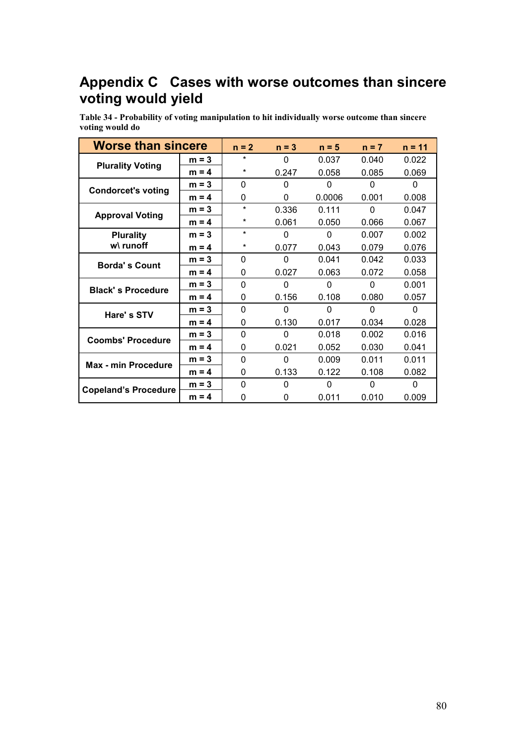### **Appendix C Cases with worse outcomes than sincere voting would yield**

**Table 34 - Probability of voting manipulation to hit individually worse outcome than sincere voting would do** 

| <b>Worse than sincere</b>     |         | $n = 2$  | $n = 3$  | $n = 5$  | $n = 7$  | $n = 11$ |
|-------------------------------|---------|----------|----------|----------|----------|----------|
| <b>Plurality Voting</b>       | $m = 3$ | *        | 0        | 0.037    | 0.040    | 0.022    |
|                               | $m = 4$ | *        | 0.247    | 0.058    | 0.085    | 0.069    |
| <b>Condorcet's voting</b>     | $m = 3$ | 0        | 0        | 0        | 0        | 0        |
|                               | $m = 4$ | 0        | 0        | 0.0006   | 0.001    | 0.008    |
| <b>Approval Voting</b>        | $m = 3$ | $\star$  | 0.336    | 0.111    | $\Omega$ | 0.047    |
|                               | $m = 4$ | $\star$  | 0.061    | 0.050    | 0.066    | 0.067    |
| <b>Plurality</b><br>w\ runoff | $m = 3$ | $\star$  | $\Omega$ | $\Omega$ | 0.007    | 0.002    |
|                               | $m = 4$ | *        | 0.077    | 0.043    | 0.079    | 0.076    |
| <b>Borda's Count</b>          | $m = 3$ | 0        | 0        | 0.041    | 0.042    | 0.033    |
|                               | $m = 4$ | 0        | 0.027    | 0.063    | 0.072    | 0.058    |
| <b>Black's Procedure</b>      | $m = 3$ | $\Omega$ | 0        | 0        | $\Omega$ | 0.001    |
|                               | $m = 4$ | 0        | 0.156    | 0.108    | 0.080    | 0.057    |
| Hare's STV                    | $m = 3$ | $\Omega$ | 0        | $\Omega$ | $\Omega$ | 0        |
|                               | $m = 4$ | 0        | 0.130    | 0.017    | 0.034    | 0.028    |
| <b>Coombs' Procedure</b>      | $m = 3$ | 0        | 0        | 0.018    | 0.002    | 0.016    |
|                               | $m = 4$ | 0        | 0.021    | 0.052    | 0.030    | 0.041    |
| <b>Max - min Procedure</b>    | $m = 3$ | $\Omega$ | 0        | 0.009    | 0.011    | 0.011    |
|                               | $m = 4$ | 0        | 0.133    | 0.122    | 0.108    | 0.082    |
| <b>Copeland's Procedure</b>   | $m = 3$ | 0        | 0        | 0        | 0        | 0        |
|                               | $m = 4$ | 0        | 0        | 0.011    | 0.010    | 0.009    |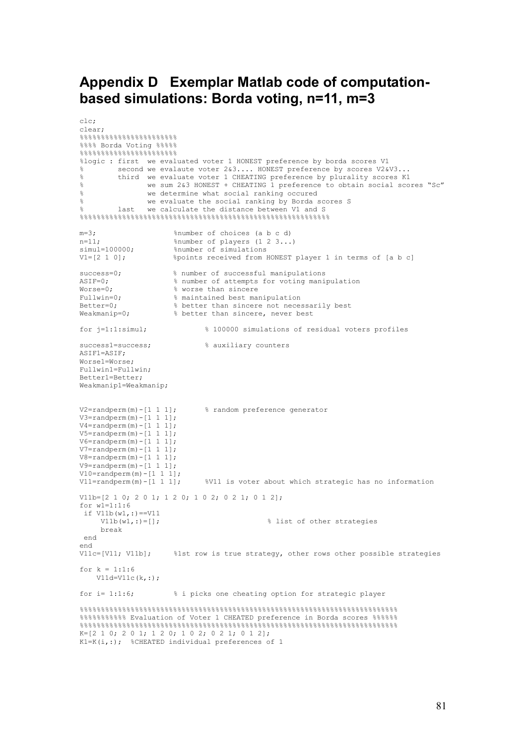#### **Appendix D Exemplar Matlab code of computationbased simulations: Borda voting, n=11, m=3**

```
clc; 
clear; 
%%%%%%%%%%%%%%%%%%%%%%% 
%%%% Borda Voting %%%%
%%%%%%%%%%%%%%%%%%%%%%% 
%logic : first we evaluated voter 1 HONEST preference by borda scores V1 
% second we evalaute voter 2&3.... HONEST preference by scores V2&V3... 
% third we evaluate voter 1 CHEATING preference by plurality scores K1
% we sum 2&3 HONEST + CHEATING 1 preference to obtain social scores "Sc"
% we determine what social ranking occured<br>% we evaluate the social ranking by Borda
% we evaluate the social ranking by Borda scores S<br>% last we calculate the distance between V1 and S
          last we calculate the distance between V1 and S
%%%%%%%%%%%%%%%%%%%%%%%%%%%%%%%%%%%%%%%%%%%%%%%%%%%%%%%%%%% 
m=3;<br>
n=11;<br>
m=11;<br>
m=11;<br>
m=10;<br>
m=10;<br>
m=10;<br>
m=2;<br>
m=3;<br>
m=3;<br>
m=3;<br>
m=3;<br>
m=3;<br>
m=10;<br>
m=10;<br>
m=10;
n=11; $number of players (1 2 3...)<br>simul=100000; $number of simulations
simul=100000; $number of simulations
V1=[2 1 0]; %points received from HONEST player 1 in terms of [a b c] 
success=0; <br>\frac{8}{2} number of successful manipulations<br>assembly a number of attempts for voting mani
ASIF=0; \frac{1}{2} a number of attempts for voting manipulation<br>Worse=0; \frac{2}{3} worse than sincere
Worse=0; <br>
Fullwin=0; <br>
\frac{1}{3} worse than sincere<br>
\frac{1}{3} worse than sincere
Fullwin=0; \frac{1}{8} maintained best manipulation<br>Better=0; \frac{1}{8} better than sincere not nece
Better=0; <br>
% & better than sincere, never best<br>
Weakmanip=0; <br>
% & better than sincere, never best
                         % better than sincere, never best
for j=1:1:simul; % 100000 simulations of residual voters profiles 
success1=success; % auxiliary counters 
ASIF1=ASIF; 
Worse1=Worse; 
Fullwin1=Fullwin; 
Better1=Better; 
Weakmanip1=Weakmanip; 
V2=randperm(m)-[1 1 1]; % random preference generator
V3 =randperm(m) - [1 \ 1 \ 1];V4=randperm(m) - [1 1 1];V5 = randomerm(m) - [1 \ 1 \ 1];V6 = \text{random}(m) - [1 \ 1 \ 1];V7 = \text{random}(m) - [1 \ 1 \ 1];V8 =randperm(m) - [1 \ 1 \ 1];
V9 =randperm(m) - [1 \ 1 \ 1];V10=randperm(m)-[1\ 1\ 1];<br>V11=randperm(m)-[1\ 1\ 1];%V11 is voter about which strategic has no information
V11b=[2 1 0; 2 0 1; 1 2 0; 1 0 2; 0 2 1; 0 1 2]; 
for w1 = 1:1:6if V11b(w1, :) == V11 V11b(w1,:)=[]; % list of other strategies 
      break 
  end 
end<br>V11c=[V11; V11b];
                        %1st row is true strategy, other rows other possible strategies
for k = 1 \cdot 1 \cdot 6V11d=V11c(k,:);for i= 1:1:6; \frac{1}{2} i picks one cheating option for strategic player
%%%%%%%%%%%%%%%%%%%%%%%%%%%%%%%%%%%%%%%%%%%%%%%%%%%%%%%%%%%%%%%%%%%%%%%%%%% 
%%%%%%%%%%% Evaluation of Voter 1 CHEATED preference in Borda scores %%%%%% 
%%%%%%%%%%%%%%%%%%%%%%%%%%%%%%%%%%%%%%%%%%%%%%%%%%%%%%%%%%%%%%%%%%%%%%%%%%% 
K=[2 1 0; 2 0 1; 1 2 0; 1 0 2; 0 2 1; 0 1 2]; 
K1=K(i,:); %CHEATED individual preferences of 1
```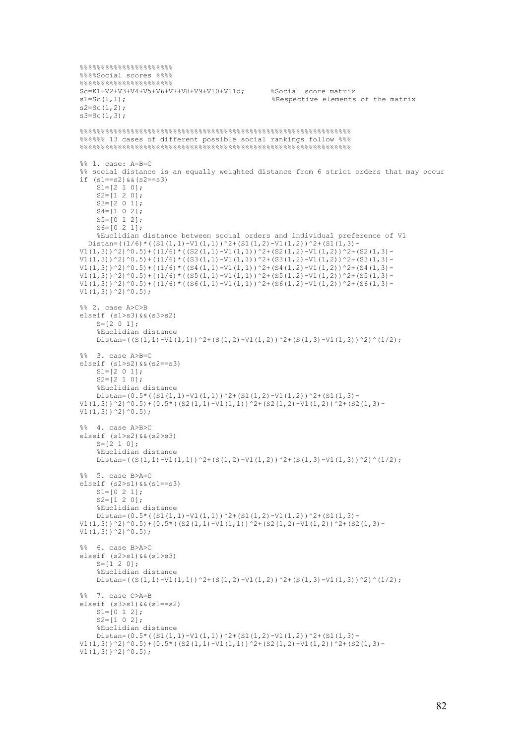```
888888888888888888888%%%%Social scores %%%% 
%%%%%%%%%%%%%%%%%%%%%% 
Sc=KL+V2+V3+V4+V5+V6+V7+V8+V9+V10+V11d;<br>s1=Sc(1,1);<br>%Respective elements%Respective elements of the matrix
s2=Sc(1,2);s3 = Sc(1,3);%%%%%%%%%%%%%%%%%%%%%%%%%%%%%%%%%%%%%%%%%%%%%%%%%%%%%%%%%%%%%%%% 
%%%%%% 13 cases of different possible social rankings follow %%%
%%%%%%%%%%%%%%%%%%%%%%%%%%%%%%%%%%%%%%%%%%%%%%%%%%%%%%%%%%%%%%%% 
%% 1. case: A=B=C 
%% social distance is an equally weighted distance from 6 strict orders that may occur 
if (s1 == s2) & (s2 == s3)SI=[2 1 0];S2=[1 2 0]; S3=[2 0 1]; 
    S4 = [1 \ 0 \ 2];S5=[0 1 2]; S6=[0 2 1]; 
     %Euclidian distance between social orders and individual preference of V1 
  Distan=((1/6) * ((S1(1,1)-V1(1,1))^2+(S1(1,2)-V1(1,2))^2+(S1(1,3)-V1(1,3))^2)V1(1,3)\}^2)^\circ0.5) + ((1/6) * ((S2(1,1)-V1(1,1))^2+(S2(1,2)-V1(1,2))^2+(S2(1,3)-
V1(1,3)) ^2) ^0.5) + ((1/6) * ((S3(1,1)-V1(1,1)) ^2+(S3(1,2)-V1(1,2)) ^2+(S3(1,3)-
V1(1,3))^2)^0.5)+((1/6)*((S4(1,1)-V1(1,1))^2+(S4(1,2)-V1(1,2))^2+(S4(1,3)-
V1(1,3))^2)^0.5)+((1/6)*((S5(1,1)-V1(1,1))^2+(S5(1,2)-V1(1,2))^2+(S5(1,3)-
V1(1,3))^2)^0.5)+((1/6)*((S6(1,1)-V1(1,1))^2+(S6(1,2)-V1(1,2))^2+(S6(1,3)-
VI(1,3)) ^2) ^0.5);
%% 2. case A>C>B 
elseif (s1>s3)&&(s3>s2) 
    S=[2 0 1]; %Euclidian distance 
    Distan=((S(1,1)-V1(1,1))^2+(S(1,2)-V1(1,2))^2+(S(1,3)-V1(1,3))^2)^(1/2);
%% 3. case A>B=C 
elseif (s1>s2)&&(s2==s3) 
    S1=[2 0 1];S2=[2 \ 1 \ 0]; %Euclidian distance 
    Distan=(0.5*(S1(1,1)-V1(1,1))<sup>2</sup>+(S1(1,2)-V1(1,2))<sup>2</sup>+(S1(1,3)-V1(1,2))V1(1,3))^2)^0.5)+(0.5*((S2(1,1)-V1(1,1))^2+(S2(1,2)-V1(1,2))^2+(S2(1,3)-
V1(1,3)) ^2) ^0.5);
%% 4. case A>B>C 
elseif (s1>s2)&&(s2>s3) 
    S=[2 1 0]; %Euclidian distance 
    Distan=((S(1,1)-V1(1,1))^2+(S(1,2)-V1(1,2))^2+(S(1,3)-V1(1,3))^2)^(1/2);
%% 5. case B>A=C 
elseif (s2>s1)&&(s1==s3) 
    SI=[0 2 1];S2=[1 2 0]; %Euclidian distance 
    Distan=(0.5*(S1(1,1)-V1(1,1))<sup>2</sup>+(S1(1,2)-V1(1,2))<sup>2</sup>+(S1(1,3)-
V1(1,3))^2)^0.5)+(0.5*((S2(1,1)-V1(1,1))^2+(S2(1,2)-V1(1,2))^2+(S2(1,3)-
V1(1,3)) ^2) ^0.5);
%% 6. case B>A>C 
elseif (s2>s1)&&(s1>s3) 
    S=[1 \ 2 \ 0]; %Euclidian distance 
    Distan=((S(1,1)-V1(1,1))^2+(S(1,2)-V1(1,2))^2+(S(1,3)-V1(1,3))^2)^(1/2);
%% 7. case C>A=B 
elseif (s3>s1)&&(s1==s2) 
    S1=[0 1 2]; S2=[1 0 2]; 
     %Euclidian distance 
    Distan=(0.5*( (S1(1,1)-V1(1,1))^2+(S1(1,2)-V1(1,2))^2+(S1(1,3)-V1(1,3))^2)V1(1,3))^2)^0.5)+(0.5*((S2(1,1)-V1(1,1))^2+(S2(1,2)-V1(1,2))^2+(S2(1,3)-
V1(1,3))^2)^0.5);
```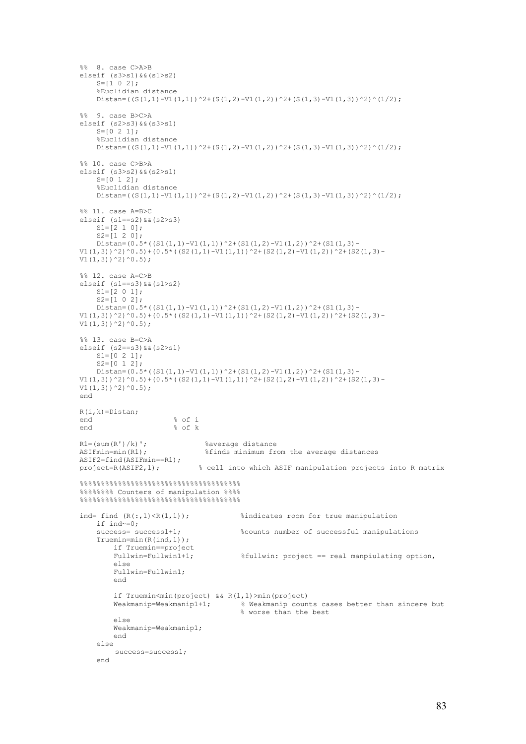```
%% 8. case C>A>B 
elseif (s3>s1)&&(s1>s2) 
     S=[1 \ 0 \ 2]; %Euclidian distance 
     Distan=((S(1,1)-V1(1,1))^2+(S(1,2)-V1(1,2))^2+(S(1,3)-V1(1,3))^2)^(1/2);
%% 9. case B>C>A 
elseif (s2>s3)&&(s3>s1) 
     S=[0 2 1]; %Euclidian distance 
     Distan=((S(1,1)-V1(1,1))^2+(S(1,2)-V1(1,2))^2+(S(1,3)-V1(1,3))^2)^(1/2);
%% 10. case C>B>A
elseif (s3>s2)&&(s2>s1) 
     S = [0 \ 1 \ 2];
      %Euclidian distance 
     Distan=((S(1,1)-V1(1,1))^2+(S(1,2)-V1(1,2))^2+(S(1,3)-V1(1,3))^2)^(1/2);
%% 11. case A=B>C 
elseif (s1==s2)&&(s2>s3) 
     SI=[2 1 0];S2=[1 2 0];Distan=(0.5*(S1(1,1)-V1(1,1))^2+(S1(1,2)-V1(1,2))^2+(S1(1,3)-V1(1,3))^2V1(1,3))^2)^0.5)+(0.5*((S2(1,1)-V1(1,1))^2+(S2(1,2)-V1(1,2))^2+(S2(1,3)-
V1(1,3)) ^2) ^0.5);
%% 12. case A=C>B 
elseif (s1 == s3) & (s1 > s2) S1=[2 0 1]; 
     S2=[1 0 2];Distan=(0.5*(S1(1,1)-V1(1,1))^2+(S1(1,2)-V1(1,2))^2+(S1(1,3)-V1(1,2))^2V1(1,3))^2)^0.5)+(0.5*((S2(1,1)-V1(1,1))^2+(S2(1,2)-V1(1,2))^2+(S2(1,3)-
V1(1,3))^2)^0.5);
%% 13. case B=C>A
elseif (s2==s3)&&(s2>s1) 
     S1 = [0 \ 2 \ 1];S2=[0 \ 1 \ 2];Distan=(0.5*(S1(1,1)-V1(1,1))^2+(S1(1,2)-V1(1,2))^2+(S1(1,3)-V1(1,3))^2V1(1,3))^2)^0.5)+(0.5*((S2(1,1)-V1(1,1))^2+(S2(1,2)-V1(1,2))^2+(S2(1,3)-
V1(1,3))^2)^0.5);
end 
R(i,k) = Distan;<br>and
end \frac{8}{5} of i
                             % of kR1 = (sum(R') / k)'; %average distance<br>ASIFmin=min(R1); %finds minimum fr
                                       ASIFmin=min(R1); %finds minimum from the average distances 
ASIF2=find(ASIFmin==R1);<br>project=R(ASIF2,1);
                                    % cell into which ASIF manipulation projects into R matrix
% \begin{equation} \begin{array}{l} \left\{ \left\{ \delta_{1}^{1}\delta_{1}^{1}\delta_{2}^{1}\delta_{1}^{1}\delta_{2}^{1}\delta_{2}^{1}\delta_{2}^{1}\delta_{2}^{1}\delta_{2}^{1}\delta_{2}^{1}\delta_{2}^{1}\delta_{2}^{1}\delta_{2}^{1}\delta_{2}^{1}\delta_{2}^{1}\delta_{2}^{1}\delta_{2}^{1}\delta_{2}^{1}\delta_{2}^{1}\delta_{2}^{1}\delta_{2}^{1}\delta_{2}^{1}\delta_{2}^{1}\delta_{2}^{1}\delta_{2}^{1}\delta_{2}^{1}\delta_{2}^{1}\delta_{2}^{1}\delta%%%%%%%% Counters of manipulation %%%% 
%%%%%%%%%%%%%%%%%%%%%%%%%%%%%%%%%%%%%% 
ind= find (R(:,1) \le R(1,1)); %indicates room for true manipulation
    if ind~=0;<br>success= success1+1;
                                                  $counts number of successful manipulations
      Truemin=min(R(ind,1)); 
          if Truemin==project<br>Fullwin=Fullwin1+1;
                                                  $fullwin: project == real mapping option, else 
           Fullwin=Fullwin1; 
            end 
           if Truemin<min(project) && R(1,1)>min(project) 
           Weakmanip=Weakmanip1+1; % Weakmanip counts cases better than sincere but 
                                                   % worse than the best 
            else 
           Weakmanip=Weakmanip1; 
           end 
      else 
            success=success1; 
      end
```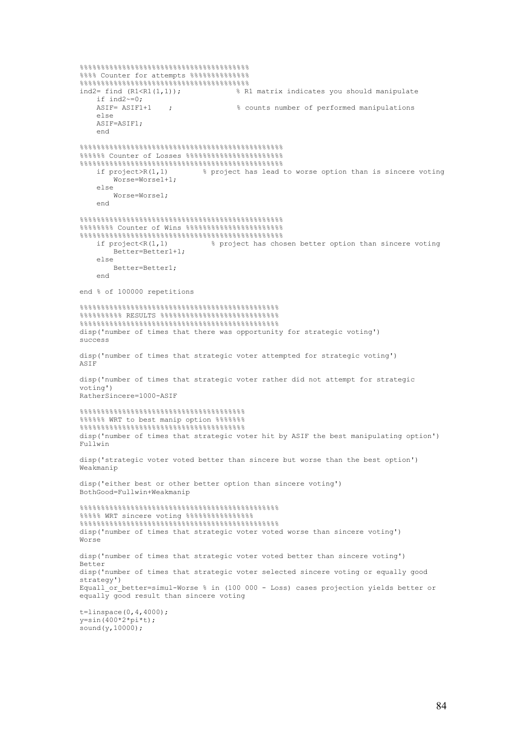```
%%%%%%%%%%%%%%%%%%%%%%%%%%%%%%%%%%%%%%%% 
%%%% Counter for attempts %%%%%%%%%%%%%% 
%%%%%%%%%%%%%%%%%%%%%%%%%%%%%%%%%%%%%%%% 
                                      % R1 matrix indicates you should manipulate
    if ind2~=0;<br>ASIF= ASIF1+1
                   ; and \frac{1}{2} is counts number of performed manipulations
     else 
     ASIF=ASIF1; 
     end 
%%%%%%%%%%%%%%%%%%%%%%%%%%%%%%%%%%%%%%%%%%%%%%%% 
%%%%%% Counter of Losses %%%%%%%%%%%%%%%%%%%%%%% 
%%%%%%%%%%%%%%%%%%%%%%%%%%%%%%%%%%%%%%%%%%%%%%%% 
                             % project has lead to worse option than is sincere voting
         Worse=Worse1+1; 
     else 
         Worse=Worse1; 
     end 
%%%%%%%%%%%%%%%%%%%%%%%%%%%%%%%%%%%%%%%%%%%%%%%% 
%%%%%%%% Counter of Wins %%%%%%%%%%%%%%%%%%%%%%% 
%%%%%%%%%%%%%%%%%%%%%%%%%%%%%%%%%%%%%%%%%%%%%%%% 
                                % project has chosen better option than sincere voting
         Better=Better1+1; 
    0<sup>1</sup> Better=Better1; 
     end 
end % of 100000 repetitions 
%%%%%%%%%%%%%%%%%%%%%%%%%%%%%%%%%%%%%%%%%%%%%%% 
%%%%%%%%%% RESULTS %%%%%%%%%%%%%%%%%%%%%%%%%%%% 
%%%%%%%%%%%%%%%%%%%%%%%%%%%%%%%%%%%%%%%%%%%%%%% 
disp('number of times that there was opportunity for strategic voting') 
success 
disp('number of times that strategic voter attempted for strategic voting') 
ASIF 
disp('number of times that strategic voter rather did not attempt for strategic 
voting') 
RatherSincere=1000-ASIF 
%%%%%%%%%%%%%%%%%%%%%%%%%%%%%%%%%%%%%%% 
%%%%%% WRT to best manip option %%%%%%% 
%%%%%%%%%%%%%%%%%%%%%%%%%%%%%%%%%%%%%%% 
disp('number of times that strategic voter hit by ASIF the best manipulating option') 
Fullwin 
disp('strategic voter voted better than sincere but worse than the best option') 
Weakmanip 
disp('either best or other better option than sincere voting') 
BothGood=Fullwin+Weakmanip 
%%%%%%%%%%%%%%%%%%%%%%%%%%%%%%%%%%%%%%%%%%%%%%% 
%%%%% WRT sincere voting %%%%%%%%%%%%%%%% 
%%%%%%%%%%%%%%%%%%%%%%%%%%%%%%%%%%%%%%%%%%%%%%% 
disp('number of times that strategic voter voted worse than sincere voting') 
Worse 
disp('number of times that strategic voter voted better than sincere voting') 
Better 
disp('number of times that strategic voter selected sincere voting or equally good 
strategy') 
Equall or better=simul-Worse % in (100 000 - Loss) cases projection yields better or
equally good result than sincere voting
t=linspace(0, 4, 4000);
y = sin(400*2*pi*t);sound (y, 10000);
```